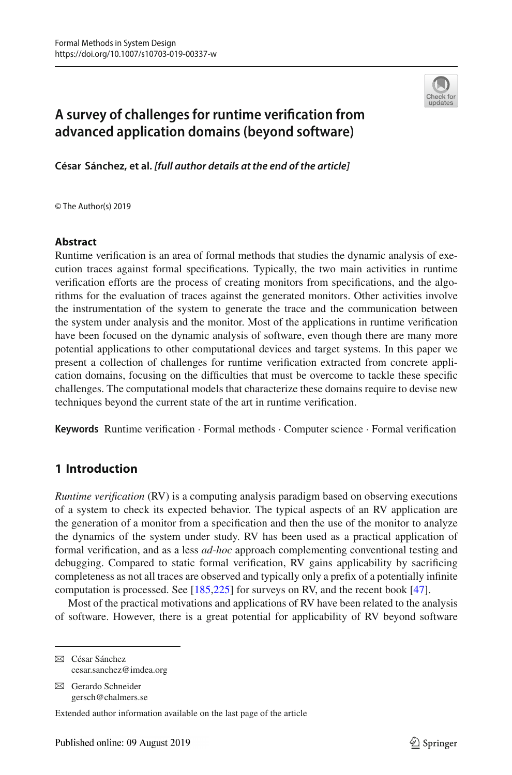

# **A survey of challenges for runtime verification from advanced application domains (beyond software)**

**César Sánchez, et al.** *[full author details at the end of the article]*

© The Author(s) 2019

#### **Abstract**

Runtime verification is an area of formal methods that studies the dynamic analysis of execution traces against formal specifications. Typically, the two main activities in runtime verification efforts are the process of creating monitors from specifications, and the algorithms for the evaluation of traces against the generated monitors. Other activities involve the instrumentation of the system to generate the trace and the communication between the system under analysis and the monitor. Most of the applications in runtime verification have been focused on the dynamic analysis of software, even though there are many more potential applications to other computational devices and target systems. In this paper we present a collection of challenges for runtime verification extracted from concrete application domains, focusing on the difficulties that must be overcome to tackle these specific challenges. The computational models that characterize these domains require to devise new techniques beyond the current state of the art in runtime verification.

**Keywords** Runtime verification · Formal methods · Computer science · Formal verification

## **1 Introduction**

*Runtime verification* (RV) is a computing analysis paradigm based on observing executions of a system to check its expected behavior. The typical aspects of an RV application are the generation of a monitor from a specification and then the use of the monitor to analyze the dynamics of the system under study. RV has been used as a practical application of formal verification, and as a less *ad-hoc* approach complementing conventional testing and debugging. Compared to static formal verification, RV gains applicability by sacrificing completeness as not all traces are observed and typically only a prefix of a potentially infinite computation is processed. See [\[185](#page-50-0)[,225\]](#page-51-0) for surveys on RV, and the recent book [\[47\]](#page-44-0).

Most of the practical motivations and applications of RV have been related to the analysis of software. However, there is a great potential for applicability of RV beyond software

B Gerardo Schneider gersch@chalmers.se

Extended author information available on the last page of the article

B César Sánchez cesar.sanchez@imdea.org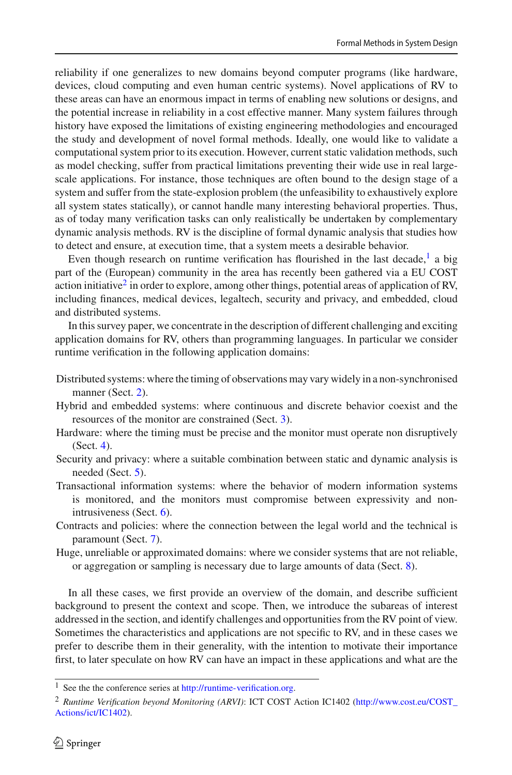reliability if one generalizes to new domains beyond computer programs (like hardware, devices, cloud computing and even human centric systems). Novel applications of RV to these areas can have an enormous impact in terms of enabling new solutions or designs, and the potential increase in reliability in a cost effective manner. Many system failures through history have exposed the limitations of existing engineering methodologies and encouraged the study and development of novel formal methods. Ideally, one would like to validate a computational system prior to its execution. However, current static validation methods, such as model checking, suffer from practical limitations preventing their wide use in real largescale applications. For instance, those techniques are often bound to the design stage of a system and suffer from the state-explosion problem (the unfeasibility to exhaustively explore all system states statically), or cannot handle many interesting behavioral properties. Thus, as of today many verification tasks can only realistically be undertaken by complementary dynamic analysis methods. RV is the discipline of formal dynamic analysis that studies how to detect and ensure, at execution time, that a system meets a desirable behavior.

Even though research on runtime verification has flourished in the last decade,<sup>[1](#page-1-0)</sup> a big part of the (European) community in the area has recently been gathered via a EU COST action initiative<sup>2</sup> in order to explore, among other things, potential areas of application of RV, including finances, medical devices, legaltech, security and privacy, and embedded, cloud and distributed systems.

In this survey paper, we concentrate in the description of different challenging and exciting application domains for RV, others than programming languages. In particular we consider runtime verification in the following application domains:

- Distributed systems: where the timing of observations may vary widely in a non-synchronised manner (Sect. [2\)](#page-2-0).
- Hybrid and embedded systems: where continuous and discrete behavior coexist and the resources of the monitor are constrained (Sect. [3\)](#page-7-0).
- Hardware: where the timing must be precise and the monitor must operate non disruptively (Sect. [4\)](#page-12-0).
- Security and privacy: where a suitable combination between static and dynamic analysis is needed (Sect. [5\)](#page-18-0).
- Transactional information systems: where the behavior of modern information systems is monitored, and the monitors must compromise between expressivity and nonintrusiveness (Sect. [6\)](#page-24-0).
- Contracts and policies: where the connection between the legal world and the technical is paramount (Sect. [7\)](#page-28-0).
- Huge, unreliable or approximated domains: where we consider systems that are not reliable, or aggregation or sampling is necessary due to large amounts of data (Sect. [8\)](#page-34-0).

In all these cases, we first provide an overview of the domain, and describe sufficient background to present the context and scope. Then, we introduce the subareas of interest addressed in the section, and identify challenges and opportunities from the RV point of view. Sometimes the characteristics and applications are not specific to RV, and in these cases we prefer to describe them in their generality, with the intention to motivate their importance first, to later speculate on how RV can have an impact in these applications and what are the

<span id="page-1-0"></span><sup>1</sup> See the the conference series at [http://runtime-verification.org.](http://runtime-verification.org)

<span id="page-1-1"></span><sup>2</sup> *Runtime Verification beyond Monitoring (ARVI)*: ICT COST Action IC1402 [\(http://www.cost.eu/COST\\_](http://www.cost.eu/COST_Actions/ict/IC1402) [Actions/ict/IC1402\)](http://www.cost.eu/COST_Actions/ict/IC1402).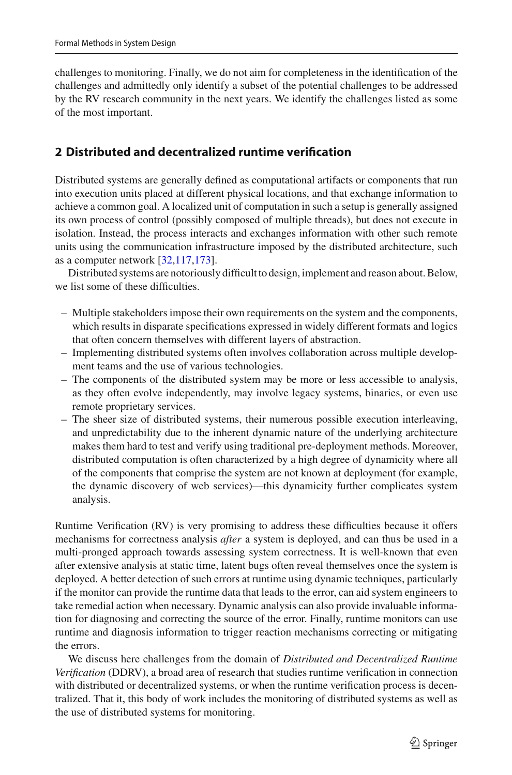challenges to monitoring. Finally, we do not aim for completeness in the identification of the challenges and admittedly only identify a subset of the potential challenges to be addressed by the RV research community in the next years. We identify the challenges listed as some of the most important.

## <span id="page-2-0"></span>**2 Distributed and decentralized runtime verification**

Distributed systems are generally defined as computational artifacts or components that run into execution units placed at different physical locations, and that exchange information to achieve a common goal. A localized unit of computation in such a setup is generally assigned its own process of control (possibly composed of multiple threads), but does not execute in isolation. Instead, the process interacts and exchanges information with other such remote units using the communication infrastructure imposed by the distributed architecture, such as a computer network [\[32](#page-43-0)[,117](#page-47-0)[,173](#page-49-0)].

Distributed systems are notoriously difficult to design, implement and reason about. Below, we list some of these difficulties.

- Multiple stakeholders impose their own requirements on the system and the components, which results in disparate specifications expressed in widely different formats and logics that often concern themselves with different layers of abstraction.
- Implementing distributed systems often involves collaboration across multiple development teams and the use of various technologies.
- The components of the distributed system may be more or less accessible to analysis, as they often evolve independently, may involve legacy systems, binaries, or even use remote proprietary services.
- The sheer size of distributed systems, their numerous possible execution interleaving, and unpredictability due to the inherent dynamic nature of the underlying architecture makes them hard to test and verify using traditional pre-deployment methods. Moreover, distributed computation is often characterized by a high degree of dynamicity where all of the components that comprise the system are not known at deployment (for example, the dynamic discovery of web services)—this dynamicity further complicates system analysis.

Runtime Verification (RV) is very promising to address these difficulties because it offers mechanisms for correctness analysis *after* a system is deployed, and can thus be used in a multi-pronged approach towards assessing system correctness. It is well-known that even after extensive analysis at static time, latent bugs often reveal themselves once the system is deployed. A better detection of such errors at runtime using dynamic techniques, particularly if the monitor can provide the runtime data that leads to the error, can aid system engineers to take remedial action when necessary. Dynamic analysis can also provide invaluable information for diagnosing and correcting the source of the error. Finally, runtime monitors can use runtime and diagnosis information to trigger reaction mechanisms correcting or mitigating the errors.

We discuss here challenges from the domain of *Distributed and Decentralized Runtime Verification* (DDRV), a broad area of research that studies runtime verification in connection with distributed or decentralized systems, or when the runtime verification process is decentralized. That it, this body of work includes the monitoring of distributed systems as well as the use of distributed systems for monitoring.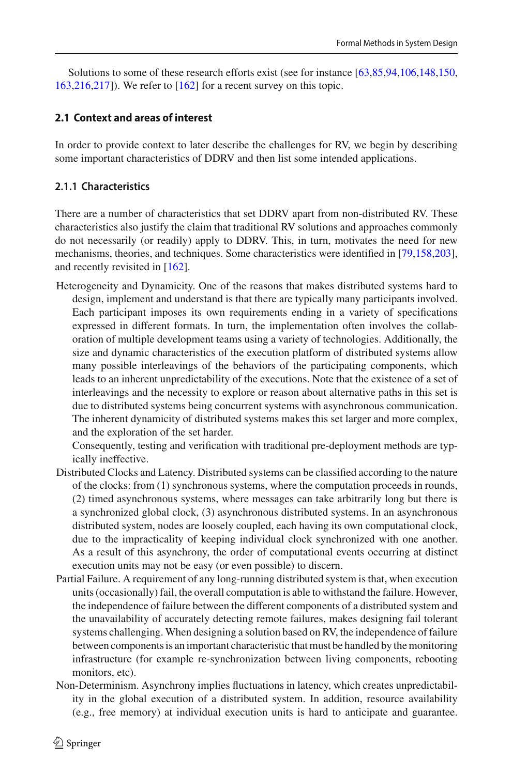Solutions to some of these research efforts exist (see for instance [\[63](#page-44-1)[,85](#page-45-0)[,94](#page-46-0)[,106](#page-46-1)[,148](#page-48-0)[,150,](#page-48-1) [163](#page-49-1)[,216](#page-51-1)[,217\]](#page-51-2)). We refer to [\[162\]](#page-49-2) for a recent survey on this topic.

### **2.1 Context and areas of interest**

In order to provide context to later describe the challenges for RV, we begin by describing some important characteristics of DDRV and then list some intended applications.

#### **2.1.1 Characteristics**

There are a number of characteristics that set DDRV apart from non-distributed RV. These characteristics also justify the claim that traditional RV solutions and approaches commonly do not necessarily (or readily) apply to DDRV. This, in turn, motivates the need for new mechanisms, theories, and techniques. Some characteristics were identified in [\[79](#page-45-1)[,158](#page-49-3)[,203\]](#page-50-1), and recently revisited in [\[162\]](#page-49-2).

Heterogeneity and Dynamicity. One of the reasons that makes distributed systems hard to design, implement and understand is that there are typically many participants involved. Each participant imposes its own requirements ending in a variety of specifications expressed in different formats. In turn, the implementation often involves the collaboration of multiple development teams using a variety of technologies. Additionally, the size and dynamic characteristics of the execution platform of distributed systems allow many possible interleavings of the behaviors of the participating components, which leads to an inherent unpredictability of the executions. Note that the existence of a set of interleavings and the necessity to explore or reason about alternative paths in this set is due to distributed systems being concurrent systems with asynchronous communication. The inherent dynamicity of distributed systems makes this set larger and more complex, and the exploration of the set harder.

Consequently, testing and verification with traditional pre-deployment methods are typically ineffective.

- Distributed Clocks and Latency. Distributed systems can be classified according to the nature of the clocks: from (1) synchronous systems, where the computation proceeds in rounds, (2) timed asynchronous systems, where messages can take arbitrarily long but there is a synchronized global clock, (3) asynchronous distributed systems. In an asynchronous distributed system, nodes are loosely coupled, each having its own computational clock, due to the impracticality of keeping individual clock synchronized with one another. As a result of this asynchrony, the order of computational events occurring at distinct execution units may not be easy (or even possible) to discern.
- Partial Failure. A requirement of any long-running distributed system is that, when execution units (occasionally) fail, the overall computation is able to withstand the failure. However, the independence of failure between the different components of a distributed system and the unavailability of accurately detecting remote failures, makes designing fail tolerant systems challenging. When designing a solution based on RV, the independence of failure between components is an important characteristic that must be handled by the monitoring infrastructure (for example re-synchronization between living components, rebooting monitors, etc).
- Non-Determinism. Asynchrony implies fluctuations in latency, which creates unpredictability in the global execution of a distributed system. In addition, resource availability (e.g., free memory) at individual execution units is hard to anticipate and guarantee.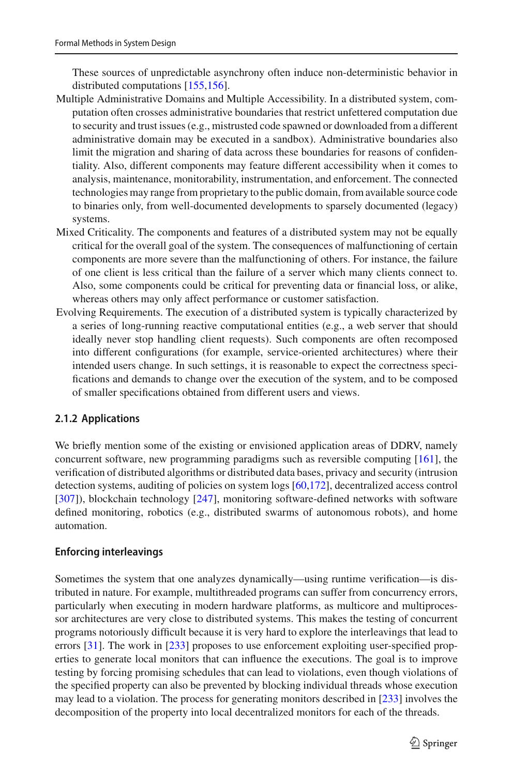These sources of unpredictable asynchrony often induce non-deterministic behavior in distributed computations [\[155](#page-48-2)[,156](#page-48-3)].

- Multiple Administrative Domains and Multiple Accessibility. In a distributed system, computation often crosses administrative boundaries that restrict unfettered computation due to security and trust issues (e.g., mistrusted code spawned or downloaded from a different administrative domain may be executed in a sandbox). Administrative boundaries also limit the migration and sharing of data across these boundaries for reasons of confidentiality. Also, different components may feature different accessibility when it comes to analysis, maintenance, monitorability, instrumentation, and enforcement. The connected technologies may range from proprietary to the public domain, from available source code to binaries only, from well-documented developments to sparsely documented (legacy) systems.
- Mixed Criticality. The components and features of a distributed system may not be equally critical for the overall goal of the system. The consequences of malfunctioning of certain components are more severe than the malfunctioning of others. For instance, the failure of one client is less critical than the failure of a server which many clients connect to. Also, some components could be critical for preventing data or financial loss, or alike, whereas others may only affect performance or customer satisfaction.
- Evolving Requirements. The execution of a distributed system is typically characterized by a series of long-running reactive computational entities (e.g., a web server that should ideally never stop handling client requests). Such components are often recomposed into different configurations (for example, service-oriented architectures) where their intended users change. In such settings, it is reasonable to expect the correctness specifications and demands to change over the execution of the system, and to be composed of smaller specifications obtained from different users and views.

#### **2.1.2 Applications**

We briefly mention some of the existing or envisioned application areas of DDRV, namely concurrent software, new programming paradigms such as reversible computing [\[161](#page-49-4)], the verification of distributed algorithms or distributed data bases, privacy and security (intrusion detection systems, auditing of policies on system logs [\[60](#page-44-2)[,172\]](#page-49-5), decentralized access control [\[307\]](#page-55-0)), blockchain technology [\[247](#page-52-0)], monitoring software-defined networks with software defined monitoring, robotics (e.g., distributed swarms of autonomous robots), and home automation.

#### **Enforcing interleavings**

Sometimes the system that one analyzes dynamically—using runtime verification—is distributed in nature. For example, multithreaded programs can suffer from concurrency errors, particularly when executing in modern hardware platforms, as multicore and multiprocessor architectures are very close to distributed systems. This makes the testing of concurrent programs notoriously difficult because it is very hard to explore the interleavings that lead to errors [\[31\]](#page-43-1). The work in [\[233](#page-51-3)] proposes to use enforcement exploiting user-specified properties to generate local monitors that can influence the executions. The goal is to improve testing by forcing promising schedules that can lead to violations, even though violations of the specified property can also be prevented by blocking individual threads whose execution may lead to a violation. The process for generating monitors described in [\[233](#page-51-3)] involves the decomposition of the property into local decentralized monitors for each of the threads.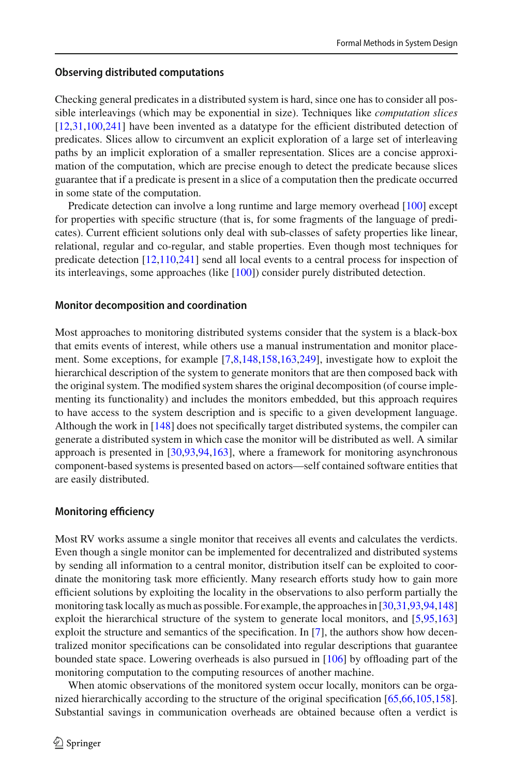#### **Observing distributed computations**

Checking general predicates in a distributed system is hard, since one has to consider all possible interleavings (which may be exponential in size). Techniques like *computation slices* [\[12](#page-42-0)[,31](#page-43-1)[,100](#page-46-2)[,241\]](#page-52-1) have been invented as a datatype for the efficient distributed detection of predicates. Slices allow to circumvent an explicit exploration of a large set of interleaving paths by an implicit exploration of a smaller representation. Slices are a concise approximation of the computation, which are precise enough to detect the predicate because slices guarantee that if a predicate is present in a slice of a computation then the predicate occurred in some state of the computation.

Predicate detection can involve a long runtime and large memory overhead [\[100\]](#page-46-2) except for properties with specific structure (that is, for some fragments of the language of predicates). Current efficient solutions only deal with sub-classes of safety properties like linear, relational, regular and co-regular, and stable properties. Even though most techniques for predicate detection [\[12](#page-42-0)[,110](#page-47-1)[,241\]](#page-52-1) send all local events to a central process for inspection of its interleavings, some approaches (like [\[100](#page-46-2)]) consider purely distributed detection.

#### **Monitor decomposition and coordination**

Most approaches to monitoring distributed systems consider that the system is a black-box that emits events of interest, while others use a manual instrumentation and monitor placement. Some exceptions, for example [\[7](#page-42-1)[,8](#page-42-2)[,148](#page-48-0)[,158](#page-49-3)[,163](#page-49-1)[,249](#page-52-2)], investigate how to exploit the hierarchical description of the system to generate monitors that are then composed back with the original system. The modified system shares the original decomposition (of course implementing its functionality) and includes the monitors embedded, but this approach requires to have access to the system description and is specific to a given development language. Although the work in [\[148\]](#page-48-0) does not specifically target distributed systems, the compiler can generate a distributed system in which case the monitor will be distributed as well. A similar approach is presented in [\[30](#page-43-2)[,93](#page-46-3)[,94](#page-46-0)[,163](#page-49-1)], where a framework for monitoring asynchronous component-based systems is presented based on actors—self contained software entities that are easily distributed.

#### **Monitoring efficiency**

Most RV works assume a single monitor that receives all events and calculates the verdicts. Even though a single monitor can be implemented for decentralized and distributed systems by sending all information to a central monitor, distribution itself can be exploited to coordinate the monitoring task more efficiently. Many research efforts study how to gain more efficient solutions by exploiting the locality in the observations to also perform partially the monitoring task locally as much as possible. For example, the approaches in [\[30](#page-43-2)[,31](#page-43-1)[,93](#page-46-3)[,94](#page-46-0)[,148\]](#page-48-0) exploit the hierarchical structure of the system to generate local monitors, and [\[5](#page-42-3)[,95](#page-46-4)[,163\]](#page-49-1) exploit the structure and semantics of the specification. In [\[7](#page-42-1)], the authors show how decentralized monitor specifications can be consolidated into regular descriptions that guarantee bounded state space. Lowering overheads is also pursued in [\[106\]](#page-46-1) by offloading part of the monitoring computation to the computing resources of another machine.

When atomic observations of the monitored system occur locally, monitors can be organized hierarchically according to the structure of the original specification [\[65](#page-45-2)[,66](#page-45-3)[,105](#page-46-5)[,158\]](#page-49-3). Substantial savings in communication overheads are obtained because often a verdict is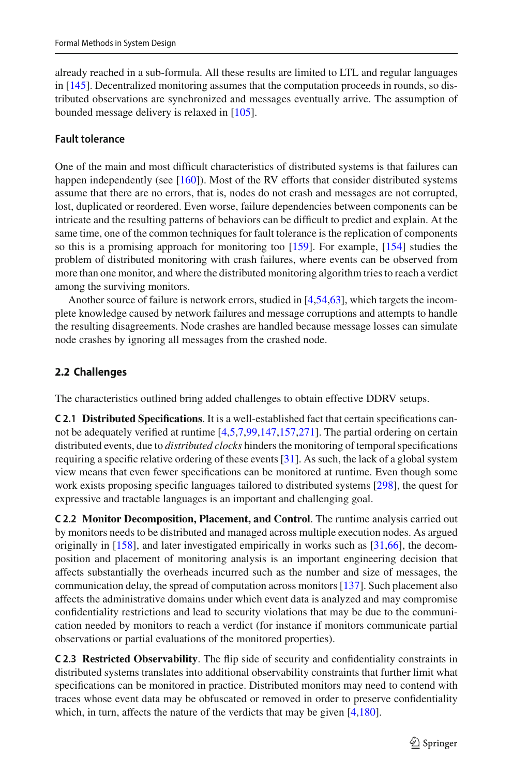already reached in a sub-formula. All these results are limited to LTL and regular languages in [\[145\]](#page-48-4). Decentralized monitoring assumes that the computation proceeds in rounds, so distributed observations are synchronized and messages eventually arrive. The assumption of bounded message delivery is relaxed in [\[105](#page-46-5)].

#### **Fault tolerance**

One of the main and most difficult characteristics of distributed systems is that failures can happen independently (see  $[160]$ ). Most of the RV efforts that consider distributed systems assume that there are no errors, that is, nodes do not crash and messages are not corrupted, lost, duplicated or reordered. Even worse, failure dependencies between components can be intricate and the resulting patterns of behaviors can be difficult to predict and explain. At the same time, one of the common techniques for fault tolerance is the replication of components so this is a promising approach for monitoring too [\[159](#page-49-7)]. For example, [\[154](#page-48-5)] studies the problem of distributed monitoring with crash failures, where events can be observed from more than one monitor, and where the distributed monitoring algorithm tries to reach a verdict among the surviving monitors.

Another source of failure is network errors, studied in [\[4](#page-42-4)[,54](#page-44-3)[,63\]](#page-44-1), which targets the incomplete knowledge caused by network failures and message corruptions and attempts to handle the resulting disagreements. Node crashes are handled because message losses can simulate node crashes by ignoring all messages from the crashed node.

## **2.2 Challenges**

The characteristics outlined bring added challenges to obtain effective DDRV setups.

**C 2.1 Distributed Specifications**. It is a well-established fact that certain specifications cannot be adequately verified at runtime [\[4](#page-42-4)[,5](#page-42-3)[,7](#page-42-1)[,99](#page-46-6)[,147](#page-48-6)[,157](#page-49-8)[,271\]](#page-53-0). The partial ordering on certain distributed events, due to *distributed clocks* hinders the monitoring of temporal specifications requiring a specific relative ordering of these events [\[31](#page-43-1)]. As such, the lack of a global system view means that even fewer specifications can be monitored at runtime. Even though some work exists proposing specific languages tailored to distributed systems [\[298\]](#page-54-0), the quest for expressive and tractable languages is an important and challenging goal.

**C 2.2 Monitor Decomposition, Placement, and Control**. The runtime analysis carried out by monitors needs to be distributed and managed across multiple execution nodes. As argued originally in [\[158](#page-49-3)], and later investigated empirically in works such as [\[31](#page-43-1)[,66](#page-45-3)], the decomposition and placement of monitoring analysis is an important engineering decision that affects substantially the overheads incurred such as the number and size of messages, the communication delay, the spread of computation across monitors [\[137\]](#page-48-7). Such placement also affects the administrative domains under which event data is analyzed and may compromise confidentiality restrictions and lead to security violations that may be due to the communication needed by monitors to reach a verdict (for instance if monitors communicate partial observations or partial evaluations of the monitored properties).

**C 2.3 Restricted Observability**. The flip side of security and confidentiality constraints in distributed systems translates into additional observability constraints that further limit what specifications can be monitored in practice. Distributed monitors may need to contend with traces whose event data may be obfuscated or removed in order to preserve confidentiality which, in turn, affects the nature of the verdicts that may be given [\[4](#page-42-4)[,180](#page-49-9)].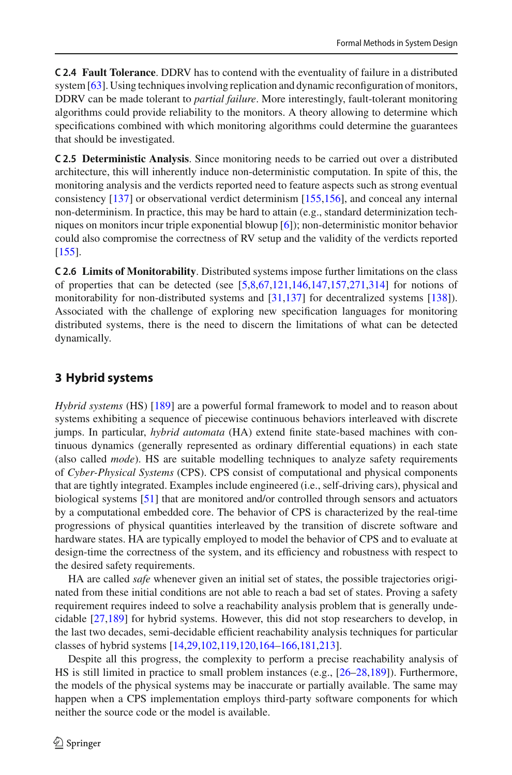**C 2.4 Fault Tolerance**. DDRV has to contend with the eventuality of failure in a distributed system [\[63\]](#page-44-1). Using techniques involving replication and dynamic reconfiguration of monitors, DDRV can be made tolerant to *partial failure*. More interestingly, fault-tolerant monitoring algorithms could provide reliability to the monitors. A theory allowing to determine which specifications combined with which monitoring algorithms could determine the guarantees that should be investigated.

**C 2.5 Deterministic Analysis**. Since monitoring needs to be carried out over a distributed architecture, this will inherently induce non-deterministic computation. In spite of this, the monitoring analysis and the verdicts reported need to feature aspects such as strong eventual consistency [\[137](#page-48-7)] or observational verdict determinism [\[155](#page-48-2)[,156\]](#page-48-3), and conceal any internal non-determinism. In practice, this may be hard to attain (e.g., standard determinization techniques on monitors incur triple exponential blowup [\[6](#page-42-5)]); non-deterministic monitor behavior could also compromise the correctness of RV setup and the validity of the verdicts reported [\[155\]](#page-48-2).

**C 2.6 Limits of Monitorability**. Distributed systems impose further limitations on the class of properties that can be detected (see [\[5](#page-42-3)[,8](#page-42-2)[,67](#page-45-4)[,121](#page-47-2)[,146](#page-48-8)[,147](#page-48-6)[,157](#page-49-8)[,271](#page-53-0)[,314\]](#page-55-1) for notions of monitorability for non-distributed systems and [\[31](#page-43-1)[,137](#page-48-7)] for decentralized systems [\[138](#page-48-9)]). Associated with the challenge of exploring new specification languages for monitoring distributed systems, there is the need to discern the limitations of what can be detected dynamically.

## <span id="page-7-0"></span>**3 Hybrid systems**

*Hybrid systems* (HS) [\[189\]](#page-50-2) are a powerful formal framework to model and to reason about systems exhibiting a sequence of piecewise continuous behaviors interleaved with discrete jumps. In particular, *hybrid automata* (HA) extend finite state-based machines with continuous dynamics (generally represented as ordinary differential equations) in each state (also called *mode*). HS are suitable modelling techniques to analyze safety requirements of *Cyber-Physical Systems* (CPS). CPS consist of computational and physical components that are tightly integrated. Examples include engineered (i.e., self-driving cars), physical and biological systems [\[51](#page-44-4)] that are monitored and/or controlled through sensors and actuators by a computational embedded core. The behavior of CPS is characterized by the real-time progressions of physical quantities interleaved by the transition of discrete software and hardware states. HA are typically employed to model the behavior of CPS and to evaluate at design-time the correctness of the system, and its efficiency and robustness with respect to the desired safety requirements.

HA are called *safe* whenever given an initial set of states, the possible trajectories originated from these initial conditions are not able to reach a bad set of states. Proving a safety requirement requires indeed to solve a reachability analysis problem that is generally undecidable [\[27](#page-43-3)[,189\]](#page-50-2) for hybrid systems. However, this did not stop researchers to develop, in the last two decades, semi-decidable efficient reachability analysis techniques for particular classes of hybrid systems [\[14](#page-42-6)[,29](#page-43-4)[,102](#page-46-7)[,119](#page-47-3)[,120](#page-47-4)[,164](#page-49-10)[–166](#page-49-11)[,181](#page-49-12)[,213](#page-51-4)].

Despite all this progress, the complexity to perform a precise reachability analysis of HS is still limited in practice to small problem instances (e.g., [\[26](#page-43-5)[–28](#page-43-6)[,189\]](#page-50-2)). Furthermore, the models of the physical systems may be inaccurate or partially available. The same may happen when a CPS implementation employs third-party software components for which neither the source code or the model is available.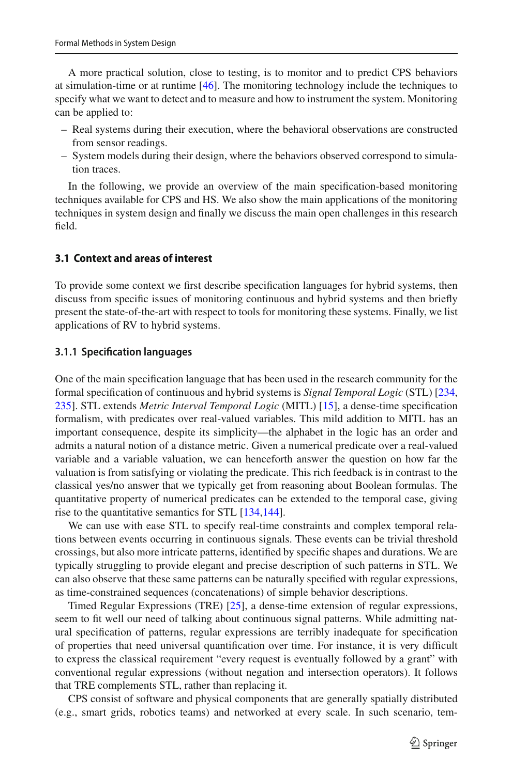A more practical solution, close to testing, is to monitor and to predict CPS behaviors at simulation-time or at runtime [\[46\]](#page-44-5). The monitoring technology include the techniques to specify what we want to detect and to measure and how to instrument the system. Monitoring can be applied to:

- Real systems during their execution, where the behavioral observations are constructed from sensor readings.
- System models during their design, where the behaviors observed correspond to simulation traces.

In the following, we provide an overview of the main specification-based monitoring techniques available for CPS and HS. We also show the main applications of the monitoring techniques in system design and finally we discuss the main open challenges in this research field.

#### **3.1 Context and areas of interest**

To provide some context we first describe specification languages for hybrid systems, then discuss from specific issues of monitoring continuous and hybrid systems and then briefly present the state-of-the-art with respect to tools for monitoring these systems. Finally, we list applications of RV to hybrid systems.

#### **3.1.1 Specification languages**

One of the main specification language that has been used in the research community for the formal specification of continuous and hybrid systems is *Signal Temporal Logic* (STL) [\[234,](#page-51-5) [235](#page-51-6)]. STL extends *Metric Interval Temporal Logic* (MITL) [\[15\]](#page-42-7), a dense-time specification formalism, with predicates over real-valued variables. This mild addition to MITL has an important consequence, despite its simplicity—the alphabet in the logic has an order and admits a natural notion of a distance metric. Given a numerical predicate over a real-valued variable and a variable valuation, we can henceforth answer the question on how far the valuation is from satisfying or violating the predicate. This rich feedback is in contrast to the classical yes/no answer that we typically get from reasoning about Boolean formulas. The quantitative property of numerical predicates can be extended to the temporal case, giving rise to the quantitative semantics for STL [\[134](#page-47-5)[,144\]](#page-48-10).

We can use with ease STL to specify real-time constraints and complex temporal relations between events occurring in continuous signals. These events can be trivial threshold crossings, but also more intricate patterns, identified by specific shapes and durations. We are typically struggling to provide elegant and precise description of such patterns in STL. We can also observe that these same patterns can be naturally specified with regular expressions, as time-constrained sequences (concatenations) of simple behavior descriptions.

Timed Regular Expressions (TRE) [\[25](#page-43-7)], a dense-time extension of regular expressions, seem to fit well our need of talking about continuous signal patterns. While admitting natural specification of patterns, regular expressions are terribly inadequate for specification of properties that need universal quantification over time. For instance, it is very difficult to express the classical requirement "every request is eventually followed by a grant" with conventional regular expressions (without negation and intersection operators). It follows that TRE complements STL, rather than replacing it.

CPS consist of software and physical components that are generally spatially distributed (e.g., smart grids, robotics teams) and networked at every scale. In such scenario, tem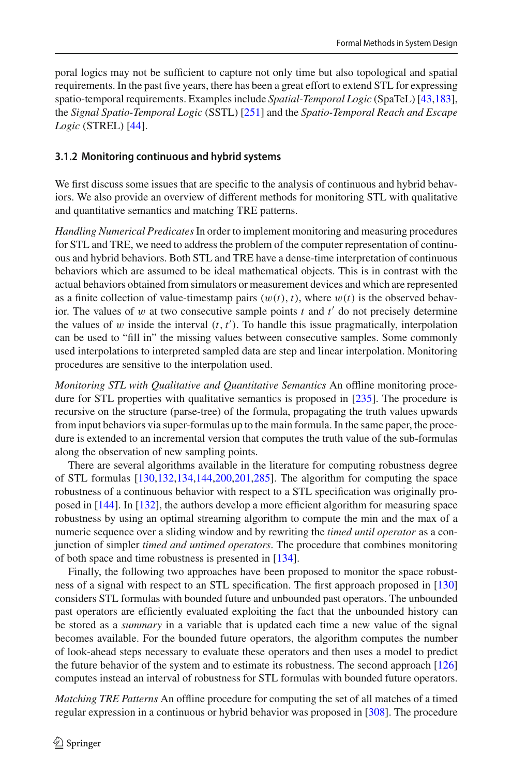poral logics may not be sufficient to capture not only time but also topological and spatial requirements. In the past five years, there has been a great effort to extend STL for expressing spatio-temporal requirements. Examples include *Spatial-Temporal Logic* (SpaTeL) [\[43](#page-44-6)[,183\]](#page-50-3), the *Signal Spatio-Temporal Logic* (SSTL) [\[251\]](#page-52-3) and the *Spatio-Temporal Reach and Escape Logic* (STREL) [\[44](#page-44-7)].

### **3.1.2 Monitoring continuous and hybrid systems**

We first discuss some issues that are specific to the analysis of continuous and hybrid behaviors. We also provide an overview of different methods for monitoring STL with qualitative and quantitative semantics and matching TRE patterns.

*Handling Numerical Predicates*In order to implement monitoring and measuring procedures for STL and TRE, we need to address the problem of the computer representation of continuous and hybrid behaviors. Both STL and TRE have a dense-time interpretation of continuous behaviors which are assumed to be ideal mathematical objects. This is in contrast with the actual behaviors obtained from simulators or measurement devices and which are represented as a finite collection of value-timestamp pairs  $(w(t), t)$ , where  $w(t)$  is the observed behavior. The values of  $w$  at two consecutive sample points  $t$  and  $t'$  do not precisely determine the values of  $w$  inside the interval  $(t, t')$ . To handle this issue pragmatically, interpolation can be used to "fill in" the missing values between consecutive samples. Some commonly used interpolations to interpreted sampled data are step and linear interpolation. Monitoring procedures are sensitive to the interpolation used.

*Monitoring STL with Qualitative and Quantitative Semantics* An offline monitoring proce-dure for STL properties with qualitative semantics is proposed in [\[235\]](#page-51-6). The procedure is recursive on the structure (parse-tree) of the formula, propagating the truth values upwards from input behaviors via super-formulas up to the main formula. In the same paper, the procedure is extended to an incremental version that computes the truth value of the sub-formulas along the observation of new sampling points.

There are several algorithms available in the literature for computing robustness degree of STL formulas [\[130](#page-47-6)[,132](#page-47-7)[,134](#page-47-5)[,144](#page-48-10)[,200](#page-50-4)[,201](#page-50-5)[,285](#page-54-1)]. The algorithm for computing the space robustness of a continuous behavior with respect to a STL specification was originally proposed in [\[144](#page-48-10)]. In [\[132\]](#page-47-7), the authors develop a more efficient algorithm for measuring space robustness by using an optimal streaming algorithm to compute the min and the max of a numeric sequence over a sliding window and by rewriting the *timed until operator* as a conjunction of simpler *timed and untimed operators*. The procedure that combines monitoring of both space and time robustness is presented in [\[134\]](#page-47-5).

Finally, the following two approaches have been proposed to monitor the space robustness of a signal with respect to an STL specification. The first approach proposed in [\[130\]](#page-47-6) considers STL formulas with bounded future and unbounded past operators. The unbounded past operators are efficiently evaluated exploiting the fact that the unbounded history can be stored as a *summary* in a variable that is updated each time a new value of the signal becomes available. For the bounded future operators, the algorithm computes the number of look-ahead steps necessary to evaluate these operators and then uses a model to predict the future behavior of the system and to estimate its robustness. The second approach [\[126\]](#page-47-8) computes instead an interval of robustness for STL formulas with bounded future operators.

*Matching TRE Patterns* An offline procedure for computing the set of all matches of a timed regular expression in a continuous or hybrid behavior was proposed in [\[308\]](#page-55-2). The procedure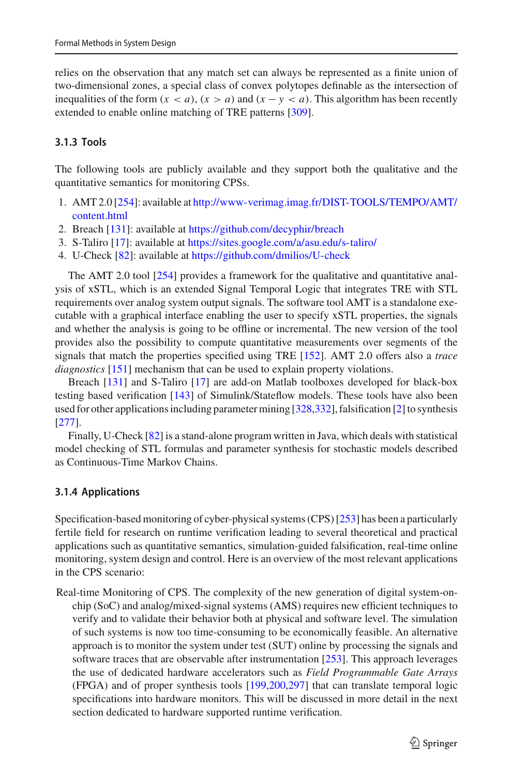relies on the observation that any match set can always be represented as a finite union of two-dimensional zones, a special class of convex polytopes definable as the intersection of inequalities of the form  $(x < a)$ ,  $(x > a)$  and  $(x - y < a)$ . This algorithm has been recently extended to enable online matching of TRE patterns [\[309](#page-55-3)].

#### **3.1.3 Tools**

The following tools are publicly available and they support both the qualitative and the quantitative semantics for monitoring CPSs.

- 1. AMT 2.0 [\[254](#page-52-4)]: available at [http://www-verimag.imag.fr/DIST-TOOLS/TEMPO/AMT/](http://www-verimag.imag.fr/DIST-TOOLS/TEMPO/AMT/content.html) [content.html](http://www-verimag.imag.fr/DIST-TOOLS/TEMPO/AMT/content.html)
- 2. Breach [\[131\]](#page-47-9): available at <https://github.com/decyphir/breach>
- 3. S-Taliro [\[17\]](#page-43-8): available at <https://sites.google.com/a/asu.edu/s-taliro/>
- 4. U-Check [\[82](#page-45-5)]: available at <https://github.com/dmilios/U-check>

The AMT 2.0 tool [\[254\]](#page-52-4) provides a framework for the qualitative and quantitative analysis of xSTL, which is an extended Signal Temporal Logic that integrates TRE with STL requirements over analog system output signals. The software tool AMT is a standalone executable with a graphical interface enabling the user to specify xSTL properties, the signals and whether the analysis is going to be offline or incremental. The new version of the tool provides also the possibility to compute quantitative measurements over segments of the signals that match the properties specified using TRE [\[152](#page-48-11)]. AMT 2.0 offers also a *trace diagnostics* [\[151](#page-48-12)] mechanism that can be used to explain property violations.

Breach [\[131](#page-47-9)] and S-Taliro [\[17\]](#page-43-8) are add-on Matlab toolboxes developed for black-box testing based verification [\[143](#page-48-13)] of Simulink/Stateflow models. These tools have also been used for other applications including parameter mining [\[328](#page-55-4)[,332](#page-56-0)], falsification [\[2](#page-42-8)] to synthesis [\[277\]](#page-53-1).

Finally, U-Check [\[82](#page-45-5)] is a stand-alone program written in Java, which deals with statistical model checking of STL formulas and parameter synthesis for stochastic models described as Continuous-Time Markov Chains.

#### **3.1.4 Applications**

Specification-based monitoring of cyber-physical systems (CPS) [\[253\]](#page-52-5) has been a particularly fertile field for research on runtime verification leading to several theoretical and practical applications such as quantitative semantics, simulation-guided falsification, real-time online monitoring, system design and control. Here is an overview of the most relevant applications in the CPS scenario:

Real-time Monitoring of CPS. The complexity of the new generation of digital system-onchip (SoC) and analog/mixed-signal systems (AMS) requires new efficient techniques to verify and to validate their behavior both at physical and software level. The simulation of such systems is now too time-consuming to be economically feasible. An alternative approach is to monitor the system under test (SUT) online by processing the signals and software traces that are observable after instrumentation [\[253\]](#page-52-5). This approach leverages the use of dedicated hardware accelerators such as *Field Programmable Gate Arrays* (FPGA) and of proper synthesis tools [\[199](#page-50-6)[,200](#page-50-4)[,297\]](#page-54-2) that can translate temporal logic specifications into hardware monitors. This will be discussed in more detail in the next section dedicated to hardware supported runtime verification.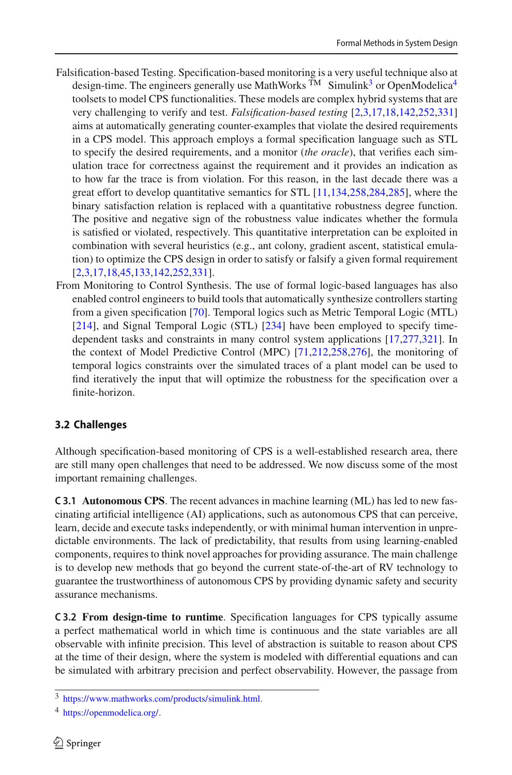- Falsification-based Testing. Specification-based monitoring is a very useful technique also at design-time. The engineers generally use MathWorks  $\overline{M}$  Simulink<sup>[3](#page-11-0)</sup> or OpenModelica<sup>4</sup> toolsets to model CPS functionalities. These models are complex hybrid systems that are very challenging to verify and test. *Falsification-based testing* [\[2](#page-42-8)[,3](#page-42-9)[,17](#page-43-8)[,18](#page-43-9)[,142](#page-48-14)[,252](#page-52-6)[,331\]](#page-55-5) aims at automatically generating counter-examples that violate the desired requirements in a CPS model. This approach employs a formal specification language such as STL to specify the desired requirements, and a monitor (*the oracle*), that verifies each simulation trace for correctness against the requirement and it provides an indication as to how far the trace is from violation. For this reason, in the last decade there was a great effort to develop quantitative semantics for STL [\[11](#page-42-10)[,134](#page-47-5)[,258](#page-52-7)[,284](#page-54-3)[,285\]](#page-54-1), where the binary satisfaction relation is replaced with a quantitative robustness degree function. The positive and negative sign of the robustness value indicates whether the formula is satisfied or violated, respectively. This quantitative interpretation can be exploited in combination with several heuristics (e.g., ant colony, gradient ascent, statistical emulation) to optimize the CPS design in order to satisfy or falsify a given formal requirement [\[2](#page-42-8)[,3](#page-42-9)[,17](#page-43-8)[,18](#page-43-9)[,45](#page-44-8)[,133](#page-47-10)[,142](#page-48-14)[,252](#page-52-6)[,331\]](#page-55-5).
- From Monitoring to Control Synthesis. The use of formal logic-based languages has also enabled control engineers to build tools that automatically synthesize controllers starting from a given specification [\[70](#page-45-6)]. Temporal logics such as Metric Temporal Logic (MTL) [\[214](#page-51-7)], and Signal Temporal Logic (STL) [\[234](#page-51-5)] have been employed to specify timedependent tasks and constraints in many control system applications [\[17](#page-43-8)[,277](#page-53-1)[,321](#page-55-6)]. In the context of Model Predictive Control (MPC) [\[71](#page-45-7)[,212](#page-51-8)[,258](#page-52-7)[,276](#page-53-2)], the monitoring of temporal logics constraints over the simulated traces of a plant model can be used to find iteratively the input that will optimize the robustness for the specification over a finite-horizon.

## **3.2 Challenges**

Although specification-based monitoring of CPS is a well-established research area, there are still many open challenges that need to be addressed. We now discuss some of the most important remaining challenges.

**C 3.1 Autonomous CPS**. The recent advances in machine learning (ML) has led to new fascinating artificial intelligence (AI) applications, such as autonomous CPS that can perceive, learn, decide and execute tasks independently, or with minimal human intervention in unpredictable environments. The lack of predictability, that results from using learning-enabled components, requires to think novel approaches for providing assurance. The main challenge is to develop new methods that go beyond the current state-of-the-art of RV technology to guarantee the trustworthiness of autonomous CPS by providing dynamic safety and security assurance mechanisms.

**C 3.2 From design-time to runtime**. Specification languages for CPS typically assume a perfect mathematical world in which time is continuous and the state variables are all observable with infinite precision. This level of abstraction is suitable to reason about CPS at the time of their design, where the system is modeled with differential equations and can be simulated with arbitrary precision and perfect observability. However, the passage from

<span id="page-11-0"></span><sup>3</sup> [https://www.mathworks.com/products/simulink.html.](https://www.mathworks.com/products/simulink.html)

<span id="page-11-1"></span><sup>4</sup> [https://openmodelica.org/.](https://openmodelica.org/)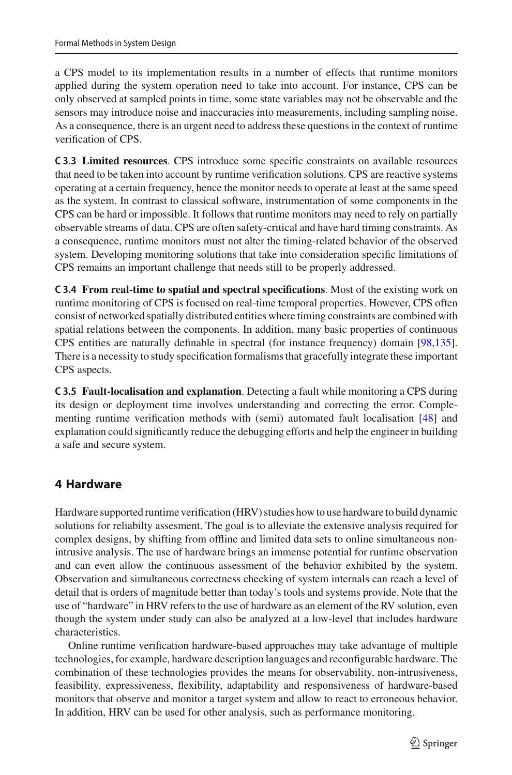a CPS model to its implementation results in a number of effects that runtime monitors applied during the system operation need to take into account. For instance, CPS can be only observed at sampled points in time, some state variables may not be observable and the sensors may introduce noise and inaccuracies into measurements, including sampling noise. As a consequence, there is an urgent need to address these questions in the context of runtime verification of CPS.

**C 3.3 Limited resources**. CPS introduce some specific constraints on available resources that need to be taken into account by runtime verification solutions. CPS are reactive systems operating at a certain frequency, hence the monitor needs to operate at least at the same speed as the system. In contrast to classical software, instrumentation of some components in the CPS can be hard or impossible. It follows that runtime monitors may need to rely on partially observable streams of data. CPS are often safety-critical and have hard timing constraints. As a consequence, runtime monitors must not alter the timing-related behavior of the observed system. Developing monitoring solutions that take into consideration specific limitations of CPS remains an important challenge that needs still to be properly addressed.

**C 3.4 From real-time to spatial and spectral specifications**. Most of the existing work on runtime monitoring of CPS is focused on real-time temporal properties. However, CPS often consist of networked spatially distributed entities where timing constraints are combined with spatial relations between the components. In addition, many basic properties of continuous CPS entities are naturally definable in spectral (for instance frequency) domain [\[98](#page-46-8)[,135\]](#page-48-15). There is a necessity to study specification formalisms that gracefully integrate these important CPS aspects.

**C 3.5 Fault-localisation and explanation**. Detecting a fault while monitoring a CPS during its design or deployment time involves understanding and correcting the error. Complementing runtime verification methods with (semi) automated fault localisation [\[48](#page-44-9)] and explanation could significantly reduce the debugging efforts and help the engineer in building a safe and secure system.

## <span id="page-12-0"></span>**4 Hardware**

Hardware supported runtime verification (HRV) studies how to use hardware to build dynamic solutions for reliabilty assesment. The goal is to alleviate the extensive analysis required for complex designs, by shifting from offline and limited data sets to online simultaneous nonintrusive analysis. The use of hardware brings an immense potential for runtime observation and can even allow the continuous assessment of the behavior exhibited by the system. Observation and simultaneous correctness checking of system internals can reach a level of detail that is orders of magnitude better than today's tools and systems provide. Note that the use of "hardware" in HRV refers to the use of hardware as an element of the RV solution, even though the system under study can also be analyzed at a low-level that includes hardware characteristics.

Online runtime verification hardware-based approaches may take advantage of multiple technologies, for example, hardware description languages and reconfigurable hardware. The combination of these technologies provides the means for observability, non-intrusiveness, feasibility, expressiveness, flexibility, adaptability and responsiveness of hardware-based monitors that observe and monitor a target system and allow to react to erroneous behavior. In addition, HRV can be used for other analysis, such as performance monitoring.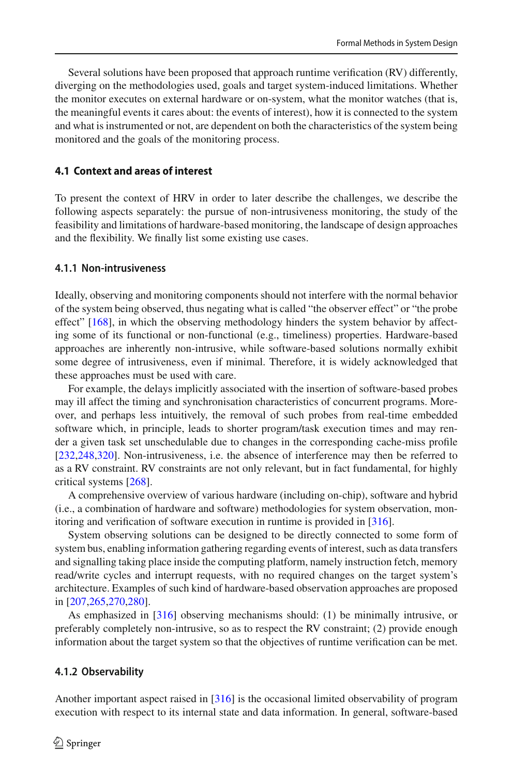Several solutions have been proposed that approach runtime verification (RV) differently, diverging on the methodologies used, goals and target system-induced limitations. Whether the monitor executes on external hardware or on-system, what the monitor watches (that is, the meaningful events it cares about: the events of interest), how it is connected to the system and what is instrumented or not, are dependent on both the characteristics of the system being monitored and the goals of the monitoring process.

#### **4.1 Context and areas of interest**

To present the context of HRV in order to later describe the challenges, we describe the following aspects separately: the pursue of non-intrusiveness monitoring, the study of the feasibility and limitations of hardware-based monitoring, the landscape of design approaches and the flexibility. We finally list some existing use cases.

#### **4.1.1 Non-intrusiveness**

Ideally, observing and monitoring components should not interfere with the normal behavior of the system being observed, thus negating what is called "the observer effect" or "the probe effect" [\[168](#page-49-13)], in which the observing methodology hinders the system behavior by affecting some of its functional or non-functional (e.g., timeliness) properties. Hardware-based approaches are inherently non-intrusive, while software-based solutions normally exhibit some degree of intrusiveness, even if minimal. Therefore, it is widely acknowledged that these approaches must be used with care.

For example, the delays implicitly associated with the insertion of software-based probes may ill affect the timing and synchronisation characteristics of concurrent programs. Moreover, and perhaps less intuitively, the removal of such probes from real-time embedded software which, in principle, leads to shorter program/task execution times and may render a given task set unschedulable due to changes in the corresponding cache-miss profile [\[232](#page-51-9)[,248](#page-52-8)[,320\]](#page-55-7). Non-intrusiveness, i.e. the absence of interference may then be referred to as a RV constraint. RV constraints are not only relevant, but in fact fundamental, for highly critical systems [\[268\]](#page-53-3).

A comprehensive overview of various hardware (including on-chip), software and hybrid (i.e., a combination of hardware and software) methodologies for system observation, monitoring and verification of software execution in runtime is provided in [\[316](#page-55-8)].

System observing solutions can be designed to be directly connected to some form of system bus, enabling information gathering regarding events of interest, such as data transfers and signalling taking place inside the computing platform, namely instruction fetch, memory read/write cycles and interrupt requests, with no required changes on the target system's architecture. Examples of such kind of hardware-based observation approaches are proposed in [\[207](#page-50-7)[,265](#page-53-4)[,270](#page-53-5)[,280\]](#page-53-6).

As emphasized in [\[316\]](#page-55-8) observing mechanisms should: (1) be minimally intrusive, or preferably completely non-intrusive, so as to respect the RV constraint; (2) provide enough information about the target system so that the objectives of runtime verification can be met.

### **4.1.2 Observability**

Another important aspect raised in [\[316\]](#page-55-8) is the occasional limited observability of program execution with respect to its internal state and data information. In general, software-based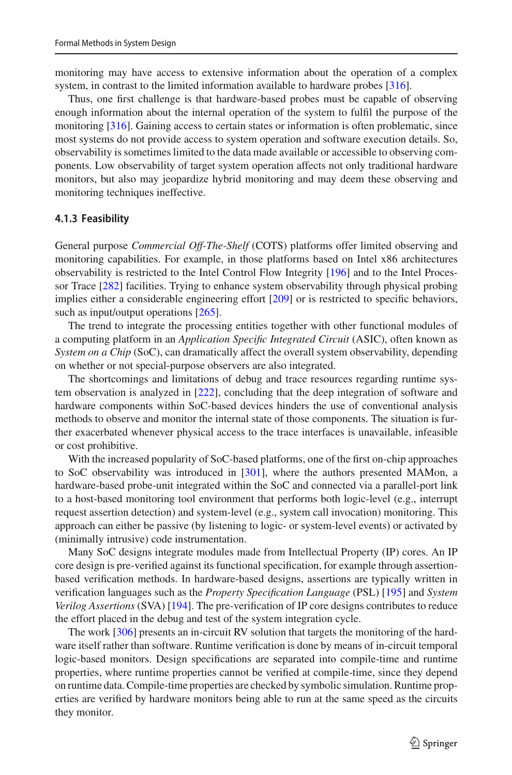monitoring may have access to extensive information about the operation of a complex system, in contrast to the limited information available to hardware probes [\[316](#page-55-8)].

Thus, one first challenge is that hardware-based probes must be capable of observing enough information about the internal operation of the system to fulfil the purpose of the monitoring [\[316\]](#page-55-8). Gaining access to certain states or information is often problematic, since most systems do not provide access to system operation and software execution details. So, observability is sometimes limited to the data made available or accessible to observing components. Low observability of target system operation affects not only traditional hardware monitors, but also may jeopardize hybrid monitoring and may deem these observing and monitoring techniques ineffective.

#### **4.1.3 Feasibility**

General purpose *Commercial Off-The-Shelf* (COTS) platforms offer limited observing and monitoring capabilities. For example, in those platforms based on Intel x86 architectures observability is restricted to the Intel Control Flow Integrity [\[196](#page-50-8)] and to the Intel Processor Trace [\[282](#page-53-7)] facilities. Trying to enhance system observability through physical probing implies either a considerable engineering effort [\[209](#page-50-9)] or is restricted to specific behaviors, such as input/output operations [\[265\]](#page-53-4).

The trend to integrate the processing entities together with other functional modules of a computing platform in an *Application Specific Integrated Circuit* (ASIC), often known as *System on a Chip* (SoC), can dramatically affect the overall system observability, depending on whether or not special-purpose observers are also integrated.

The shortcomings and limitations of debug and trace resources regarding runtime system observation is analyzed in [\[222](#page-51-10)], concluding that the deep integration of software and hardware components within SoC-based devices hinders the use of conventional analysis methods to observe and monitor the internal state of those components. The situation is further exacerbated whenever physical access to the trace interfaces is unavailable, infeasible or cost prohibitive.

With the increased popularity of SoC-based platforms, one of the first on-chip approaches to SoC observability was introduced in [\[301](#page-54-4)], where the authors presented MAMon, a hardware-based probe-unit integrated within the SoC and connected via a parallel-port link to a host-based monitoring tool environment that performs both logic-level (e.g., interrupt request assertion detection) and system-level (e.g., system call invocation) monitoring. This approach can either be passive (by listening to logic- or system-level events) or activated by (minimally intrusive) code instrumentation.

Many SoC designs integrate modules made from Intellectual Property (IP) cores. An IP core design is pre-verified against its functional specification, for example through assertionbased verification methods. In hardware-based designs, assertions are typically written in verification languages such as the *Property Specification Language* (PSL) [\[195](#page-50-10)] and *System Verilog Assertions* (SVA) [\[194](#page-50-11)]. The pre-verification of IP core designs contributes to reduce the effort placed in the debug and test of the system integration cycle.

The work [\[306](#page-54-5)] presents an in-circuit RV solution that targets the monitoring of the hardware itself rather than software. Runtime verification is done by means of in-circuit temporal logic-based monitors. Design specifications are separated into compile-time and runtime properties, where runtime properties cannot be verified at compile-time, since they depend on runtime data. Compile-time properties are checked by symbolic simulation. Runtime properties are verified by hardware monitors being able to run at the same speed as the circuits they monitor.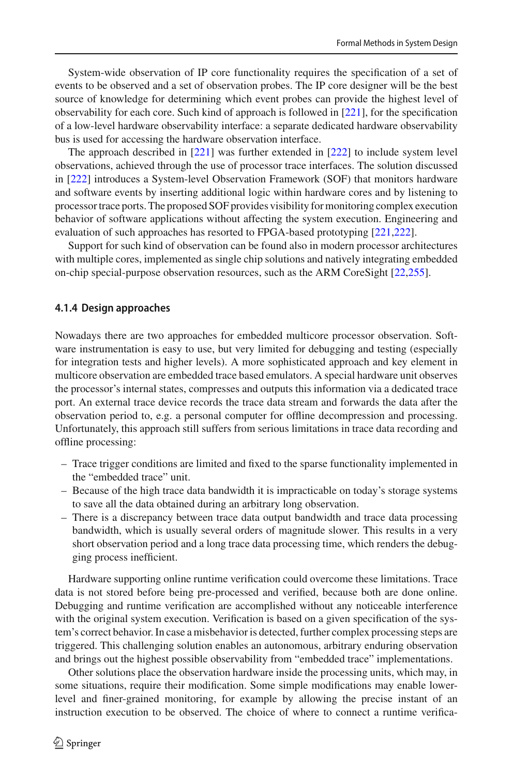System-wide observation of IP core functionality requires the specification of a set of events to be observed and a set of observation probes. The IP core designer will be the best source of knowledge for determining which event probes can provide the highest level of observability for each core. Such kind of approach is followed in [\[221](#page-51-11)], for the specification of a low-level hardware observability interface: a separate dedicated hardware observability bus is used for accessing the hardware observation interface.

The approach described in [\[221\]](#page-51-11) was further extended in [\[222](#page-51-10)] to include system level observations, achieved through the use of processor trace interfaces. The solution discussed in [\[222\]](#page-51-10) introduces a System-level Observation Framework (SOF) that monitors hardware and software events by inserting additional logic within hardware cores and by listening to processor trace ports. The proposed SOF provides visibility for monitoring complex execution behavior of software applications without affecting the system execution. Engineering and evaluation of such approaches has resorted to FPGA-based prototyping [\[221](#page-51-11)[,222\]](#page-51-10).

Support for such kind of observation can be found also in modern processor architectures with multiple cores, implemented as single chip solutions and natively integrating embedded on-chip special-purpose observation resources, such as the ARM CoreSight [\[22](#page-43-10)[,255\]](#page-52-9).

### **4.1.4 Design approaches**

Nowadays there are two approaches for embedded multicore processor observation. Software instrumentation is easy to use, but very limited for debugging and testing (especially for integration tests and higher levels). A more sophisticated approach and key element in multicore observation are embedded trace based emulators. A special hardware unit observes the processor's internal states, compresses and outputs this information via a dedicated trace port. An external trace device records the trace data stream and forwards the data after the observation period to, e.g. a personal computer for offline decompression and processing. Unfortunately, this approach still suffers from serious limitations in trace data recording and offline processing:

- Trace trigger conditions are limited and fixed to the sparse functionality implemented in the "embedded trace" unit.
- Because of the high trace data bandwidth it is impracticable on today's storage systems to save all the data obtained during an arbitrary long observation.
- There is a discrepancy between trace data output bandwidth and trace data processing bandwidth, which is usually several orders of magnitude slower. This results in a very short observation period and a long trace data processing time, which renders the debugging process inefficient.

Hardware supporting online runtime verification could overcome these limitations. Trace data is not stored before being pre-processed and verified, because both are done online. Debugging and runtime verification are accomplished without any noticeable interference with the original system execution. Verification is based on a given specification of the system's correct behavior. In case a misbehavior is detected, further complex processing steps are triggered. This challenging solution enables an autonomous, arbitrary enduring observation and brings out the highest possible observability from "embedded trace" implementations.

Other solutions place the observation hardware inside the processing units, which may, in some situations, require their modification. Some simple modifications may enable lowerlevel and finer-grained monitoring, for example by allowing the precise instant of an instruction execution to be observed. The choice of where to connect a runtime verifica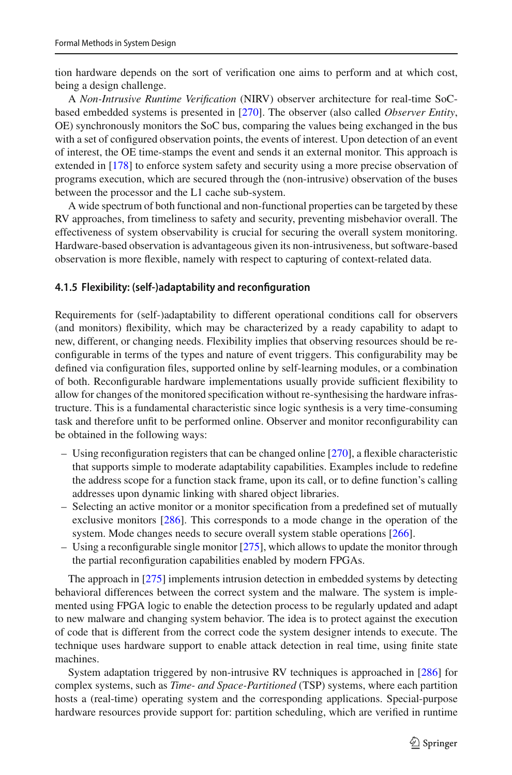tion hardware depends on the sort of verification one aims to perform and at which cost, being a design challenge.

A *Non-Intrusive Runtime Verification* (NIRV) observer architecture for real-time SoCbased embedded systems is presented in [\[270](#page-53-5)]. The observer (also called *Observer Entity*, OE) synchronously monitors the SoC bus, comparing the values being exchanged in the bus with a set of configured observation points, the events of interest. Upon detection of an event of interest, the OE time-stamps the event and sends it an external monitor. This approach is extended in [\[178\]](#page-49-14) to enforce system safety and security using a more precise observation of programs execution, which are secured through the (non-intrusive) observation of the buses between the processor and the L1 cache sub-system.

A wide spectrum of both functional and non-functional properties can be targeted by these RV approaches, from timeliness to safety and security, preventing misbehavior overall. The effectiveness of system observability is crucial for securing the overall system monitoring. Hardware-based observation is advantageous given its non-intrusiveness, but software-based observation is more flexible, namely with respect to capturing of context-related data.

#### **4.1.5 Flexibility: (self-)adaptability and reconfiguration**

Requirements for (self-)adaptability to different operational conditions call for observers (and monitors) flexibility, which may be characterized by a ready capability to adapt to new, different, or changing needs. Flexibility implies that observing resources should be reconfigurable in terms of the types and nature of event triggers. This configurability may be defined via configuration files, supported online by self-learning modules, or a combination of both. Reconfigurable hardware implementations usually provide sufficient flexibility to allow for changes of the monitored specification without re-synthesising the hardware infrastructure. This is a fundamental characteristic since logic synthesis is a very time-consuming task and therefore unfit to be performed online. Observer and monitor reconfigurability can be obtained in the following ways:

- Using reconfiguration registers that can be changed online [\[270\]](#page-53-5), a flexible characteristic that supports simple to moderate adaptability capabilities. Examples include to redefine the address scope for a function stack frame, upon its call, or to define function's calling addresses upon dynamic linking with shared object libraries.
- Selecting an active monitor or a monitor specification from a predefined set of mutually exclusive monitors [\[286\]](#page-54-6). This corresponds to a mode change in the operation of the system. Mode changes needs to secure overall system stable operations [\[266](#page-53-8)].
- Using a reconfigurable single monitor [\[275](#page-53-9)], which allows to update the monitor through the partial reconfiguration capabilities enabled by modern FPGAs.

The approach in  $[275]$  $[275]$  implements intrusion detection in embedded systems by detecting behavioral differences between the correct system and the malware. The system is implemented using FPGA logic to enable the detection process to be regularly updated and adapt to new malware and changing system behavior. The idea is to protect against the execution of code that is different from the correct code the system designer intends to execute. The technique uses hardware support to enable attack detection in real time, using finite state machines.

System adaptation triggered by non-intrusive RV techniques is approached in [\[286\]](#page-54-6) for complex systems, such as *Time- and Space-Partitioned* (TSP) systems, where each partition hosts a (real-time) operating system and the corresponding applications. Special-purpose hardware resources provide support for: partition scheduling, which are verified in runtime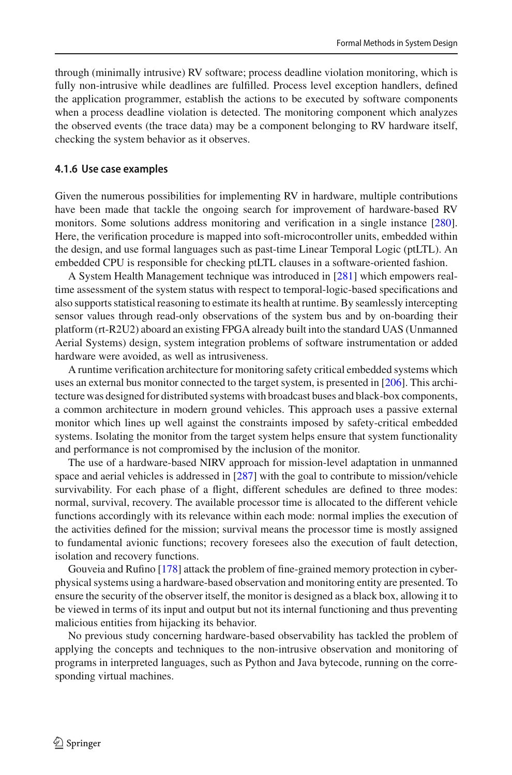through (minimally intrusive) RV software; process deadline violation monitoring, which is fully non-intrusive while deadlines are fulfilled. Process level exception handlers, defined the application programmer, establish the actions to be executed by software components when a process deadline violation is detected. The monitoring component which analyzes the observed events (the trace data) may be a component belonging to RV hardware itself, checking the system behavior as it observes.

#### **4.1.6 Use case examples**

Given the numerous possibilities for implementing RV in hardware, multiple contributions have been made that tackle the ongoing search for improvement of hardware-based RV monitors. Some solutions address monitoring and verification in a single instance [\[280\]](#page-53-6). Here, the verification procedure is mapped into soft-microcontroller units, embedded within the design, and use formal languages such as past-time Linear Temporal Logic (ptLTL). An embedded CPU is responsible for checking ptLTL clauses in a software-oriented fashion.

A System Health Management technique was introduced in [\[281\]](#page-53-10) which empowers realtime assessment of the system status with respect to temporal-logic-based specifications and also supports statistical reasoning to estimate its health at runtime. By seamlessly intercepting sensor values through read-only observations of the system bus and by on-boarding their platform (rt-R2U2) aboard an existing FPGA already built into the standard UAS (Unmanned Aerial Systems) design, system integration problems of software instrumentation or added hardware were avoided, as well as intrusiveness.

A runtime verification architecture for monitoring safety critical embedded systems which uses an external bus monitor connected to the target system, is presented in [\[206\]](#page-50-12). This architecture was designed for distributed systems with broadcast buses and black-box components, a common architecture in modern ground vehicles. This approach uses a passive external monitor which lines up well against the constraints imposed by safety-critical embedded systems. Isolating the monitor from the target system helps ensure that system functionality and performance is not compromised by the inclusion of the monitor.

The use of a hardware-based NIRV approach for mission-level adaptation in unmanned space and aerial vehicles is addressed in [\[287\]](#page-54-7) with the goal to contribute to mission/vehicle survivability. For each phase of a flight, different schedules are defined to three modes: normal, survival, recovery. The available processor time is allocated to the different vehicle functions accordingly with its relevance within each mode: normal implies the execution of the activities defined for the mission; survival means the processor time is mostly assigned to fundamental avionic functions; recovery foresees also the execution of fault detection, isolation and recovery functions.

Gouveia and Rufino [\[178\]](#page-49-14) attack the problem of fine-grained memory protection in cyberphysical systems using a hardware-based observation and monitoring entity are presented. To ensure the security of the observer itself, the monitor is designed as a black box, allowing it to be viewed in terms of its input and output but not its internal functioning and thus preventing malicious entities from hijacking its behavior.

No previous study concerning hardware-based observability has tackled the problem of applying the concepts and techniques to the non-intrusive observation and monitoring of programs in interpreted languages, such as Python and Java bytecode, running on the corresponding virtual machines.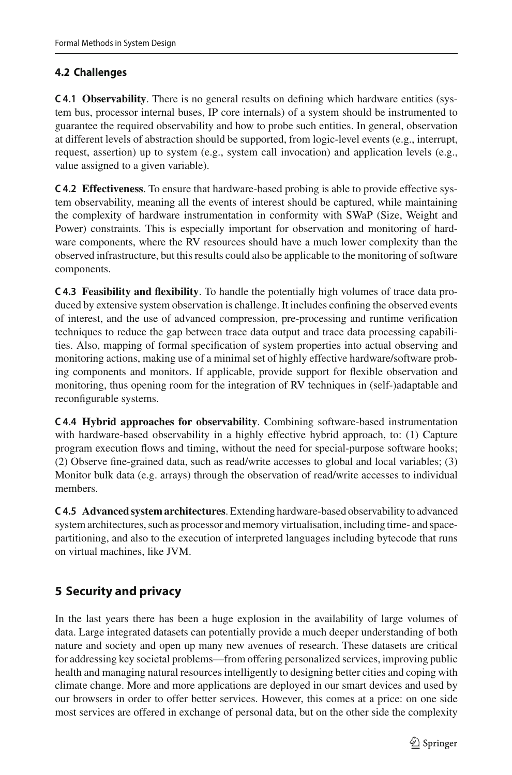## **4.2 Challenges**

**C 4.1 Observability**. There is no general results on defining which hardware entities (system bus, processor internal buses, IP core internals) of a system should be instrumented to guarantee the required observability and how to probe such entities. In general, observation at different levels of abstraction should be supported, from logic-level events (e.g., interrupt, request, assertion) up to system (e.g., system call invocation) and application levels (e.g., value assigned to a given variable).

**C 4.2 Effectiveness**. To ensure that hardware-based probing is able to provide effective system observability, meaning all the events of interest should be captured, while maintaining the complexity of hardware instrumentation in conformity with SWaP (Size, Weight and Power) constraints. This is especially important for observation and monitoring of hardware components, where the RV resources should have a much lower complexity than the observed infrastructure, but this results could also be applicable to the monitoring of software components.

**C 4.3 Feasibility and flexibility**. To handle the potentially high volumes of trace data produced by extensive system observation is challenge. It includes confining the observed events of interest, and the use of advanced compression, pre-processing and runtime verification techniques to reduce the gap between trace data output and trace data processing capabilities. Also, mapping of formal specification of system properties into actual observing and monitoring actions, making use of a minimal set of highly effective hardware/software probing components and monitors. If applicable, provide support for flexible observation and monitoring, thus opening room for the integration of RV techniques in (self-)adaptable and reconfigurable systems.

**C 4.4 Hybrid approaches for observability**. Combining software-based instrumentation with hardware-based observability in a highly effective hybrid approach, to: (1) Capture program execution flows and timing, without the need for special-purpose software hooks; (2) Observe fine-grained data, such as read/write accesses to global and local variables; (3) Monitor bulk data (e.g. arrays) through the observation of read/write accesses to individual members.

**C 4.5 Advanced system architectures**. Extending hardware-based observability to advanced system architectures, such as processor and memory virtualisation, including time- and spacepartitioning, and also to the execution of interpreted languages including bytecode that runs on virtual machines, like JVM.

## <span id="page-18-0"></span>**5 Security and privacy**

In the last years there has been a huge explosion in the availability of large volumes of data. Large integrated datasets can potentially provide a much deeper understanding of both nature and society and open up many new avenues of research. These datasets are critical for addressing key societal problems—from offering personalized services, improving public health and managing natural resources intelligently to designing better cities and coping with climate change. More and more applications are deployed in our smart devices and used by our browsers in order to offer better services. However, this comes at a price: on one side most services are offered in exchange of personal data, but on the other side the complexity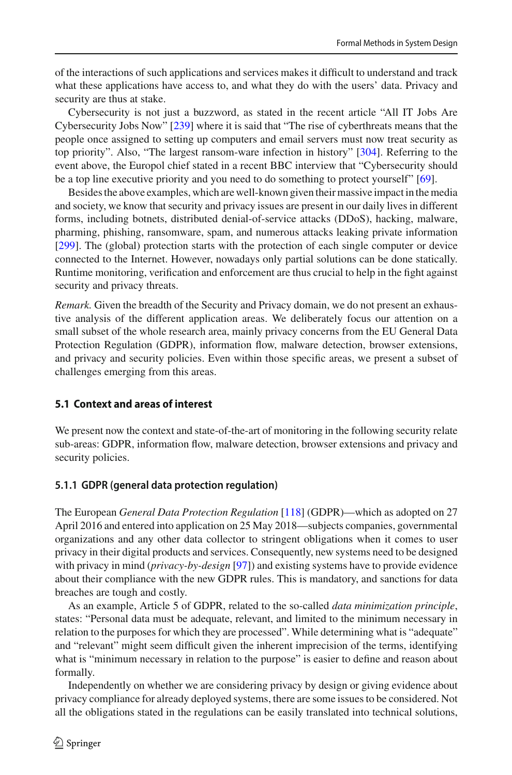of the interactions of such applications and services makes it difficult to understand and track what these applications have access to, and what they do with the users' data. Privacy and security are thus at stake.

Cybersecurity is not just a buzzword, as stated in the recent article "All IT Jobs Are Cybersecurity Jobs Now" [\[239](#page-52-10)] where it is said that "The rise of cyberthreats means that the people once assigned to setting up computers and email servers must now treat security as top priority". Also, "The largest ransom-ware infection in history" [\[304](#page-54-8)]. Referring to the event above, the Europol chief stated in a recent BBC interview that "Cybersecurity should be a top line executive priority and you need to do something to protect yourself" [\[69](#page-45-8)].

Besides the above examples, which are well-known given their massive impact in the media and society, we know that security and privacy issues are present in our daily lives in different forms, including botnets, distributed denial-of-service attacks (DDoS), hacking, malware, pharming, phishing, ransomware, spam, and numerous attacks leaking private information [\[299\]](#page-54-9). The (global) protection starts with the protection of each single computer or device connected to the Internet. However, nowadays only partial solutions can be done statically. Runtime monitoring, verification and enforcement are thus crucial to help in the fight against security and privacy threats.

*Remark.* Given the breadth of the Security and Privacy domain, we do not present an exhaustive analysis of the different application areas. We deliberately focus our attention on a small subset of the whole research area, mainly privacy concerns from the EU General Data Protection Regulation (GDPR), information flow, malware detection, browser extensions, and privacy and security policies. Even within those specific areas, we present a subset of challenges emerging from this areas.

#### **5.1 Context and areas of interest**

We present now the context and state-of-the-art of monitoring in the following security relate sub-areas: GDPR, information flow, malware detection, browser extensions and privacy and security policies.

#### **5.1.1 GDPR (general data protection regulation)**

The European *General Data Protection Regulation* [\[118\]](#page-47-11) (GDPR)—which as adopted on 27 April 2016 and entered into application on 25 May 2018—subjects companies, governmental organizations and any other data collector to stringent obligations when it comes to user privacy in their digital products and services. Consequently, new systems need to be designed with privacy in mind (*privacy-by-design* [\[97](#page-46-9)]) and existing systems have to provide evidence about their compliance with the new GDPR rules. This is mandatory, and sanctions for data breaches are tough and costly.

As an example, Article 5 of GDPR, related to the so-called *data minimization principle*, states: "Personal data must be adequate, relevant, and limited to the minimum necessary in relation to the purposes for which they are processed". While determining what is "adequate" and "relevant" might seem difficult given the inherent imprecision of the terms, identifying what is "minimum necessary in relation to the purpose" is easier to define and reason about formally.

Independently on whether we are considering privacy by design or giving evidence about privacy compliance for already deployed systems, there are some issues to be considered. Not all the obligations stated in the regulations can be easily translated into technical solutions,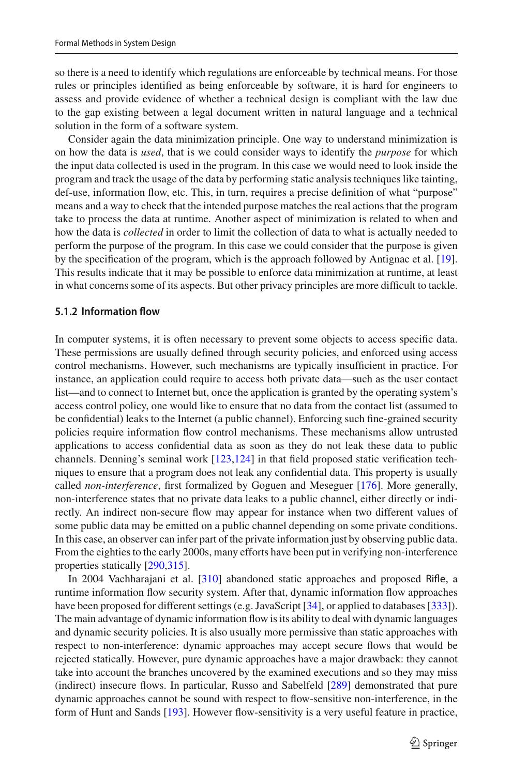so there is a need to identify which regulations are enforceable by technical means. For those rules or principles identified as being enforceable by software, it is hard for engineers to assess and provide evidence of whether a technical design is compliant with the law due to the gap existing between a legal document written in natural language and a technical solution in the form of a software system.

Consider again the data minimization principle. One way to understand minimization is on how the data is *used*, that is we could consider ways to identify the *purpose* for which the input data collected is used in the program. In this case we would need to look inside the program and track the usage of the data by performing static analysis techniques like tainting, def-use, information flow, etc. This, in turn, requires a precise definition of what "purpose" means and a way to check that the intended purpose matches the real actions that the program take to process the data at runtime. Another aspect of minimization is related to when and how the data is *collected* in order to limit the collection of data to what is actually needed to perform the purpose of the program. In this case we could consider that the purpose is given by the specification of the program, which is the approach followed by Antignac et al. [\[19\]](#page-43-11). This results indicate that it may be possible to enforce data minimization at runtime, at least in what concerns some of its aspects. But other privacy principles are more difficult to tackle.

#### **5.1.2 Information flow**

In computer systems, it is often necessary to prevent some objects to access specific data. These permissions are usually defined through security policies, and enforced using access control mechanisms. However, such mechanisms are typically insufficient in practice. For instance, an application could require to access both private data—such as the user contact list—and to connect to Internet but, once the application is granted by the operating system's access control policy, one would like to ensure that no data from the contact list (assumed to be confidential) leaks to the Internet (a public channel). Enforcing such fine-grained security policies require information flow control mechanisms. These mechanisms allow untrusted applications to access confidential data as soon as they do not leak these data to public channels. Denning's seminal work [\[123](#page-47-12)[,124](#page-47-13)] in that field proposed static verification techniques to ensure that a program does not leak any confidential data. This property is usually called *non-interference*, first formalized by Goguen and Meseguer [\[176\]](#page-49-15). More generally, non-interference states that no private data leaks to a public channel, either directly or indirectly. An indirect non-secure flow may appear for instance when two different values of some public data may be emitted on a public channel depending on some private conditions. In this case, an observer can infer part of the private information just by observing public data. From the eighties to the early 2000s, many efforts have been put in verifying non-interference properties statically [\[290](#page-54-10)[,315\]](#page-55-9).

In 2004 Vachharajani et al. [\[310](#page-55-10)] abandoned static approaches and proposed Rifle, a runtime information flow security system. After that, dynamic information flow approaches have been proposed for different settings (e.g. JavaScript [\[34\]](#page-43-12), or applied to databases [\[333](#page-56-1)]). The main advantage of dynamic information flow is its ability to deal with dynamic languages and dynamic security policies. It is also usually more permissive than static approaches with respect to non-interference: dynamic approaches may accept secure flows that would be rejected statically. However, pure dynamic approaches have a major drawback: they cannot take into account the branches uncovered by the examined executions and so they may miss (indirect) insecure flows. In particular, Russo and Sabelfeld [\[289](#page-54-11)] demonstrated that pure dynamic approaches cannot be sound with respect to flow-sensitive non-interference, in the form of Hunt and Sands [\[193\]](#page-50-13). However flow-sensitivity is a very useful feature in practice,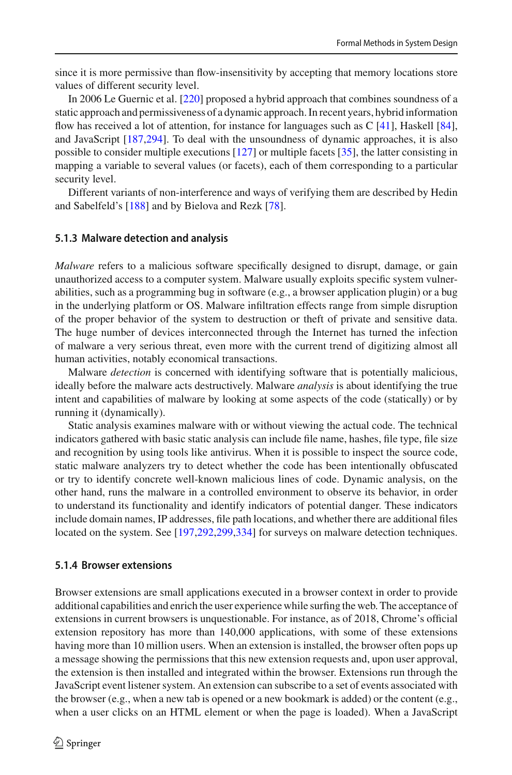since it is more permissive than flow-insensitivity by accepting that memory locations store values of different security level.

In 2006 Le Guernic et al. [\[220\]](#page-51-12) proposed a hybrid approach that combines soundness of a static approach and permissiveness of a dynamic approach. In recent years, hybrid information flow has received a lot of attention, for instance for languages such as  $C$  [\[41\]](#page-44-10), Haskell [\[84\]](#page-45-9), and JavaScript [\[187](#page-50-14)[,294\]](#page-54-12). To deal with the unsoundness of dynamic approaches, it is also possible to consider multiple executions [\[127](#page-47-14)] or multiple facets [\[35](#page-43-13)], the latter consisting in mapping a variable to several values (or facets), each of them corresponding to a particular security level.

Different variants of non-interference and ways of verifying them are described by Hedin and Sabelfeld's [\[188](#page-50-15)] and by Bielova and Rezk [\[78](#page-45-10)].

#### **5.1.3 Malware detection and analysis**

*Malware* refers to a malicious software specifically designed to disrupt, damage, or gain unauthorized access to a computer system. Malware usually exploits specific system vulnerabilities, such as a programming bug in software (e.g., a browser application plugin) or a bug in the underlying platform or OS. Malware infiltration effects range from simple disruption of the proper behavior of the system to destruction or theft of private and sensitive data. The huge number of devices interconnected through the Internet has turned the infection of malware a very serious threat, even more with the current trend of digitizing almost all human activities, notably economical transactions.

Malware *detection* is concerned with identifying software that is potentially malicious, ideally before the malware acts destructively. Malware *analysis* is about identifying the true intent and capabilities of malware by looking at some aspects of the code (statically) or by running it (dynamically).

Static analysis examines malware with or without viewing the actual code. The technical indicators gathered with basic static analysis can include file name, hashes, file type, file size and recognition by using tools like antivirus. When it is possible to inspect the source code, static malware analyzers try to detect whether the code has been intentionally obfuscated or try to identify concrete well-known malicious lines of code. Dynamic analysis, on the other hand, runs the malware in a controlled environment to observe its behavior, in order to understand its functionality and identify indicators of potential danger. These indicators include domain names, IP addresses, file path locations, and whether there are additional files located on the system. See [\[197](#page-50-16)[,292](#page-54-13)[,299](#page-54-9)[,334\]](#page-56-2) for surveys on malware detection techniques.

#### **5.1.4 Browser extensions**

Browser extensions are small applications executed in a browser context in order to provide additional capabilities and enrich the user experience while surfing the web. The acceptance of extensions in current browsers is unquestionable. For instance, as of 2018, Chrome's official extension repository has more than 140,000 applications, with some of these extensions having more than 10 million users. When an extension is installed, the browser often pops up a message showing the permissions that this new extension requests and, upon user approval, the extension is then installed and integrated within the browser. Extensions run through the JavaScript event listener system. An extension can subscribe to a set of events associated with the browser (e.g., when a new tab is opened or a new bookmark is added) or the content (e.g., when a user clicks on an HTML element or when the page is loaded). When a JavaScript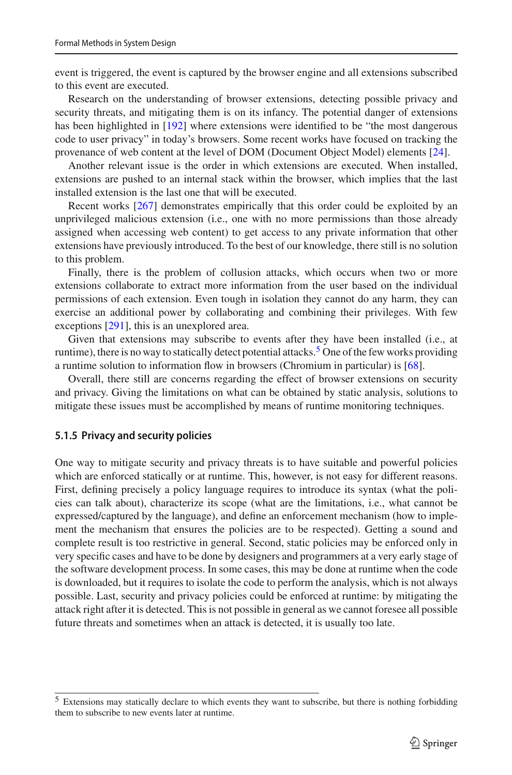event is triggered, the event is captured by the browser engine and all extensions subscribed to this event are executed.

Research on the understanding of browser extensions, detecting possible privacy and security threats, and mitigating them is on its infancy. The potential danger of extensions has been highlighted in [\[192](#page-50-17)] where extensions were identified to be "the most dangerous code to user privacy" in today's browsers. Some recent works have focused on tracking the provenance of web content at the level of DOM (Document Object Model) elements [\[24](#page-43-14)].

Another relevant issue is the order in which extensions are executed. When installed, extensions are pushed to an internal stack within the browser, which implies that the last installed extension is the last one that will be executed.

Recent works [\[267\]](#page-53-11) demonstrates empirically that this order could be exploited by an unprivileged malicious extension (i.e., one with no more permissions than those already assigned when accessing web content) to get access to any private information that other extensions have previously introduced. To the best of our knowledge, there still is no solution to this problem.

Finally, there is the problem of collusion attacks, which occurs when two or more extensions collaborate to extract more information from the user based on the individual permissions of each extension. Even tough in isolation they cannot do any harm, they can exercise an additional power by collaborating and combining their privileges. With few exceptions [\[291](#page-54-14)], this is an unexplored area.

Given that extensions may subscribe to events after they have been installed (i.e., at runtime), there is no way to statically detect potential attacks.<sup>[5](#page-22-0)</sup> One of the few works providing a runtime solution to information flow in browsers (Chromium in particular) is [\[68\]](#page-45-11).

Overall, there still are concerns regarding the effect of browser extensions on security and privacy. Giving the limitations on what can be obtained by static analysis, solutions to mitigate these issues must be accomplished by means of runtime monitoring techniques.

#### **5.1.5 Privacy and security policies**

One way to mitigate security and privacy threats is to have suitable and powerful policies which are enforced statically or at runtime. This, however, is not easy for different reasons. First, defining precisely a policy language requires to introduce its syntax (what the policies can talk about), characterize its scope (what are the limitations, i.e., what cannot be expressed/captured by the language), and define an enforcement mechanism (how to implement the mechanism that ensures the policies are to be respected). Getting a sound and complete result is too restrictive in general. Second, static policies may be enforced only in very specific cases and have to be done by designers and programmers at a very early stage of the software development process. In some cases, this may be done at runtime when the code is downloaded, but it requires to isolate the code to perform the analysis, which is not always possible. Last, security and privacy policies could be enforced at runtime: by mitigating the attack right after it is detected. This is not possible in general as we cannot foresee all possible future threats and sometimes when an attack is detected, it is usually too late.

<span id="page-22-0"></span><sup>5</sup> Extensions may statically declare to which events they want to subscribe, but there is nothing forbidding them to subscribe to new events later at runtime.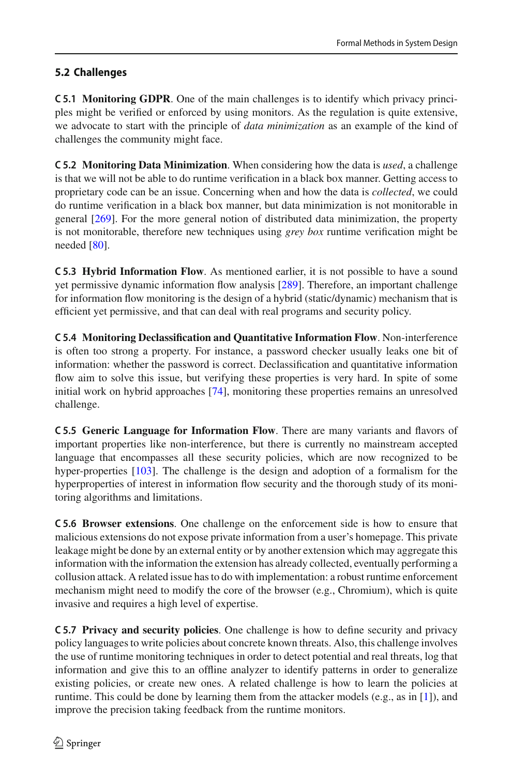## **5.2 Challenges**

**C 5.1 Monitoring GDPR**. One of the main challenges is to identify which privacy principles might be verified or enforced by using monitors. As the regulation is quite extensive, we advocate to start with the principle of *data minimization* as an example of the kind of challenges the community might face.

**C 5.2 Monitoring Data Minimization**. When considering how the data is *used*, a challenge is that we will not be able to do runtime verification in a black box manner. Getting access to proprietary code can be an issue. Concerning when and how the data is *collected*, we could do runtime verification in a black box manner, but data minimization is not monitorable in general [\[269\]](#page-53-12). For the more general notion of distributed data minimization, the property is not monitorable, therefore new techniques using *grey box* runtime verification might be needed [\[80\]](#page-45-12).

**C 5.3 Hybrid Information Flow**. As mentioned earlier, it is not possible to have a sound yet permissive dynamic information flow analysis [\[289\]](#page-54-11). Therefore, an important challenge for information flow monitoring is the design of a hybrid (static/dynamic) mechanism that is efficient yet permissive, and that can deal with real programs and security policy.

**C 5.4 Monitoring Declassification and Quantitative Information Flow**. Non-interference is often too strong a property. For instance, a password checker usually leaks one bit of information: whether the password is correct. Declassification and quantitative information flow aim to solve this issue, but verifying these properties is very hard. In spite of some initial work on hybrid approaches [\[74\]](#page-45-13), monitoring these properties remains an unresolved challenge.

**C 5.5 Generic Language for Information Flow**. There are many variants and flavors of important properties like non-interference, but there is currently no mainstream accepted language that encompasses all these security policies, which are now recognized to be hyper-properties [\[103](#page-46-10)]. The challenge is the design and adoption of a formalism for the hyperproperties of interest in information flow security and the thorough study of its monitoring algorithms and limitations.

**C 5.6 Browser extensions**. One challenge on the enforcement side is how to ensure that malicious extensions do not expose private information from a user's homepage. This private leakage might be done by an external entity or by another extension which may aggregate this information with the information the extension has already collected, eventually performing a collusion attack. A related issue has to do with implementation: a robust runtime enforcement mechanism might need to modify the core of the browser (e.g., Chromium), which is quite invasive and requires a high level of expertise.

**C 5.7 Privacy and security policies**. One challenge is how to define security and privacy policy languages to write policies about concrete known threats. Also, this challenge involves the use of runtime monitoring techniques in order to detect potential and real threats, log that information and give this to an offline analyzer to identify patterns in order to generalize existing policies, or create new ones. A related challenge is how to learn the policies at runtime. This could be done by learning them from the attacker models (e.g., as in [\[1](#page-42-11)]), and improve the precision taking feedback from the runtime monitors.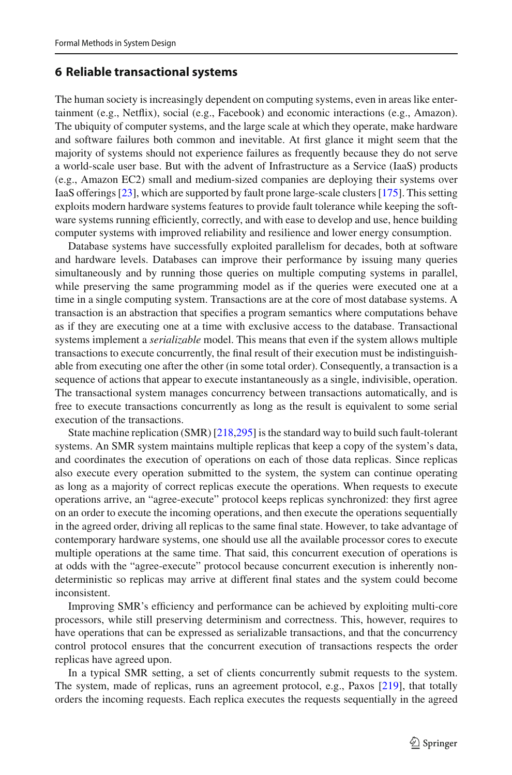#### <span id="page-24-0"></span>**6 Reliable transactional systems**

The human society is increasingly dependent on computing systems, even in areas like entertainment (e.g., Netflix), social (e.g., Facebook) and economic interactions (e.g., Amazon). The ubiquity of computer systems, and the large scale at which they operate, make hardware and software failures both common and inevitable. At first glance it might seem that the majority of systems should not experience failures as frequently because they do not serve a world-scale user base. But with the advent of Infrastructure as a Service (IaaS) products (e.g., Amazon EC2) small and medium-sized companies are deploying their systems over IaaS offerings [\[23\]](#page-43-15), which are supported by fault prone large-scale clusters [\[175](#page-49-16)]. This setting exploits modern hardware systems features to provide fault tolerance while keeping the software systems running efficiently, correctly, and with ease to develop and use, hence building computer systems with improved reliability and resilience and lower energy consumption.

Database systems have successfully exploited parallelism for decades, both at software and hardware levels. Databases can improve their performance by issuing many queries simultaneously and by running those queries on multiple computing systems in parallel, while preserving the same programming model as if the queries were executed one at a time in a single computing system. Transactions are at the core of most database systems. A transaction is an abstraction that specifies a program semantics where computations behave as if they are executing one at a time with exclusive access to the database. Transactional systems implement a *serializable* model. This means that even if the system allows multiple transactions to execute concurrently, the final result of their execution must be indistinguishable from executing one after the other (in some total order). Consequently, a transaction is a sequence of actions that appear to execute instantaneously as a single, indivisible, operation. The transactional system manages concurrency between transactions automatically, and is free to execute transactions concurrently as long as the result is equivalent to some serial execution of the transactions.

State machine replication (SMR) [\[218](#page-51-13)[,295](#page-54-15)] is the standard way to build such fault-tolerant systems. An SMR system maintains multiple replicas that keep a copy of the system's data, and coordinates the execution of operations on each of those data replicas. Since replicas also execute every operation submitted to the system, the system can continue operating as long as a majority of correct replicas execute the operations. When requests to execute operations arrive, an "agree-execute" protocol keeps replicas synchronized: they first agree on an order to execute the incoming operations, and then execute the operations sequentially in the agreed order, driving all replicas to the same final state. However, to take advantage of contemporary hardware systems, one should use all the available processor cores to execute multiple operations at the same time. That said, this concurrent execution of operations is at odds with the "agree-execute" protocol because concurrent execution is inherently nondeterministic so replicas may arrive at different final states and the system could become inconsistent.

Improving SMR's efficiency and performance can be achieved by exploiting multi-core processors, while still preserving determinism and correctness. This, however, requires to have operations that can be expressed as serializable transactions, and that the concurrency control protocol ensures that the concurrent execution of transactions respects the order replicas have agreed upon.

In a typical SMR setting, a set of clients concurrently submit requests to the system. The system, made of replicas, runs an agreement protocol, e.g., Paxos [\[219](#page-51-14)], that totally orders the incoming requests. Each replica executes the requests sequentially in the agreed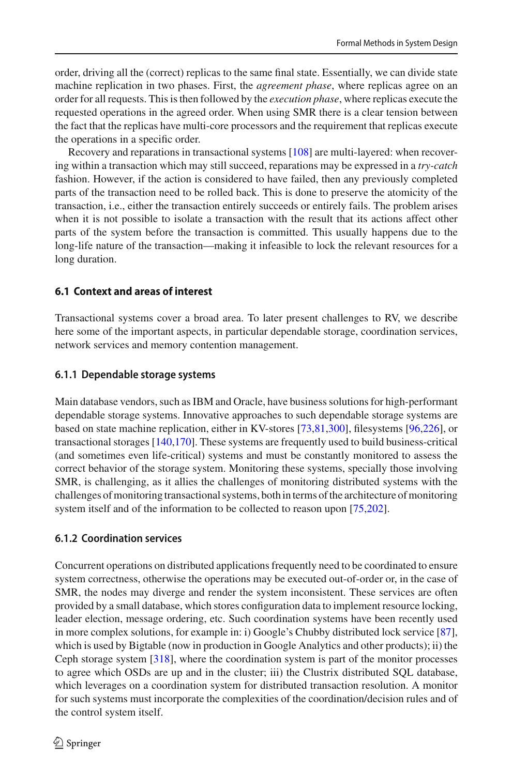order, driving all the (correct) replicas to the same final state. Essentially, we can divide state machine replication in two phases. First, the *agreement phase*, where replicas agree on an order for all requests. This is then followed by the *execution phase*, where replicas execute the requested operations in the agreed order. When using SMR there is a clear tension between the fact that the replicas have multi-core processors and the requirement that replicas execute the operations in a specific order.

Recovery and reparations in transactional systems [\[108](#page-46-11)] are multi-layered: when recovering within a transaction which may still succeed, reparations may be expressed in a *try-catch* fashion. However, if the action is considered to have failed, then any previously completed parts of the transaction need to be rolled back. This is done to preserve the atomicity of the transaction, i.e., either the transaction entirely succeeds or entirely fails. The problem arises when it is not possible to isolate a transaction with the result that its actions affect other parts of the system before the transaction is committed. This usually happens due to the long-life nature of the transaction—making it infeasible to lock the relevant resources for a long duration.

#### **6.1 Context and areas of interest**

Transactional systems cover a broad area. To later present challenges to RV, we describe here some of the important aspects, in particular dependable storage, coordination services, network services and memory contention management.

#### **6.1.1 Dependable storage systems**

Main database vendors, such as IBM and Oracle, have business solutions for high-performant dependable storage systems. Innovative approaches to such dependable storage systems are based on state machine replication, either in KV-stores [\[73](#page-45-14)[,81](#page-45-15)[,300](#page-54-16)], filesystems [\[96](#page-46-12)[,226](#page-51-15)], or transactional storages [\[140](#page-48-16)[,170](#page-49-17)]. These systems are frequently used to build business-critical (and sometimes even life-critical) systems and must be constantly monitored to assess the correct behavior of the storage system. Monitoring these systems, specially those involving SMR, is challenging, as it allies the challenges of monitoring distributed systems with the challenges of monitoring transactional systems, both in terms of the architecture of monitoring system itself and of the information to be collected to reason upon [\[75](#page-45-16)[,202](#page-50-18)].

### **6.1.2 Coordination services**

Concurrent operations on distributed applications frequently need to be coordinated to ensure system correctness, otherwise the operations may be executed out-of-order or, in the case of SMR, the nodes may diverge and render the system inconsistent. These services are often provided by a small database, which stores configuration data to implement resource locking, leader election, message ordering, etc. Such coordination systems have been recently used in more complex solutions, for example in: i) Google's Chubby distributed lock service [\[87\]](#page-46-13), which is used by Bigtable (now in production in Google Analytics and other products); ii) the Ceph storage system [\[318\]](#page-55-11), where the coordination system is part of the monitor processes to agree which OSDs are up and in the cluster; iii) the Clustrix distributed SQL database, which leverages on a coordination system for distributed transaction resolution. A monitor for such systems must incorporate the complexities of the coordination/decision rules and of the control system itself.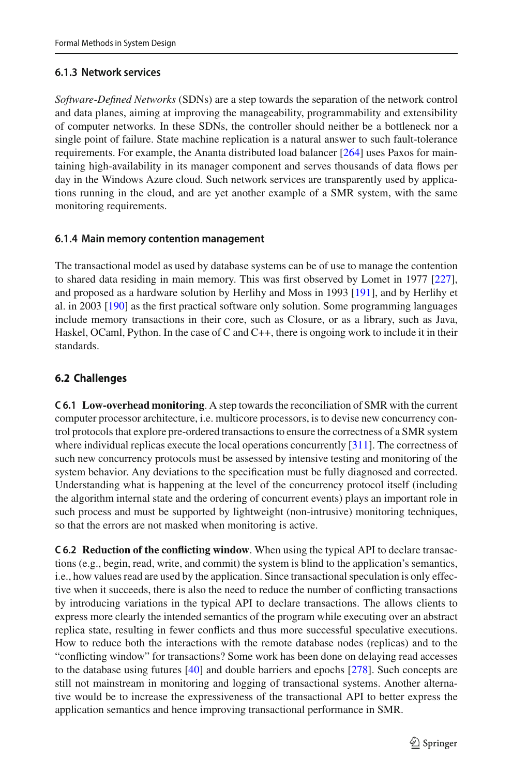### **6.1.3 Network services**

*Software-Defined Networks* (SDNs) are a step towards the separation of the network control and data planes, aiming at improving the manageability, programmability and extensibility of computer networks. In these SDNs, the controller should neither be a bottleneck nor a single point of failure. State machine replication is a natural answer to such fault-tolerance requirements. For example, the Ananta distributed load balancer [\[264](#page-53-13)] uses Paxos for maintaining high-availability in its manager component and serves thousands of data flows per day in the Windows Azure cloud. Such network services are transparently used by applications running in the cloud, and are yet another example of a SMR system, with the same monitoring requirements.

### **6.1.4 Main memory contention management**

The transactional model as used by database systems can be of use to manage the contention to shared data residing in main memory. This was first observed by Lomet in 1977 [\[227\]](#page-51-16), and proposed as a hardware solution by Herlihy and Moss in 1993 [\[191\]](#page-50-19), and by Herlihy et al. in 2003 [\[190\]](#page-50-20) as the first practical software only solution. Some programming languages include memory transactions in their core, such as Closure, or as a library, such as Java, Haskel, OCaml, Python. In the case of C and C++, there is ongoing work to include it in their standards.

## **6.2 Challenges**

**C 6.1 Low-overhead monitoring**. A step towards the reconciliation of SMR with the current computer processor architecture, i.e. multicore processors, is to devise new concurrency control protocols that explore pre-ordered transactions to ensure the correctness of a SMR system where individual replicas execute the local operations concurrently [\[311\]](#page-55-12). The correctness of such new concurrency protocols must be assessed by intensive testing and monitoring of the system behavior. Any deviations to the specification must be fully diagnosed and corrected. Understanding what is happening at the level of the concurrency protocol itself (including the algorithm internal state and the ordering of concurrent events) plays an important role in such process and must be supported by lightweight (non-intrusive) monitoring techniques, so that the errors are not masked when monitoring is active.

**C 6.2 Reduction of the conflicting window**. When using the typical API to declare transactions (e.g., begin, read, write, and commit) the system is blind to the application's semantics, i.e., how values read are used by the application. Since transactional speculation is only effective when it succeeds, there is also the need to reduce the number of conflicting transactions by introducing variations in the typical API to declare transactions. The allows clients to express more clearly the intended semantics of the program while executing over an abstract replica state, resulting in fewer conflicts and thus more successful speculative executions. How to reduce both the interactions with the remote database nodes (replicas) and to the "conflicting window" for transactions? Some work has been done on delaying read accesses to the database using futures [\[40](#page-43-16)] and double barriers and epochs [\[278\]](#page-53-14). Such concepts are still not mainstream in monitoring and logging of transactional systems. Another alternative would be to increase the expressiveness of the transactional API to better express the application semantics and hence improving transactional performance in SMR.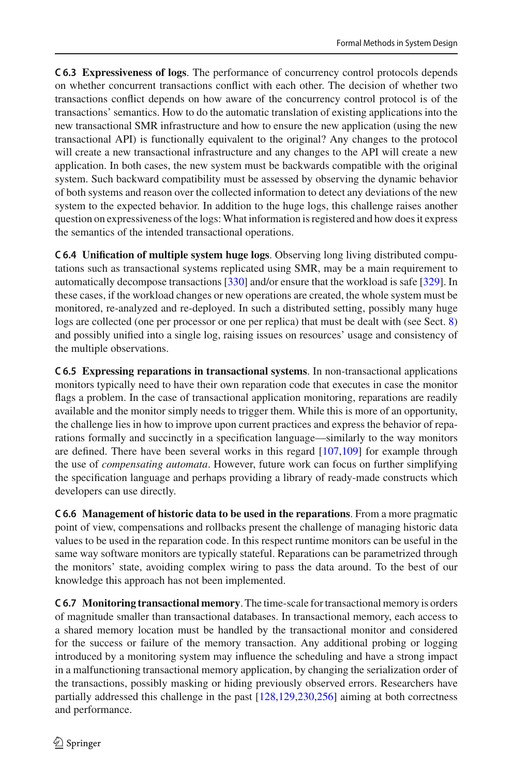**C 6.3 Expressiveness of logs**. The performance of concurrency control protocols depends on whether concurrent transactions conflict with each other. The decision of whether two transactions conflict depends on how aware of the concurrency control protocol is of the transactions' semantics. How to do the automatic translation of existing applications into the new transactional SMR infrastructure and how to ensure the new application (using the new transactional API) is functionally equivalent to the original? Any changes to the protocol will create a new transactional infrastructure and any changes to the API will create a new application. In both cases, the new system must be backwards compatible with the original system. Such backward compatibility must be assessed by observing the dynamic behavior of both systems and reason over the collected information to detect any deviations of the new system to the expected behavior. In addition to the huge logs, this challenge raises another question on expressiveness of the logs: What information is registered and how does it express the semantics of the intended transactional operations.

**C 6.4 Unification of multiple system huge logs**. Observing long living distributed computations such as transactional systems replicated using SMR, may be a main requirement to automatically decompose transactions [\[330\]](#page-55-13) and/or ensure that the workload is safe [\[329\]](#page-55-14). In these cases, if the workload changes or new operations are created, the whole system must be monitored, re-analyzed and re-deployed. In such a distributed setting, possibly many huge logs are collected (one per processor or one per replica) that must be dealt with (see Sect. [8\)](#page-34-0) and possibly unified into a single log, raising issues on resources' usage and consistency of the multiple observations.

**C 6.5 Expressing reparations in transactional systems**. In non-transactional applications monitors typically need to have their own reparation code that executes in case the monitor flags a problem. In the case of transactional application monitoring, reparations are readily available and the monitor simply needs to trigger them. While this is more of an opportunity, the challenge lies in how to improve upon current practices and express the behavior of reparations formally and succinctly in a specification language—similarly to the way monitors are defined. There have been several works in this regard [\[107](#page-46-14)[,109\]](#page-46-15) for example through the use of *compensating automata*. However, future work can focus on further simplifying the specification language and perhaps providing a library of ready-made constructs which developers can use directly.

**C 6.6 Management of historic data to be used in the reparations**. From a more pragmatic point of view, compensations and rollbacks present the challenge of managing historic data values to be used in the reparation code. In this respect runtime monitors can be useful in the same way software monitors are typically stateful. Reparations can be parametrized through the monitors' state, avoiding complex wiring to pass the data around. To the best of our knowledge this approach has not been implemented.

**C 6.7 Monitoring transactional memory**. The time-scale for transactional memory is orders of magnitude smaller than transactional databases. In transactional memory, each access to a shared memory location must be handled by the transactional monitor and considered for the success or failure of the memory transaction. Any additional probing or logging introduced by a monitoring system may influence the scheduling and have a strong impact in a malfunctioning transactional memory application, by changing the serialization order of the transactions, possibly masking or hiding previously observed errors. Researchers have partially addressed this challenge in the past [\[128](#page-47-15)[,129](#page-47-16)[,230](#page-51-17)[,256](#page-52-11)] aiming at both correctness and performance.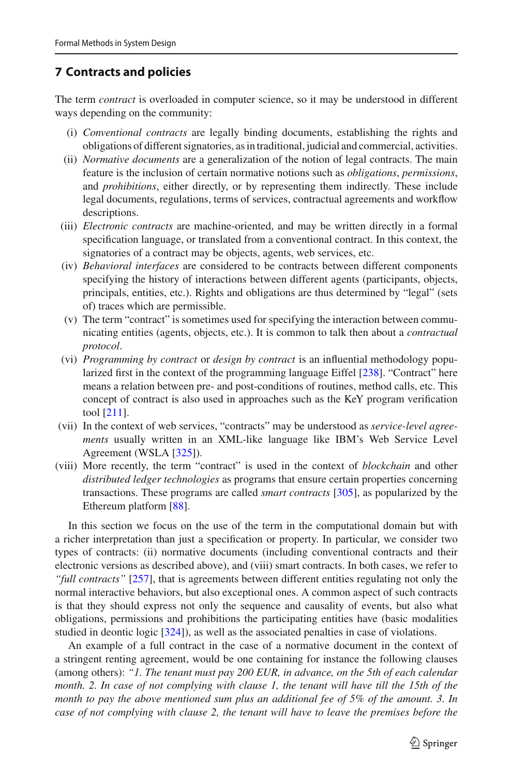## <span id="page-28-0"></span>**7 Contracts and policies**

The term *contract* is overloaded in computer science, so it may be understood in different ways depending on the community:

- (i) *Conventional contracts* are legally binding documents, establishing the rights and obligations of different signatories, as in traditional, judicial and commercial, activities.
- (ii) *Normative documents* are a generalization of the notion of legal contracts. The main feature is the inclusion of certain normative notions such as *obligations*, *permissions*, and *prohibitions*, either directly, or by representing them indirectly. These include legal documents, regulations, terms of services, contractual agreements and workflow descriptions.
- (iii) *Electronic contracts* are machine-oriented, and may be written directly in a formal specification language, or translated from a conventional contract. In this context, the signatories of a contract may be objects, agents, web services, etc.
- (iv) *Behavioral interfaces* are considered to be contracts between different components specifying the history of interactions between different agents (participants, objects, principals, entities, etc.). Rights and obligations are thus determined by "legal" (sets of) traces which are permissible.
- (v) The term "contract" is sometimes used for specifying the interaction between communicating entities (agents, objects, etc.). It is common to talk then about a *contractual protocol*.
- (vi) *Programming by contract* or *design by contract* is an influential methodology popularized first in the context of the programming language Eiffel [\[238\]](#page-52-12). "Contract" here means a relation between pre- and post-conditions of routines, method calls, etc. This concept of contract is also used in approaches such as the KeY program verification tool [\[211\]](#page-51-18).
- (vii) In the context of web services, "contracts" may be understood as *service-level agreements* usually written in an XML-like language like IBM's Web Service Level Agreement (WSLA [\[325](#page-55-15)]).
- (viii) More recently, the term "contract" is used in the context of *blockchain* and other *distributed ledger technologies* as programs that ensure certain properties concerning transactions. These programs are called *smart contracts* [\[305](#page-54-17)], as popularized by the Ethereum platform [\[88\]](#page-46-16).

In this section we focus on the use of the term in the computational domain but with a richer interpretation than just a specification or property. In particular, we consider two types of contracts: (ii) normative documents (including conventional contracts and their electronic versions as described above), and (viii) smart contracts. In both cases, we refer to *"full contracts"* [\[257\]](#page-52-13), that is agreements between different entities regulating not only the normal interactive behaviors, but also exceptional ones. A common aspect of such contracts is that they should express not only the sequence and causality of events, but also what obligations, permissions and prohibitions the participating entities have (basic modalities studied in deontic logic [\[324\]](#page-55-16)), as well as the associated penalties in case of violations.

An example of a full contract in the case of a normative document in the context of a stringent renting agreement, would be one containing for instance the following clauses (among others): *"1. The tenant must pay 200 EUR, in advance, on the 5th of each calendar month. 2. In case of not complying with clause 1, the tenant will have till the 15th of the month to pay the above mentioned sum plus an additional fee of 5% of the amount. 3. In case of not complying with clause 2, the tenant will have to leave the premises before the*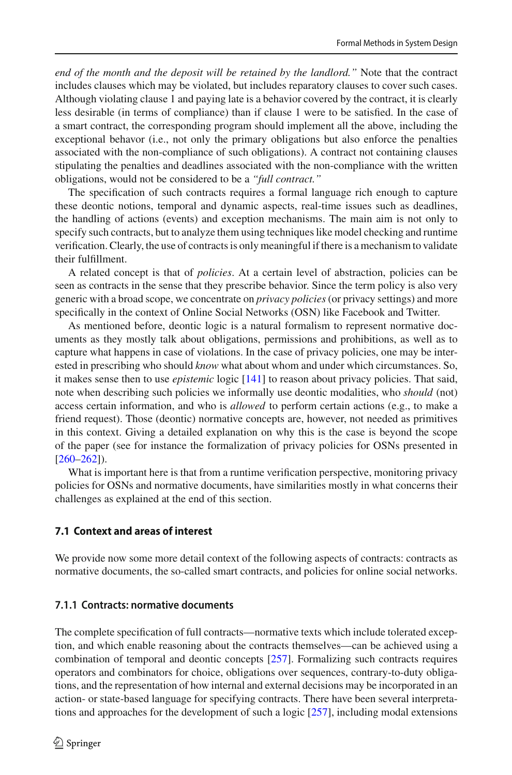*end of the month and the deposit will be retained by the landlord."* Note that the contract includes clauses which may be violated, but includes reparatory clauses to cover such cases. Although violating clause 1 and paying late is a behavior covered by the contract, it is clearly less desirable (in terms of compliance) than if clause 1 were to be satisfied. In the case of a smart contract, the corresponding program should implement all the above, including the exceptional behavor (i.e., not only the primary obligations but also enforce the penalties associated with the non-compliance of such obligations). A contract not containing clauses stipulating the penalties and deadlines associated with the non-compliance with the written obligations, would not be considered to be a *"full contract."*

The specification of such contracts requires a formal language rich enough to capture these deontic notions, temporal and dynamic aspects, real-time issues such as deadlines, the handling of actions (events) and exception mechanisms. The main aim is not only to specify such contracts, but to analyze them using techniques like model checking and runtime verification. Clearly, the use of contracts is only meaningful if there is a mechanism to validate their fulfillment.

A related concept is that of *policies*. At a certain level of abstraction, policies can be seen as contracts in the sense that they prescribe behavior. Since the term policy is also very generic with a broad scope, we concentrate on *privacy policies*(or privacy settings) and more specifically in the context of Online Social Networks (OSN) like Facebook and Twitter.

As mentioned before, deontic logic is a natural formalism to represent normative documents as they mostly talk about obligations, permissions and prohibitions, as well as to capture what happens in case of violations. In the case of privacy policies, one may be interested in prescribing who should *know* what about whom and under which circumstances. So, it makes sense then to use *epistemic* logic [\[141](#page-48-17)] to reason about privacy policies. That said, note when describing such policies we informally use deontic modalities, who *should* (not) access certain information, and who is *allowed* to perform certain actions (e.g., to make a friend request). Those (deontic) normative concepts are, however, not needed as primitives in this context. Giving a detailed explanation on why this is the case is beyond the scope of the paper (see for instance the formalization of privacy policies for OSNs presented in  $[260 - 262]$  $[260 - 262]$ .

What is important here is that from a runtime verification perspective, monitoring privacy policies for OSNs and normative documents, have similarities mostly in what concerns their challenges as explained at the end of this section.

### **7.1 Context and areas of interest**

We provide now some more detail context of the following aspects of contracts: contracts as normative documents, the so-called smart contracts, and policies for online social networks.

#### **7.1.1 Contracts: normative documents**

The complete specification of full contracts—normative texts which include tolerated exception, and which enable reasoning about the contracts themselves—can be achieved using a combination of temporal and deontic concepts [\[257\]](#page-52-13). Formalizing such contracts requires operators and combinators for choice, obligations over sequences, contrary-to-duty obligations, and the representation of how internal and external decisions may be incorporated in an action- or state-based language for specifying contracts. There have been several interpretations and approaches for the development of such a logic [\[257](#page-52-13)], including modal extensions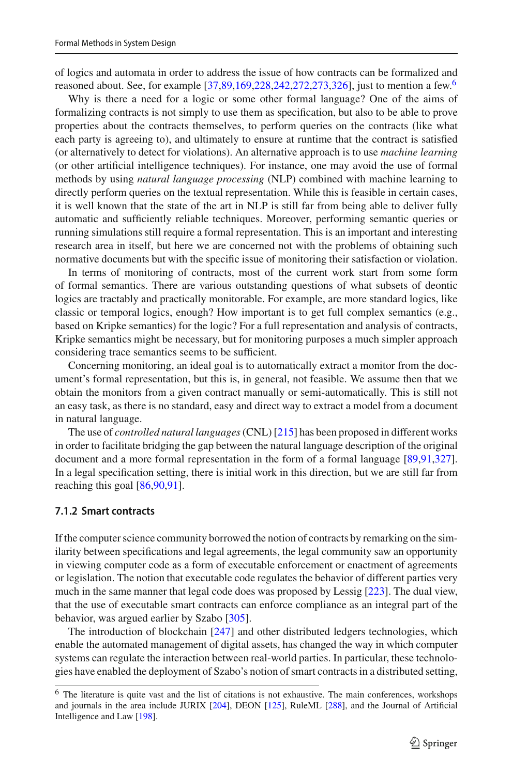of logics and automata in order to address the issue of how contracts can be formalized and reasoned about. See, for example  $[37,89,169,228,242,272,273,326]$  $[37,89,169,228,242,272,273,326]$  $[37,89,169,228,242,272,273,326]$  $[37,89,169,228,242,272,273,326]$  $[37,89,169,228,242,272,273,326]$  $[37,89,169,228,242,272,273,326]$  $[37,89,169,228,242,272,273,326]$  $[37,89,169,228,242,272,273,326]$ , just to mention a few.<sup>6</sup>

Why is there a need for a logic or some other formal language? One of the aims of formalizing contracts is not simply to use them as specification, but also to be able to prove properties about the contracts themselves, to perform queries on the contracts (like what each party is agreeing to), and ultimately to ensure at runtime that the contract is satisfied (or alternatively to detect for violations). An alternative approach is to use *machine learning* (or other artificial intelligence techniques). For instance, one may avoid the use of formal methods by using *natural language processing* (NLP) combined with machine learning to directly perform queries on the textual representation. While this is feasible in certain cases, it is well known that the state of the art in NLP is still far from being able to deliver fully automatic and sufficiently reliable techniques. Moreover, performing semantic queries or running simulations still require a formal representation. This is an important and interesting research area in itself, but here we are concerned not with the problems of obtaining such normative documents but with the specific issue of monitoring their satisfaction or violation.

In terms of monitoring of contracts, most of the current work start from some form of formal semantics. There are various outstanding questions of what subsets of deontic logics are tractably and practically monitorable. For example, are more standard logics, like classic or temporal logics, enough? How important is to get full complex semantics (e.g., based on Kripke semantics) for the logic? For a full representation and analysis of contracts, Kripke semantics might be necessary, but for monitoring purposes a much simpler approach considering trace semantics seems to be sufficient.

Concerning monitoring, an ideal goal is to automatically extract a monitor from the document's formal representation, but this is, in general, not feasible. We assume then that we obtain the monitors from a given contract manually or semi-automatically. This is still not an easy task, as there is no standard, easy and direct way to extract a model from a document in natural language.

The use of *controlled natural languages*(CNL) [\[215](#page-51-20)] has been proposed in different works in order to facilitate bridging the gap between the natural language description of the original document and a more formal representation in the form of a formal language [\[89](#page-46-17)[,91](#page-46-18)[,327\]](#page-55-18). In a legal specification setting, there is initial work in this direction, but we are still far from reaching this goal  $[86,90,91]$  $[86,90,91]$  $[86,90,91]$  $[86,90,91]$ .

#### **7.1.2 Smart contracts**

If the computer science community borrowed the notion of contracts by remarking on the similarity between specifications and legal agreements, the legal community saw an opportunity in viewing computer code as a form of executable enforcement or enactment of agreements or legislation. The notion that executable code regulates the behavior of different parties very much in the same manner that legal code does was proposed by Lessig [\[223](#page-51-21)]. The dual view, that the use of executable smart contracts can enforce compliance as an integral part of the behavior, was argued earlier by Szabo [\[305\]](#page-54-17).

The introduction of blockchain [\[247](#page-52-0)] and other distributed ledgers technologies, which enable the automated management of digital assets, has changed the way in which computer systems can regulate the interaction between real-world parties. In particular, these technologies have enabled the deployment of Szabo's notion of smart contracts in a distributed setting,

<span id="page-30-0"></span><sup>6</sup> The literature is quite vast and the list of citations is not exhaustive. The main conferences, workshops and journals in the area include JURIX [\[204\]](#page-50-21), DEON [\[125\]](#page-47-17), RuleML [\[288\]](#page-54-18), and the Journal of Artificial Intelligence and Law [\[198\]](#page-50-22).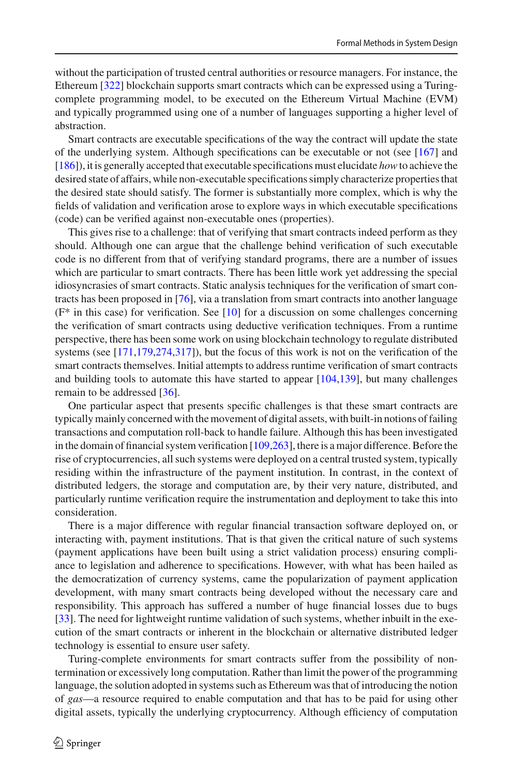without the participation of trusted central authorities or resource managers. For instance, the Ethereum [\[322](#page-55-19)] blockchain supports smart contracts which can be expressed using a Turingcomplete programming model, to be executed on the Ethereum Virtual Machine (EVM) and typically programmed using one of a number of languages supporting a higher level of abstraction.

Smart contracts are executable specifications of the way the contract will update the state of the underlying system. Although specifications can be executable or not (see [\[167](#page-49-19)] and [\[186\]](#page-50-23)), it is generally accepted that executable specifications must elucidate *how*to achieve the desired state of affairs, while non-executable specifications simply characterize properties that the desired state should satisfy. The former is substantially more complex, which is why the fields of validation and verification arose to explore ways in which executable specifications (code) can be verified against non-executable ones (properties).

This gives rise to a challenge: that of verifying that smart contracts indeed perform as they should. Although one can argue that the challenge behind verification of such executable code is no different from that of verifying standard programs, there are a number of issues which are particular to smart contracts. There has been little work yet addressing the special idiosyncrasies of smart contracts. Static analysis techniques for the verification of smart contracts has been proposed in [\[76\]](#page-45-17), via a translation from smart contracts into another language (F\* in this case) for verification. See [\[10\]](#page-42-12) for a discussion on some challenges concerning the verification of smart contracts using deductive verification techniques. From a runtime perspective, there has been some work on using blockchain technology to regulate distributed systems (see [\[171](#page-49-20)[,179](#page-49-21)[,274](#page-53-19)[,317\]](#page-55-20)), but the focus of this work is not on the verification of the smart contracts themselves. Initial attempts to address runtime verification of smart contracts and building tools to automate this have started to appear [\[104](#page-46-21)[,139\]](#page-48-18), but many challenges remain to be addressed [\[36](#page-43-18)].

One particular aspect that presents specific challenges is that these smart contracts are typically mainly concerned with the movement of digital assets, with built-in notions of failing transactions and computation roll-back to handle failure. Although this has been investigated in the domain of financial system verification [\[109](#page-46-15)[,263](#page-53-20)], there is a major difference. Before the rise of cryptocurrencies, all such systems were deployed on a central trusted system, typically residing within the infrastructure of the payment institution. In contrast, in the context of distributed ledgers, the storage and computation are, by their very nature, distributed, and particularly runtime verification require the instrumentation and deployment to take this into consideration.

There is a major difference with regular financial transaction software deployed on, or interacting with, payment institutions. That is that given the critical nature of such systems (payment applications have been built using a strict validation process) ensuring compliance to legislation and adherence to specifications. However, with what has been hailed as the democratization of currency systems, came the popularization of payment application development, with many smart contracts being developed without the necessary care and responsibility. This approach has suffered a number of huge financial losses due to bugs [\[33\]](#page-43-19). The need for lightweight runtime validation of such systems, whether inbuilt in the execution of the smart contracts or inherent in the blockchain or alternative distributed ledger technology is essential to ensure user safety.

Turing-complete environments for smart contracts suffer from the possibility of nontermination or excessively long computation. Rather than limit the power of the programming language, the solution adopted in systems such as Ethereum was that of introducing the notion of *gas*—a resource required to enable computation and that has to be paid for using other digital assets, typically the underlying cryptocurrency. Although efficiency of computation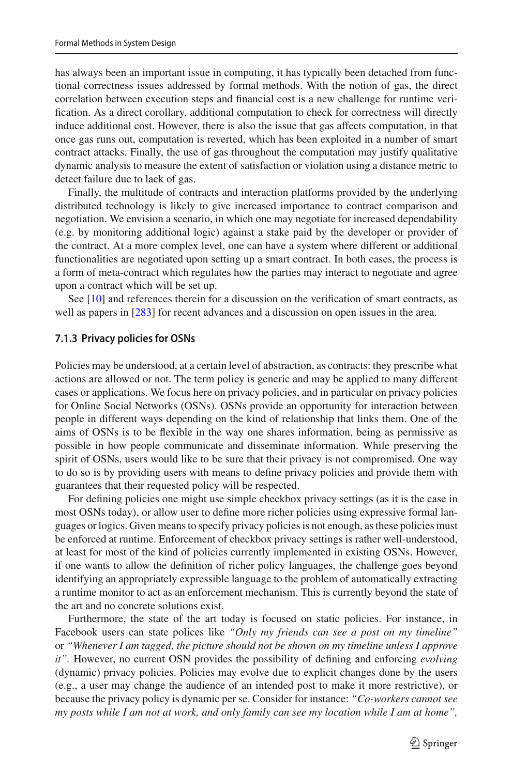has always been an important issue in computing, it has typically been detached from functional correctness issues addressed by formal methods. With the notion of gas, the direct correlation between execution steps and financial cost is a new challenge for runtime verification. As a direct corollary, additional computation to check for correctness will directly induce additional cost. However, there is also the issue that gas affects computation, in that once gas runs out, computation is reverted, which has been exploited in a number of smart contract attacks. Finally, the use of gas throughout the computation may justify qualitative dynamic analysis to measure the extent of satisfaction or violation using a distance metric to detect failure due to lack of gas.

Finally, the multitude of contracts and interaction platforms provided by the underlying distributed technology is likely to give increased importance to contract comparison and negotiation. We envision a scenario, in which one may negotiate for increased dependability (e.g. by monitoring additional logic) against a stake paid by the developer or provider of the contract. At a more complex level, one can have a system where different or additional functionalities are negotiated upon setting up a smart contract. In both cases, the process is a form of meta-contract which regulates how the parties may interact to negotiate and agree upon a contract which will be set up.

See [\[10](#page-42-12)] and references therein for a discussion on the verification of smart contracts, as well as papers in [\[283](#page-54-19)] for recent advances and a discussion on open issues in the area.

#### **7.1.3 Privacy policies for OSNs**

Policies may be understood, at a certain level of abstraction, as contracts: they prescribe what actions are allowed or not. The term policy is generic and may be applied to many different cases or applications. We focus here on privacy policies, and in particular on privacy policies for Online Social Networks (OSNs). OSNs provide an opportunity for interaction between people in different ways depending on the kind of relationship that links them. One of the aims of OSNs is to be flexible in the way one shares information, being as permissive as possible in how people communicate and disseminate information. While preserving the spirit of OSNs, users would like to be sure that their privacy is not compromised. One way to do so is by providing users with means to define privacy policies and provide them with guarantees that their requested policy will be respected.

For defining policies one might use simple checkbox privacy settings (as it is the case in most OSNs today), or allow user to define more richer policies using expressive formal languages or logics. Given means to specify privacy policies is not enough, as these policies must be enforced at runtime. Enforcement of checkbox privacy settings is rather well-understood, at least for most of the kind of policies currently implemented in existing OSNs. However, if one wants to allow the definition of richer policy languages, the challenge goes beyond identifying an appropriately expressible language to the problem of automatically extracting a runtime monitor to act as an enforcement mechanism. This is currently beyond the state of the art and no concrete solutions exist.

Furthermore, the state of the art today is focused on static policies. For instance, in Facebook users can state polices like *"Only my friends can see a post on my timeline"* or *"Whenever I am tagged, the picture should not be shown on my timeline unless I approve it".* However, no current OSN provides the possibility of defining and enforcing *evolving* (dynamic) privacy policies. Policies may evolve due to explicit changes done by the users (e.g., a user may change the audience of an intended post to make it more restrictive), or because the privacy policy is dynamic per se. Consider for instance: *"Co-workers cannot see my posts while I am not at work, and only family can see my location while I am at home",*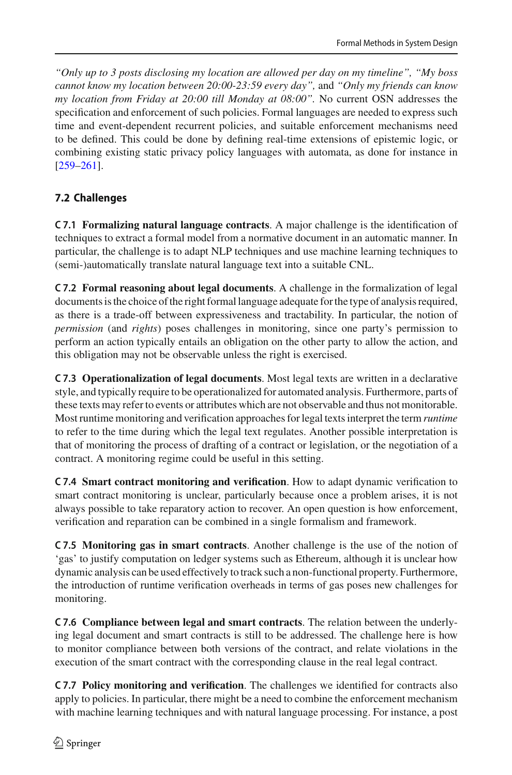*"Only up to 3 posts disclosing my location are allowed per day on my timeline", "My boss cannot know my location between 20:00-23:59 every day",* and *"Only my friends can know my location from Friday at 20:00 till Monday at 08:00".* No current OSN addresses the specification and enforcement of such policies. Formal languages are needed to express such time and event-dependent recurrent policies, and suitable enforcement mechanisms need to be defined. This could be done by defining real-time extensions of epistemic logic, or combining existing static privacy policy languages with automata, as done for instance in [\[259](#page-52-15)[–261](#page-53-21)].

## **7.2 Challenges**

**C 7.1 Formalizing natural language contracts**. A major challenge is the identification of techniques to extract a formal model from a normative document in an automatic manner. In particular, the challenge is to adapt NLP techniques and use machine learning techniques to (semi-)automatically translate natural language text into a suitable CNL.

**C 7.2 Formal reasoning about legal documents**. A challenge in the formalization of legal documents is the choice of the right formal language adequate for the type of analysis required, as there is a trade-off between expressiveness and tractability. In particular, the notion of *permission* (and *rights*) poses challenges in monitoring, since one party's permission to perform an action typically entails an obligation on the other party to allow the action, and this obligation may not be observable unless the right is exercised.

**C 7.3 Operationalization of legal documents**. Most legal texts are written in a declarative style, and typically require to be operationalized for automated analysis. Furthermore, parts of these texts may refer to events or attributes which are not observable and thus not monitorable. Most runtime monitoring and verification approaches for legal texts interpret the term *runtime* to refer to the time during which the legal text regulates. Another possible interpretation is that of monitoring the process of drafting of a contract or legislation, or the negotiation of a contract. A monitoring regime could be useful in this setting.

**C 7.4 Smart contract monitoring and verification**. How to adapt dynamic verification to smart contract monitoring is unclear, particularly because once a problem arises, it is not always possible to take reparatory action to recover. An open question is how enforcement, verification and reparation can be combined in a single formalism and framework.

**C 7.5 Monitoring gas in smart contracts**. Another challenge is the use of the notion of 'gas' to justify computation on ledger systems such as Ethereum, although it is unclear how dynamic analysis can be used effectively to track such a non-functional property. Furthermore, the introduction of runtime verification overheads in terms of gas poses new challenges for monitoring.

**C 7.6 Compliance between legal and smart contracts**. The relation between the underlying legal document and smart contracts is still to be addressed. The challenge here is how to monitor compliance between both versions of the contract, and relate violations in the execution of the smart contract with the corresponding clause in the real legal contract.

**C 7.7 Policy monitoring and verification**. The challenges we identified for contracts also apply to policies. In particular, there might be a need to combine the enforcement mechanism with machine learning techniques and with natural language processing. For instance, a post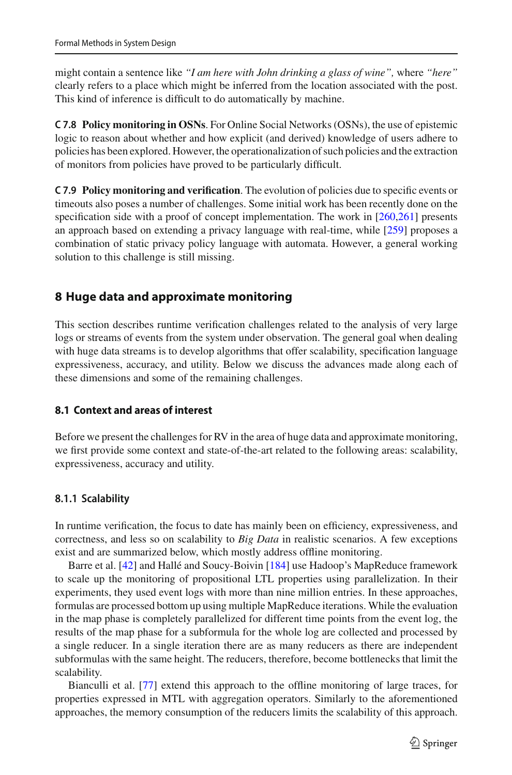might contain a sentence like *"I am here with John drinking a glass of wine",* where *"here"* clearly refers to a place which might be inferred from the location associated with the post. This kind of inference is difficult to do automatically by machine.

**C 7.8 Policy monitoring in OSNs**. For Online Social Networks (OSNs), the use of epistemic logic to reason about whether and how explicit (and derived) knowledge of users adhere to policies has been explored. However, the operationalization of such policies and the extraction of monitors from policies have proved to be particularly difficult.

**C 7.9 Policy monitoring and verification**. The evolution of policies due to specific events or timeouts also poses a number of challenges. Some initial work has been recently done on the specification side with a proof of concept implementation. The work in [\[260](#page-53-15)[,261](#page-53-21)] presents an approach based on extending a privacy language with real-time, while [\[259\]](#page-52-15) proposes a combination of static privacy policy language with automata. However, a general working solution to this challenge is still missing.

#### <span id="page-34-0"></span>**8 Huge data and approximate monitoring**

This section describes runtime verification challenges related to the analysis of very large logs or streams of events from the system under observation. The general goal when dealing with huge data streams is to develop algorithms that offer scalability, specification language expressiveness, accuracy, and utility. Below we discuss the advances made along each of these dimensions and some of the remaining challenges.

#### **8.1 Context and areas of interest**

Before we present the challenges for RV in the area of huge data and approximate monitoring, we first provide some context and state-of-the-art related to the following areas: scalability, expressiveness, accuracy and utility.

#### **8.1.1 Scalability**

In runtime verification, the focus to date has mainly been on efficiency, expressiveness, and correctness, and less so on scalability to *Big Data* in realistic scenarios. A few exceptions exist and are summarized below, which mostly address offline monitoring.

Barre et al. [\[42\]](#page-44-11) and Hallé and Soucy-Boivin [\[184\]](#page-50-24) use Hadoop's MapReduce framework to scale up the monitoring of propositional LTL properties using parallelization. In their experiments, they used event logs with more than nine million entries. In these approaches, formulas are processed bottom up using multiple MapReduce iterations. While the evaluation in the map phase is completely parallelized for different time points from the event log, the results of the map phase for a subformula for the whole log are collected and processed by a single reducer. In a single iteration there are as many reducers as there are independent subformulas with the same height. The reducers, therefore, become bottlenecks that limit the scalability.

Bianculli et al. [\[77\]](#page-45-18) extend this approach to the offline monitoring of large traces, for properties expressed in MTL with aggregation operators. Similarly to the aforementioned approaches, the memory consumption of the reducers limits the scalability of this approach.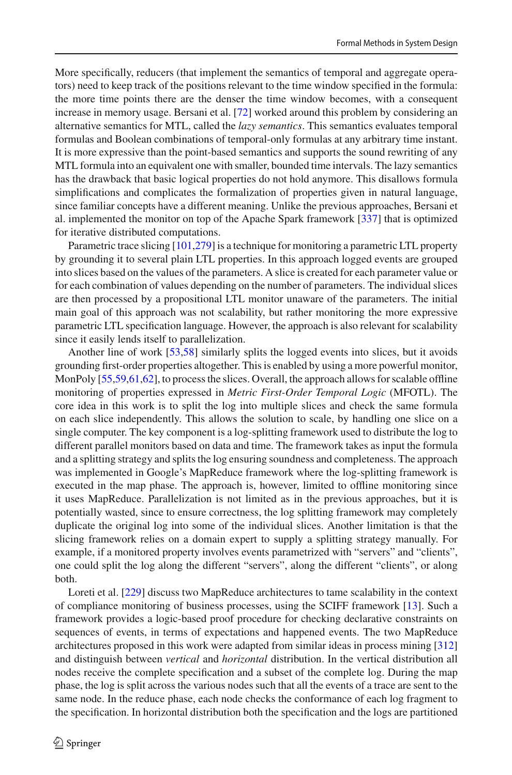More specifically, reducers (that implement the semantics of temporal and aggregate operators) need to keep track of the positions relevant to the time window specified in the formula: the more time points there are the denser the time window becomes, with a consequent increase in memory usage. Bersani et al. [\[72](#page-45-19)] worked around this problem by considering an alternative semantics for MTL, called the *lazy semantics*. This semantics evaluates temporal formulas and Boolean combinations of temporal-only formulas at any arbitrary time instant. It is more expressive than the point-based semantics and supports the sound rewriting of any MTL formula into an equivalent one with smaller, bounded time intervals. The lazy semantics has the drawback that basic logical properties do not hold anymore. This disallows formula simplifications and complicates the formalization of properties given in natural language, since familiar concepts have a different meaning. Unlike the previous approaches, Bersani et al. implemented the monitor on top of the Apache Spark framework [\[337](#page-56-3)] that is optimized for iterative distributed computations.

Parametric trace slicing [\[101](#page-46-22)[,279\]](#page-53-22) is a technique for monitoring a parametric LTL property by grounding it to several plain LTL properties. In this approach logged events are grouped into slices based on the values of the parameters. A slice is created for each parameter value or for each combination of values depending on the number of parameters. The individual slices are then processed by a propositional LTL monitor unaware of the parameters. The initial main goal of this approach was not scalability, but rather monitoring the more expressive parametric LTL specification language. However, the approach is also relevant for scalability since it easily lends itself to parallelization.

Another line of work [\[53](#page-44-12)[,58\]](#page-44-13) similarly splits the logged events into slices, but it avoids grounding first-order properties altogether. This is enabled by using a more powerful monitor, MonPoly [\[55](#page-44-14)[,59](#page-44-15)[,61](#page-44-16)[,62](#page-44-17)], to process the slices. Overall, the approach allows for scalable offline monitoring of properties expressed in *Metric First-Order Temporal Logic* (MFOTL). The core idea in this work is to split the log into multiple slices and check the same formula on each slice independently. This allows the solution to scale, by handling one slice on a single computer. The key component is a log-splitting framework used to distribute the log to different parallel monitors based on data and time. The framework takes as input the formula and a splitting strategy and splits the log ensuring soundness and completeness. The approach was implemented in Google's MapReduce framework where the log-splitting framework is executed in the map phase. The approach is, however, limited to offline monitoring since it uses MapReduce. Parallelization is not limited as in the previous approaches, but it is potentially wasted, since to ensure correctness, the log splitting framework may completely duplicate the original log into some of the individual slices. Another limitation is that the slicing framework relies on a domain expert to supply a splitting strategy manually. For example, if a monitored property involves events parametrized with "servers" and "clients", one could split the log along the different "servers", along the different "clients", or along both.

Loreti et al. [\[229\]](#page-51-22) discuss two MapReduce architectures to tame scalability in the context of compliance monitoring of business processes, using the SCIFF framework [\[13\]](#page-42-13). Such a framework provides a logic-based proof procedure for checking declarative constraints on sequences of events, in terms of expectations and happened events. The two MapReduce architectures proposed in this work were adapted from similar ideas in process mining [\[312\]](#page-55-21) and distinguish between *vertical* and *horizontal* distribution. In the vertical distribution all nodes receive the complete specification and a subset of the complete log. During the map phase, the log is split across the various nodes such that all the events of a trace are sent to the same node. In the reduce phase, each node checks the conformance of each log fragment to the specification. In horizontal distribution both the specification and the logs are partitioned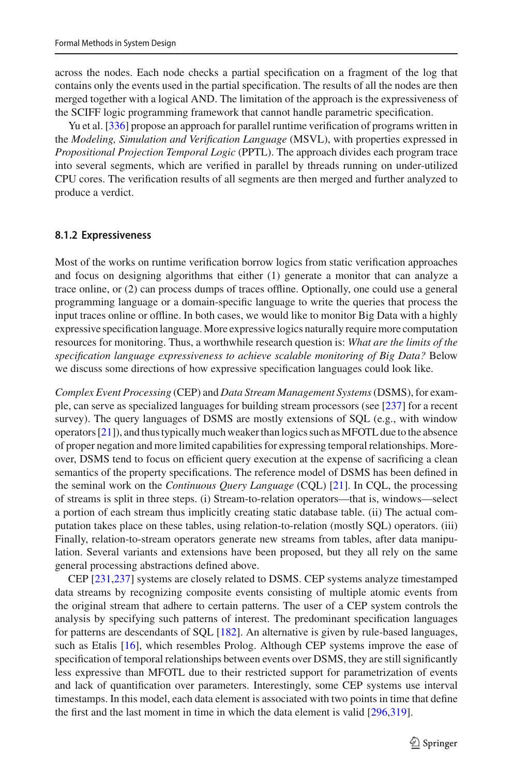across the nodes. Each node checks a partial specification on a fragment of the log that contains only the events used in the partial specification. The results of all the nodes are then merged together with a logical AND. The limitation of the approach is the expressiveness of the SCIFF logic programming framework that cannot handle parametric specification.

Yu et al. [\[336\]](#page-56-4) propose an approach for parallel runtime verification of programs written in the *Modeling, Simulation and Verification Language* (MSVL), with properties expressed in *Propositional Projection Temporal Logic* (PPTL). The approach divides each program trace into several segments, which are verified in parallel by threads running on under-utilized CPU cores. The verification results of all segments are then merged and further analyzed to produce a verdict.

#### **8.1.2 Expressiveness**

Most of the works on runtime verification borrow logics from static verification approaches and focus on designing algorithms that either (1) generate a monitor that can analyze a trace online, or (2) can process dumps of traces offline. Optionally, one could use a general programming language or a domain-specific language to write the queries that process the input traces online or offline. In both cases, we would like to monitor Big Data with a highly expressive specification language.More expressive logics naturally require more computation resources for monitoring. Thus, a worthwhile research question is: *What are the limits of the specification language expressiveness to achieve scalable monitoring of Big Data?* Below we discuss some directions of how expressive specification languages could look like.

*Complex Event Processing* (CEP) and *Data Stream Management Systems*(DSMS), for example, can serve as specialized languages for building stream processors (see [\[237](#page-52-16)] for a recent survey). The query languages of DSMS are mostly extensions of SQL (e.g., with window operators  $[21]$  $[21]$ ), and thus typically much weaker than logics such as MFOTL due to the absence of proper negation and more limited capabilities for expressing temporal relationships. Moreover, DSMS tend to focus on efficient query execution at the expense of sacrificing a clean semantics of the property specifications. The reference model of DSMS has been defined in the seminal work on the *Continuous Query Language* (CQL) [\[21\]](#page-43-20). In CQL, the processing of streams is split in three steps. (i) Stream-to-relation operators—that is, windows—select a portion of each stream thus implicitly creating static database table. (ii) The actual computation takes place on these tables, using relation-to-relation (mostly SQL) operators. (iii) Finally, relation-to-stream operators generate new streams from tables, after data manipulation. Several variants and extensions have been proposed, but they all rely on the same general processing abstractions defined above.

CEP [\[231](#page-51-23)[,237](#page-52-16)] systems are closely related to DSMS. CEP systems analyze timestamped data streams by recognizing composite events consisting of multiple atomic events from the original stream that adhere to certain patterns. The user of a CEP system controls the analysis by specifying such patterns of interest. The predominant specification languages for patterns are descendants of SQL [\[182](#page-49-22)]. An alternative is given by rule-based languages, such as Etalis [\[16](#page-43-21)], which resembles Prolog. Although CEP systems improve the ease of specification of temporal relationships between events over DSMS, they are still significantly less expressive than MFOTL due to their restricted support for parametrization of events and lack of quantification over parameters. Interestingly, some CEP systems use interval timestamps. In this model, each data element is associated with two points in time that define the first and the last moment in time in which the data element is valid [\[296](#page-54-20)[,319](#page-55-22)].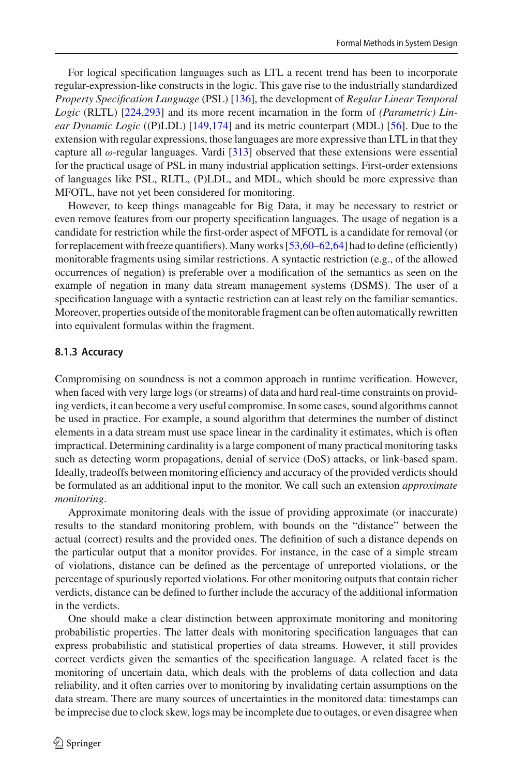For logical specification languages such as LTL a recent trend has been to incorporate regular-expression-like constructs in the logic. This gave rise to the industrially standardized *Property Specification Language* (PSL) [\[136\]](#page-48-19), the development of *Regular Linear Temporal Logic* (RLTL) [\[224](#page-51-24)[,293\]](#page-54-21) and its more recent incarnation in the form of *(Parametric) Linear Dynamic Logic* ((P)LDL) [\[149](#page-48-20)[,174](#page-49-23)] and its metric counterpart (MDL) [\[56\]](#page-44-18). Due to the extension with regular expressions, those languages are more expressive than LTL in that they capture all  $\omega$ -regular languages. Vardi [\[313\]](#page-55-23) observed that these extensions were essential for the practical usage of PSL in many industrial application settings. First-order extensions of languages like PSL, RLTL, (P)LDL, and MDL, which should be more expressive than MFOTL, have not yet been considered for monitoring.

However, to keep things manageable for Big Data, it may be necessary to restrict or even remove features from our property specification languages. The usage of negation is a candidate for restriction while the first-order aspect of MFOTL is a candidate for removal (or for replacement with freeze quantifiers). Many works [\[53](#page-44-12)[,60](#page-44-2)[–62](#page-44-17)[,64](#page-45-20)] had to define (efficiently) monitorable fragments using similar restrictions. A syntactic restriction (e.g., of the allowed occurrences of negation) is preferable over a modification of the semantics as seen on the example of negation in many data stream management systems (DSMS). The user of a specification language with a syntactic restriction can at least rely on the familiar semantics. Moreover, properties outside of the monitorable fragment can be often automatically rewritten into equivalent formulas within the fragment.

#### **8.1.3 Accuracy**

Compromising on soundness is not a common approach in runtime verification. However, when faced with very large logs (or streams) of data and hard real-time constraints on providing verdicts, it can become a very useful compromise. In some cases, sound algorithms cannot be used in practice. For example, a sound algorithm that determines the number of distinct elements in a data stream must use space linear in the cardinality it estimates, which is often impractical. Determining cardinality is a large component of many practical monitoring tasks such as detecting worm propagations, denial of service (DoS) attacks, or link-based spam. Ideally, tradeoffs between monitoring efficiency and accuracy of the provided verdicts should be formulated as an additional input to the monitor. We call such an extension *approximate monitoring*.

Approximate monitoring deals with the issue of providing approximate (or inaccurate) results to the standard monitoring problem, with bounds on the "distance" between the actual (correct) results and the provided ones. The definition of such a distance depends on the particular output that a monitor provides. For instance, in the case of a simple stream of violations, distance can be defined as the percentage of unreported violations, or the percentage of spuriously reported violations. For other monitoring outputs that contain richer verdicts, distance can be defined to further include the accuracy of the additional information in the verdicts.

One should make a clear distinction between approximate monitoring and monitoring probabilistic properties. The latter deals with monitoring specification languages that can express probabilistic and statistical properties of data streams. However, it still provides correct verdicts given the semantics of the specification language. A related facet is the monitoring of uncertain data, which deals with the problems of data collection and data reliability, and it often carries over to monitoring by invalidating certain assumptions on the data stream. There are many sources of uncertainties in the monitored data: timestamps can be imprecise due to clock skew, logs may be incomplete due to outages, or even disagree when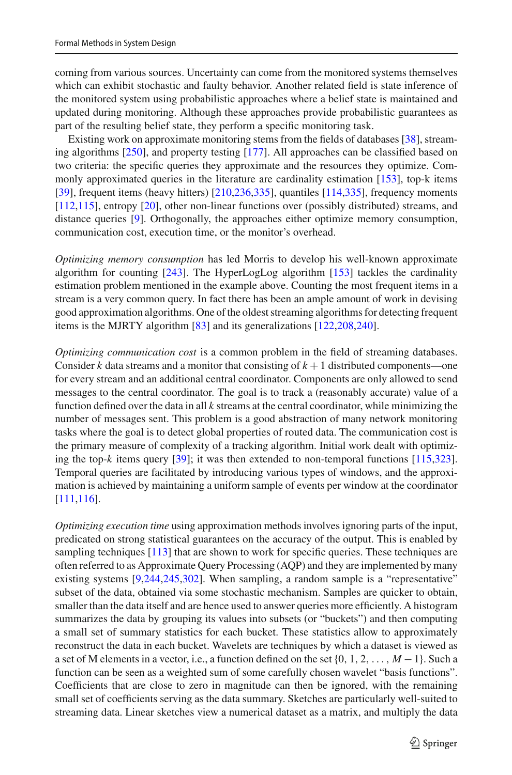coming from various sources. Uncertainty can come from the monitored systems themselves which can exhibit stochastic and faulty behavior. Another related field is state inference of the monitored system using probabilistic approaches where a belief state is maintained and updated during monitoring. Although these approaches provide probabilistic guarantees as part of the resulting belief state, they perform a specific monitoring task.

Existing work on approximate monitoring stems from the fields of databases [\[38](#page-43-22)], streaming algorithms [\[250](#page-52-17)], and property testing [\[177](#page-49-24)]. All approaches can be classified based on two criteria: the specific queries they approximate and the resources they optimize. Commonly approximated queries in the literature are cardinality estimation [\[153\]](#page-48-21), top-k items [\[39\]](#page-43-23), frequent items (heavy hitters) [\[210](#page-51-25)[,236](#page-52-18)[,335](#page-56-5)], quantiles [\[114](#page-47-18),335], frequency moments [\[112](#page-47-19)[,115](#page-47-20)], entropy [\[20](#page-43-24)], other non-linear functions over (possibly distributed) streams, and distance queries [\[9](#page-42-14)]. Orthogonally, the approaches either optimize memory consumption, communication cost, execution time, or the monitor's overhead.

*Optimizing memory consumption* has led Morris to develop his well-known approximate algorithm for counting [\[243\]](#page-52-19). The HyperLogLog algorithm [\[153](#page-48-21)] tackles the cardinality estimation problem mentioned in the example above. Counting the most frequent items in a stream is a very common query. In fact there has been an ample amount of work in devising good approximation algorithms. One of the oldest streaming algorithms for detecting frequent items is the MJRTY algorithm [\[83](#page-45-21)] and its generalizations [\[122](#page-47-21)[,208](#page-50-25)[,240](#page-52-20)].

*Optimizing communication cost* is a common problem in the field of streaming databases. Consider *k* data streams and a monitor that consisting of  $k + 1$  distributed components—one for every stream and an additional central coordinator. Components are only allowed to send messages to the central coordinator. The goal is to track a (reasonably accurate) value of a function defined over the data in all *k* streams at the central coordinator, while minimizing the number of messages sent. This problem is a good abstraction of many network monitoring tasks where the goal is to detect global properties of routed data. The communication cost is the primary measure of complexity of a tracking algorithm. Initial work dealt with optimizing the top- $k$  items query [\[39](#page-43-23)]; it was then extended to non-temporal functions [\[115](#page-47-20)[,323\]](#page-55-24). Temporal queries are facilitated by introducing various types of windows, and the approximation is achieved by maintaining a uniform sample of events per window at the coordinator [\[111](#page-47-22)[,116](#page-47-23)].

*Optimizing execution time* using approximation methods involves ignoring parts of the input, predicated on strong statistical guarantees on the accuracy of the output. This is enabled by sampling techniques [\[113](#page-47-24)] that are shown to work for specific queries. These techniques are often referred to as Approximate Query Processing (AQP) and they are implemented by many existing systems [\[9](#page-42-14)[,244](#page-52-21)[,245](#page-52-22)[,302\]](#page-54-22). When sampling, a random sample is a "representative" subset of the data, obtained via some stochastic mechanism. Samples are quicker to obtain, smaller than the data itself and are hence used to answer queries more efficiently. A histogram summarizes the data by grouping its values into subsets (or "buckets") and then computing a small set of summary statistics for each bucket. These statistics allow to approximately reconstruct the data in each bucket. Wavelets are techniques by which a dataset is viewed as a set of M elements in a vector, i.e., a function defined on the set {0, 1, 2,..., *M* −1}. Such a function can be seen as a weighted sum of some carefully chosen wavelet "basis functions". Coefficients that are close to zero in magnitude can then be ignored, with the remaining small set of coefficients serving as the data summary. Sketches are particularly well-suited to streaming data. Linear sketches view a numerical dataset as a matrix, and multiply the data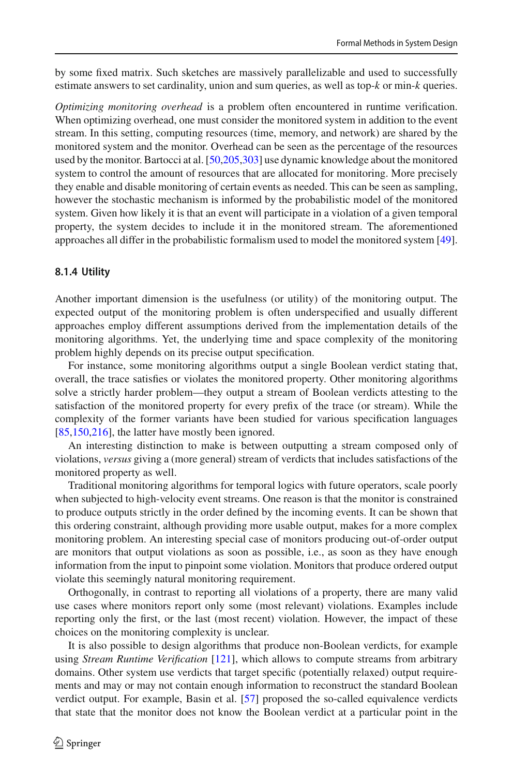by some fixed matrix. Such sketches are massively parallelizable and used to successfully estimate answers to set cardinality, union and sum queries, as well as top-*k* or min-*k* queries.

*Optimizing monitoring overhead* is a problem often encountered in runtime verification. When optimizing overhead, one must consider the monitored system in addition to the event stream. In this setting, computing resources (time, memory, and network) are shared by the monitored system and the monitor. Overhead can be seen as the percentage of the resources used by the monitor. Bartocci at al. [\[50](#page-44-19)[,205](#page-50-26)[,303](#page-54-23)] use dynamic knowledge about the monitored system to control the amount of resources that are allocated for monitoring. More precisely they enable and disable monitoring of certain events as needed. This can be seen as sampling, however the stochastic mechanism is informed by the probabilistic model of the monitored system. Given how likely it is that an event will participate in a violation of a given temporal property, the system decides to include it in the monitored stream. The aforementioned approaches all differ in the probabilistic formalism used to model the monitored system [\[49\]](#page-44-20).

#### **8.1.4 Utility**

Another important dimension is the usefulness (or utility) of the monitoring output. The expected output of the monitoring problem is often underspecified and usually different approaches employ different assumptions derived from the implementation details of the monitoring algorithms. Yet, the underlying time and space complexity of the monitoring problem highly depends on its precise output specification.

For instance, some monitoring algorithms output a single Boolean verdict stating that, overall, the trace satisfies or violates the monitored property. Other monitoring algorithms solve a strictly harder problem—they output a stream of Boolean verdicts attesting to the satisfaction of the monitored property for every prefix of the trace (or stream). While the complexity of the former variants have been studied for various specification languages [\[85](#page-45-0)[,150](#page-48-1)[,216\]](#page-51-1), the latter have mostly been ignored.

An interesting distinction to make is between outputting a stream composed only of violations, *versus* giving a (more general) stream of verdicts that includes satisfactions of the monitored property as well.

Traditional monitoring algorithms for temporal logics with future operators, scale poorly when subjected to high-velocity event streams. One reason is that the monitor is constrained to produce outputs strictly in the order defined by the incoming events. It can be shown that this ordering constraint, although providing more usable output, makes for a more complex monitoring problem. An interesting special case of monitors producing out-of-order output are monitors that output violations as soon as possible, i.e., as soon as they have enough information from the input to pinpoint some violation. Monitors that produce ordered output violate this seemingly natural monitoring requirement.

Orthogonally, in contrast to reporting all violations of a property, there are many valid use cases where monitors report only some (most relevant) violations. Examples include reporting only the first, or the last (most recent) violation. However, the impact of these choices on the monitoring complexity is unclear.

It is also possible to design algorithms that produce non-Boolean verdicts, for example using *Stream Runtime Verification* [\[121\]](#page-47-2), which allows to compute streams from arbitrary domains. Other system use verdicts that target specific (potentially relaxed) output requirements and may or may not contain enough information to reconstruct the standard Boolean verdict output. For example, Basin et al. [\[57](#page-44-21)] proposed the so-called equivalence verdicts that state that the monitor does not know the Boolean verdict at a particular point in the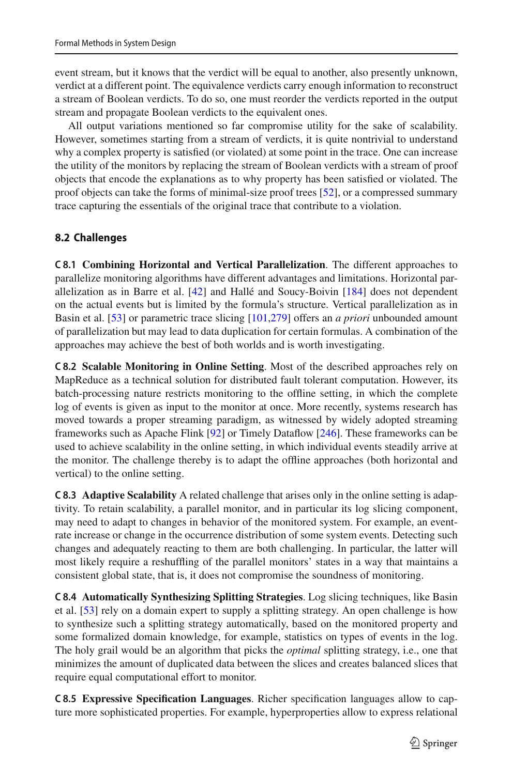event stream, but it knows that the verdict will be equal to another, also presently unknown, verdict at a different point. The equivalence verdicts carry enough information to reconstruct a stream of Boolean verdicts. To do so, one must reorder the verdicts reported in the output stream and propagate Boolean verdicts to the equivalent ones.

All output variations mentioned so far compromise utility for the sake of scalability. However, sometimes starting from a stream of verdicts, it is quite nontrivial to understand why a complex property is satisfied (or violated) at some point in the trace. One can increase the utility of the monitors by replacing the stream of Boolean verdicts with a stream of proof objects that encode the explanations as to why property has been satisfied or violated. The proof objects can take the forms of minimal-size proof trees [\[52\]](#page-44-22), or a compressed summary trace capturing the essentials of the original trace that contribute to a violation.

#### **8.2 Challenges**

**C 8.1 Combining Horizontal and Vertical Parallelization**. The different approaches to parallelize monitoring algorithms have different advantages and limitations. Horizontal parallelization as in Barre et al. [\[42](#page-44-11)] and Hallé and Soucy-Boivin [\[184](#page-50-24)] does not dependent on the actual events but is limited by the formula's structure. Vertical parallelization as in Basin et al. [\[53\]](#page-44-12) or parametric trace slicing [\[101](#page-46-22)[,279\]](#page-53-22) offers an *a priori* unbounded amount of parallelization but may lead to data duplication for certain formulas. A combination of the approaches may achieve the best of both worlds and is worth investigating.

**C 8.2 Scalable Monitoring in Online Setting**. Most of the described approaches rely on MapReduce as a technical solution for distributed fault tolerant computation. However, its batch-processing nature restricts monitoring to the offline setting, in which the complete log of events is given as input to the monitor at once. More recently, systems research has moved towards a proper streaming paradigm, as witnessed by widely adopted streaming frameworks such as Apache Flink [\[92](#page-46-23)] or Timely Dataflow [\[246\]](#page-52-23). These frameworks can be used to achieve scalability in the online setting, in which individual events steadily arrive at the monitor. The challenge thereby is to adapt the offline approaches (both horizontal and vertical) to the online setting.

**C 8.3 Adaptive Scalability** A related challenge that arises only in the online setting is adaptivity. To retain scalability, a parallel monitor, and in particular its log slicing component, may need to adapt to changes in behavior of the monitored system. For example, an eventrate increase or change in the occurrence distribution of some system events. Detecting such changes and adequately reacting to them are both challenging. In particular, the latter will most likely require a reshuffling of the parallel monitors' states in a way that maintains a consistent global state, that is, it does not compromise the soundness of monitoring.

**C 8.4 Automatically Synthesizing Splitting Strategies**. Log slicing techniques, like Basin et al. [\[53](#page-44-12)] rely on a domain expert to supply a splitting strategy. An open challenge is how to synthesize such a splitting strategy automatically, based on the monitored property and some formalized domain knowledge, for example, statistics on types of events in the log. The holy grail would be an algorithm that picks the *optimal* splitting strategy, i.e., one that minimizes the amount of duplicated data between the slices and creates balanced slices that require equal computational effort to monitor.

**C 8.5 Expressive Specification Languages**. Richer specification languages allow to capture more sophisticated properties. For example, hyperproperties allow to express relational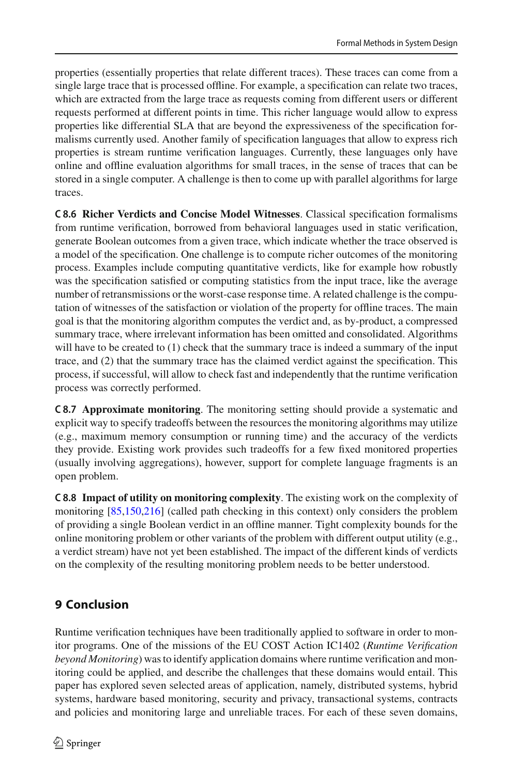properties (essentially properties that relate different traces). These traces can come from a single large trace that is processed offline. For example, a specification can relate two traces, which are extracted from the large trace as requests coming from different users or different requests performed at different points in time. This richer language would allow to express properties like differential SLA that are beyond the expressiveness of the specification formalisms currently used. Another family of specification languages that allow to express rich properties is stream runtime verification languages. Currently, these languages only have online and offline evaluation algorithms for small traces, in the sense of traces that can be stored in a single computer. A challenge is then to come up with parallel algorithms for large traces.

**C 8.6 Richer Verdicts and Concise Model Witnesses**. Classical specification formalisms from runtime verification, borrowed from behavioral languages used in static verification, generate Boolean outcomes from a given trace, which indicate whether the trace observed is a model of the specification. One challenge is to compute richer outcomes of the monitoring process. Examples include computing quantitative verdicts, like for example how robustly was the specification satisfied or computing statistics from the input trace, like the average number of retransmissions or the worst-case response time. A related challenge is the computation of witnesses of the satisfaction or violation of the property for offline traces. The main goal is that the monitoring algorithm computes the verdict and, as by-product, a compressed summary trace, where irrelevant information has been omitted and consolidated. Algorithms will have to be created to (1) check that the summary trace is indeed a summary of the input trace, and (2) that the summary trace has the claimed verdict against the specification. This process, if successful, will allow to check fast and independently that the runtime verification process was correctly performed.

**C 8.7 Approximate monitoring**. The monitoring setting should provide a systematic and explicit way to specify tradeoffs between the resources the monitoring algorithms may utilize (e.g., maximum memory consumption or running time) and the accuracy of the verdicts they provide. Existing work provides such tradeoffs for a few fixed monitored properties (usually involving aggregations), however, support for complete language fragments is an open problem.

**C 8.8 Impact of utility on monitoring complexity**. The existing work on the complexity of monitoring [\[85](#page-45-0)[,150](#page-48-1)[,216\]](#page-51-1) (called path checking in this context) only considers the problem of providing a single Boolean verdict in an offline manner. Tight complexity bounds for the online monitoring problem or other variants of the problem with different output utility (e.g., a verdict stream) have not yet been established. The impact of the different kinds of verdicts on the complexity of the resulting monitoring problem needs to be better understood.

# **9 Conclusion**

Runtime verification techniques have been traditionally applied to software in order to monitor programs. One of the missions of the EU COST Action IC1402 (*Runtime Verification beyond Monitoring*) was to identify application domains where runtime verification and monitoring could be applied, and describe the challenges that these domains would entail. This paper has explored seven selected areas of application, namely, distributed systems, hybrid systems, hardware based monitoring, security and privacy, transactional systems, contracts and policies and monitoring large and unreliable traces. For each of these seven domains,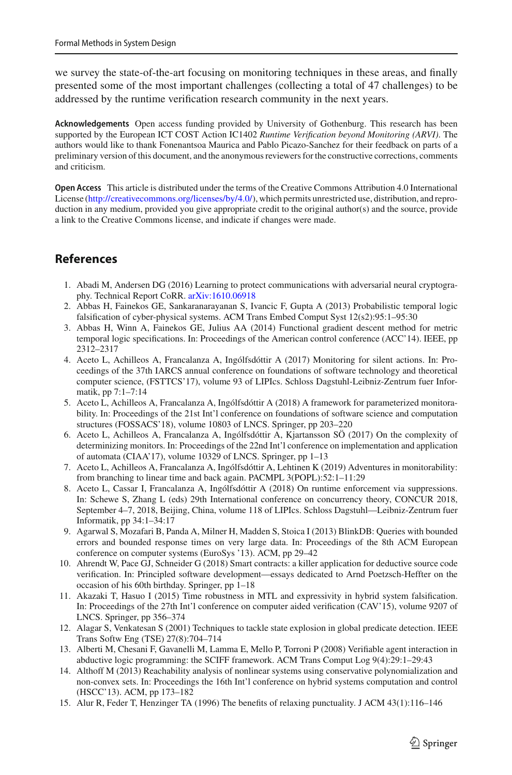we survey the state-of-the-art focusing on monitoring techniques in these areas, and finally presented some of the most important challenges (collecting a total of 47 challenges) to be addressed by the runtime verification research community in the next years.

**Acknowledgements** Open access funding provided by University of Gothenburg. This research has been supported by the European ICT COST Action IC1402 *Runtime Verification beyond Monitoring (ARVI)*. The authors would like to thank Fonenantsoa Maurica and Pablo Picazo-Sanchez for their feedback on parts of a preliminary version of this document, and the anonymous reviewers for the constructive corrections, comments and criticism.

**Open Access** This article is distributed under the terms of the Creative Commons Attribution 4.0 International License [\(http://creativecommons.org/licenses/by/4.0/\)](http://creativecommons.org/licenses/by/4.0/), which permits unrestricted use, distribution, and reproduction in any medium, provided you give appropriate credit to the original author(s) and the source, provide a link to the Creative Commons license, and indicate if changes were made.

## **References**

- <span id="page-42-11"></span>1. Abadi M, Andersen DG (2016) Learning to protect communications with adversarial neural cryptography. Technical Report CoRR. [arXiv:1610.06918](http://arxiv.org/abs/1610.06918)
- <span id="page-42-8"></span>2. Abbas H, Fainekos GE, Sankaranarayanan S, Ivancic F, Gupta A (2013) Probabilistic temporal logic falsification of cyber-physical systems. ACM Trans Embed Comput Syst 12(s2):95:1–95:30
- <span id="page-42-9"></span>3. Abbas H, Winn A, Fainekos GE, Julius AA (2014) Functional gradient descent method for metric temporal logic specifications. In: Proceedings of the American control conference (ACC'14). IEEE, pp 2312–2317
- <span id="page-42-4"></span>4. Aceto L, Achilleos A, Francalanza A, Ingólfsdóttir A (2017) Monitoring for silent actions. In: Proceedings of the 37th IARCS annual conference on foundations of software technology and theoretical computer science, (FSTTCS'17), volume 93 of LIPIcs. Schloss Dagstuhl-Leibniz-Zentrum fuer Informatik, pp 7:1–7:14
- <span id="page-42-3"></span>5. Aceto L, Achilleos A, Francalanza A, Ingólfsdóttir A (2018) A framework for parameterized monitorability. In: Proceedings of the 21st Int'l conference on foundations of software science and computation structures (FOSSACS'18), volume 10803 of LNCS. Springer, pp 203–220
- <span id="page-42-5"></span>6. Aceto L, Achilleos A, Francalanza A, Ingólfsdóttir A, Kjartansson SÖ (2017) On the complexity of determinizing monitors. In: Proceedings of the 22nd Int'l conference on implementation and application of automata (CIAA'17), volume 10329 of LNCS. Springer, pp 1–13
- <span id="page-42-1"></span>7. Aceto L, Achilleos A, Francalanza A, Ingólfsdóttir A, Lehtinen K (2019) Adventures in monitorability: from branching to linear time and back again. PACMPL 3(POPL):52:1–11:29
- <span id="page-42-2"></span>8. Aceto L, Cassar I, Francalanza A, Ingólfsdóttir A (2018) On runtime enforcement via suppressions. In: Schewe S, Zhang L (eds) 29th International conference on concurrency theory, CONCUR 2018, September 4–7, 2018, Beijing, China, volume 118 of LIPIcs. Schloss Dagstuhl—Leibniz-Zentrum fuer Informatik, pp 34:1–34:17
- <span id="page-42-14"></span>9. Agarwal S, Mozafari B, Panda A, Milner H, Madden S, Stoica I (2013) BlinkDB: Queries with bounded errors and bounded response times on very large data. In: Proceedings of the 8th ACM European conference on computer systems (EuroSys '13). ACM, pp 29–42
- <span id="page-42-12"></span>10. Ahrendt W, Pace GJ, Schneider G (2018) Smart contracts: a killer application for deductive source code verification. In: Principled software development—essays dedicated to Arnd Poetzsch-Heffter on the occasion of his 60th birthday. Springer, pp 1–18
- <span id="page-42-10"></span>11. Akazaki T, Hasuo I (2015) Time robustness in MTL and expressivity in hybrid system falsification. In: Proceedings of the 27th Int'l conference on computer aided verification (CAV'15), volume 9207 of LNCS. Springer, pp 356–374
- <span id="page-42-0"></span>12. Alagar S, Venkatesan S (2001) Techniques to tackle state explosion in global predicate detection. IEEE Trans Softw Eng (TSE) 27(8):704–714
- <span id="page-42-13"></span>13. Alberti M, Chesani F, Gavanelli M, Lamma E, Mello P, Torroni P (2008) Verifiable agent interaction in abductive logic programming: the SCIFF framework. ACM Trans Comput Log 9(4):29:1–29:43
- <span id="page-42-6"></span>14. Althoff M (2013) Reachability analysis of nonlinear systems using conservative polynomialization and non-convex sets. In: Proceedings the 16th Int'l conference on hybrid systems computation and control (HSCC'13). ACM, pp 173–182
- <span id="page-42-7"></span>15. Alur R, Feder T, Henzinger TA (1996) The benefits of relaxing punctuality. J ACM 43(1):116–146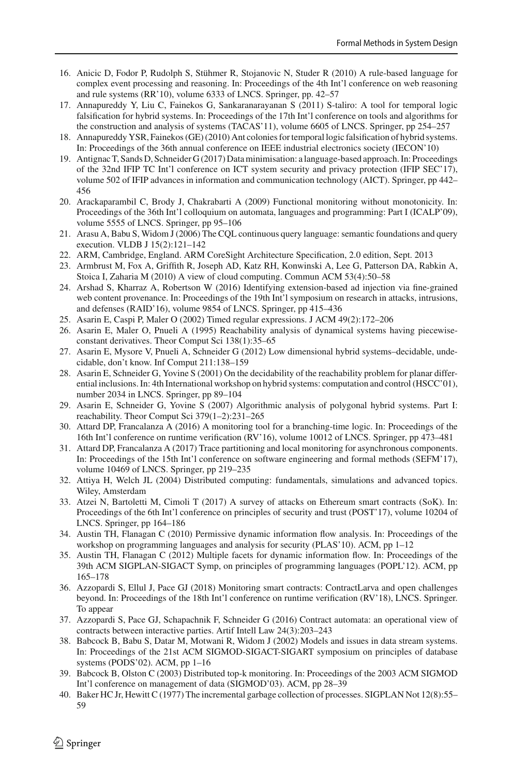- <span id="page-43-21"></span>16. Anicic D, Fodor P, Rudolph S, Stühmer R, Stojanovic N, Studer R (2010) A rule-based language for complex event processing and reasoning. In: Proceedings of the 4th Int'l conference on web reasoning and rule systems (RR'10), volume 6333 of LNCS. Springer, pp. 42–57
- <span id="page-43-8"></span>17. Annapureddy Y, Liu C, Fainekos G, Sankaranarayanan S (2011) S-taliro: A tool for temporal logic falsification for hybrid systems. In: Proceedings of the 17th Int'l conference on tools and algorithms for the construction and analysis of systems (TACAS'11), volume 6605 of LNCS. Springer, pp 254–257
- <span id="page-43-9"></span>18. Annapureddy YSR, Fainekos (GE) (2010) Ant colonies for temporal logic falsification of hybrid systems. In: Proceedings of the 36th annual conference on IEEE industrial electronics society (IECON'10)
- <span id="page-43-11"></span>19. Antignac T, Sands D, Schneider G (2017) Data minimisation: a language-based approach. In: Proceedings of the 32nd IFIP TC Int'l conference on ICT system security and privacy protection (IFIP SEC'17), volume 502 of IFIP advances in information and communication technology (AICT). Springer, pp 442– 456
- <span id="page-43-24"></span>20. Arackaparambil C, Brody J, Chakrabarti A (2009) Functional monitoring without monotonicity. In: Proceedings of the 36th Int'l colloquium on automata, languages and programming: Part I (ICALP'09), volume 5555 of LNCS. Springer, pp 95–106
- <span id="page-43-20"></span>21. Arasu A, Babu S, Widom J (2006) The CQL continuous query language: semantic foundations and query execution. VLDB J 15(2):121–142
- <span id="page-43-10"></span>22. ARM, Cambridge, England. ARM CoreSight Architecture Specification, 2.0 edition, Sept. 2013
- <span id="page-43-15"></span>23. Armbrust M, Fox A, Griffith R, Joseph AD, Katz RH, Konwinski A, Lee G, Patterson DA, Rabkin A, Stoica I, Zaharia M (2010) A view of cloud computing. Commun ACM 53(4):50–58
- <span id="page-43-14"></span>24. Arshad S, Kharraz A, Robertson W (2016) Identifying extension-based ad injection via fine-grained web content provenance. In: Proceedings of the 19th Int'l symposium on research in attacks, intrusions, and defenses (RAID'16), volume 9854 of LNCS. Springer, pp 415–436
- <span id="page-43-7"></span>25. Asarin E, Caspi P, Maler O (2002) Timed regular expressions. J ACM 49(2):172–206
- <span id="page-43-5"></span>26. Asarin E, Maler O, Pnueli A (1995) Reachability analysis of dynamical systems having piecewiseconstant derivatives. Theor Comput Sci 138(1):35–65
- <span id="page-43-3"></span>27. Asarin E, Mysore V, Pnueli A, Schneider G (2012) Low dimensional hybrid systems–decidable, undecidable, don't know. Inf Comput 211:138–159
- <span id="page-43-6"></span>28. Asarin E, Schneider G, Yovine S (2001) On the decidability of the reachability problem for planar differential inclusions. In: 4th International workshop on hybrid systems: computation and control (HSCC'01), number 2034 in LNCS. Springer, pp 89–104
- <span id="page-43-4"></span>29. Asarin E, Schneider G, Yovine S (2007) Algorithmic analysis of polygonal hybrid systems. Part I: reachability. Theor Comput Sci 379(1–2):231–265
- <span id="page-43-2"></span>30. Attard DP, Francalanza A (2016) A monitoring tool for a branching-time logic. In: Proceedings of the 16th Int'l conference on runtime verification (RV'16), volume 10012 of LNCS. Springer, pp 473–481
- <span id="page-43-1"></span>31. Attard DP, Francalanza A (2017) Trace partitioning and local monitoring for asynchronous components. In: Proceedings of the 15th Int'l conference on software engineering and formal methods (SEFM'17), volume 10469 of LNCS. Springer, pp 219–235
- <span id="page-43-0"></span>32. Attiya H, Welch JL (2004) Distributed computing: fundamentals, simulations and advanced topics. Wiley, Amsterdam
- <span id="page-43-19"></span>33. Atzei N, Bartoletti M, Cimoli T (2017) A survey of attacks on Ethereum smart contracts (SoK). In: Proceedings of the 6th Int'l conference on principles of security and trust (POST'17), volume 10204 of LNCS. Springer, pp 164–186
- <span id="page-43-12"></span>34. Austin TH, Flanagan C (2010) Permissive dynamic information flow analysis. In: Proceedings of the workshop on programming languages and analysis for security (PLAS'10). ACM, pp 1–12
- <span id="page-43-13"></span>35. Austin TH, Flanagan C (2012) Multiple facets for dynamic information flow. In: Proceedings of the 39th ACM SIGPLAN-SIGACT Symp, on principles of programming languages (POPL'12). ACM, pp 165–178
- <span id="page-43-18"></span>36. Azzopardi S, Ellul J, Pace GJ (2018) Monitoring smart contracts: ContractLarva and open challenges beyond. In: Proceedings of the 18th Int'l conference on runtime verification (RV'18), LNCS. Springer. To appear
- <span id="page-43-17"></span>37. Azzopardi S, Pace GJ, Schapachnik F, Schneider G (2016) Contract automata: an operational view of contracts between interactive parties. Artif Intell Law 24(3):203–243
- <span id="page-43-22"></span>38. Babcock B, Babu S, Datar M, Motwani R, Widom J (2002) Models and issues in data stream systems. In: Proceedings of the 21st ACM SIGMOD-SIGACT-SIGART symposium on principles of database systems (PODS'02). ACM, pp 1–16
- <span id="page-43-23"></span>39. Babcock B, Olston C (2003) Distributed top-k monitoring. In: Proceedings of the 2003 ACM SIGMOD Int'l conference on management of data (SIGMOD'03). ACM, pp 28–39
- <span id="page-43-16"></span>40. Baker HC Jr, Hewitt C (1977) The incremental garbage collection of processes. SIGPLAN Not 12(8):55– 59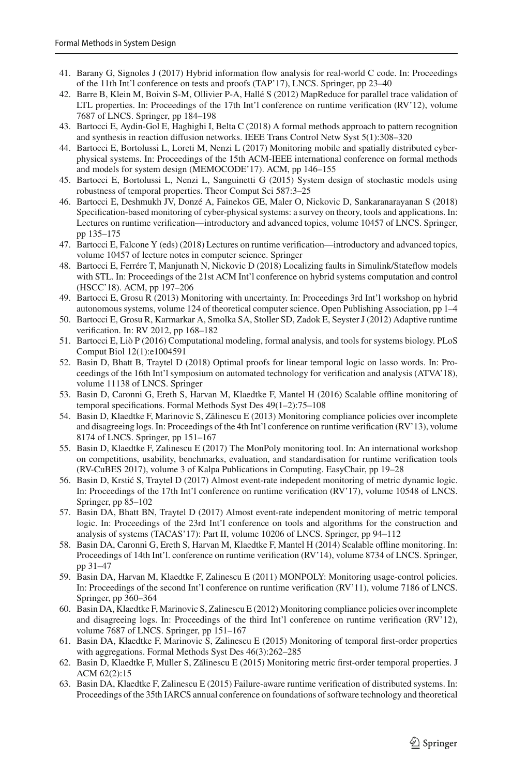- <span id="page-44-10"></span>41. Barany G, Signoles J (2017) Hybrid information flow analysis for real-world C code. In: Proceedings of the 11th Int'l conference on tests and proofs (TAP'17), LNCS. Springer, pp 23–40
- <span id="page-44-11"></span>42. Barre B, Klein M, Boivin S-M, Ollivier P-A, Hallé S (2012) MapReduce for parallel trace validation of LTL properties. In: Proceedings of the 17th Int'l conference on runtime verification (RV'12), volume 7687 of LNCS. Springer, pp 184–198
- <span id="page-44-6"></span>43. Bartocci E, Aydin-Gol E, Haghighi I, Belta C (2018) A formal methods approach to pattern recognition and synthesis in reaction diffusion networks. IEEE Trans Control Netw Syst 5(1):308–320
- <span id="page-44-7"></span>44. Bartocci E, Bortolussi L, Loreti M, Nenzi L (2017) Monitoring mobile and spatially distributed cyberphysical systems. In: Proceedings of the 15th ACM-IEEE international conference on formal methods and models for system design (MEMOCODE'17). ACM, pp 146–155
- <span id="page-44-8"></span>45. Bartocci E, Bortolussi L, Nenzi L, Sanguinetti G (2015) System design of stochastic models using robustness of temporal properties. Theor Comput Sci 587:3–25
- <span id="page-44-5"></span>46. Bartocci E, Deshmukh JV, Donzé A, Fainekos GE, Maler O, Nickovic D, Sankaranarayanan S (2018) Specification-based monitoring of cyber-physical systems: a survey on theory, tools and applications. In: Lectures on runtime verification—introductory and advanced topics, volume 10457 of LNCS. Springer, pp 135–175
- <span id="page-44-0"></span>47. Bartocci E, Falcone Y (eds) (2018) Lectures on runtime verification—introductory and advanced topics, volume 10457 of lecture notes in computer science. Springer
- <span id="page-44-9"></span>48. Bartocci E, Ferrére T, Manjunath N, Nickovic D (2018) Localizing faults in Simulink/Stateflow models with STL. In: Proceedings of the 21st ACM Int'l conference on hybrid systems computation and control (HSCC'18). ACM, pp 197–206
- <span id="page-44-20"></span>49. Bartocci E, Grosu R (2013) Monitoring with uncertainty. In: Proceedings 3rd Int'l workshop on hybrid autonomous systems, volume 124 of theoretical computer science. Open Publishing Association, pp 1–4
- <span id="page-44-19"></span>50. Bartocci E, Grosu R, Karmarkar A, Smolka SA, Stoller SD, Zadok E, Seyster J (2012) Adaptive runtime verification. In: RV 2012, pp 168–182
- <span id="page-44-4"></span>51. Bartocci E, Liò P (2016) Computational modeling, formal analysis, and tools for systems biology. PLoS Comput Biol 12(1):e1004591
- <span id="page-44-22"></span>52. Basin D, Bhatt B, Traytel D (2018) Optimal proofs for linear temporal logic on lasso words. In: Proceedings of the 16th Int'l symposium on automated technology for verification and analysis (ATVA'18), volume 11138 of LNCS. Springer
- <span id="page-44-12"></span>53. Basin D, Caronni G, Ereth S, Harvan M, Klaedtke F, Mantel H (2016) Scalable offline monitoring of temporal specifications. Formal Methods Syst Des 49(1–2):75–108
- <span id="page-44-3"></span>54. Basin D, Klaedtke F, Marinovic S, Zălinescu E (2013) Monitoring compliance policies over incomplete and disagreeing logs. In: Proceedings of the 4th Int'l conference on runtime verification (RV'13), volume 8174 of LNCS. Springer, pp 151–167
- <span id="page-44-14"></span>55. Basin D, Klaedtke F, Zalinescu E (2017) The MonPoly monitoring tool. In: An international workshop on competitions, usability, benchmarks, evaluation, and standardisation for runtime verification tools (RV-CuBES 2017), volume 3 of Kalpa Publications in Computing. EasyChair, pp 19–28
- <span id="page-44-18"></span>56. Basin D, Krstić S, Traytel D (2017) Almost event-rate indepedent monitoring of metric dynamic logic. In: Proceedings of the 17th Int'l conference on runtime verification (RV'17), volume 10548 of LNCS. Springer, pp 85–102
- <span id="page-44-21"></span>57. Basin DA, Bhatt BN, Traytel D (2017) Almost event-rate independent monitoring of metric temporal logic. In: Proceedings of the 23rd Int'l conference on tools and algorithms for the construction and analysis of systems (TACAS'17): Part II, volume 10206 of LNCS. Springer, pp 94–112
- <span id="page-44-13"></span>58. Basin DA, Caronni G, Ereth S, Harvan M, Klaedtke F, Mantel H (2014) Scalable offline monitoring. In: Proceedings of 14th Int'l. conference on runtime verification (RV'14), volume 8734 of LNCS. Springer, pp 31–47
- <span id="page-44-15"></span>59. Basin DA, Harvan M, Klaedtke F, Zalinescu E (2011) MONPOLY: Monitoring usage-control policies. In: Proceedings of the second Int'l conference on runtime verification (RV'11), volume 7186 of LNCS. Springer, pp 360–364
- <span id="page-44-2"></span>60. Basin DA, Klaedtke F, Marinovic S, Zalinescu E (2012) Monitoring compliance policies over incomplete and disagreeing logs. In: Proceedings of the third Int'l conference on runtime verification (RV'12), volume 7687 of LNCS. Springer, pp 151–167
- <span id="page-44-16"></span>61. Basin DA, Klaedtke F, Marinovic S, Zalinescu E (2015) Monitoring of temporal first-order properties with aggregations. Formal Methods Syst Des 46(3):262–285
- <span id="page-44-17"></span>62. Basin D, Klaedtke F, Müller S, Zălinescu E (2015) Monitoring metric first-order temporal properties. J ACM 62(2):15
- <span id="page-44-1"></span>63. Basin DA, Klaedtke F, Zalinescu E (2015) Failure-aware runtime verification of distributed systems. In: Proceedings of the 35th IARCS annual conference on foundations of software technology and theoretical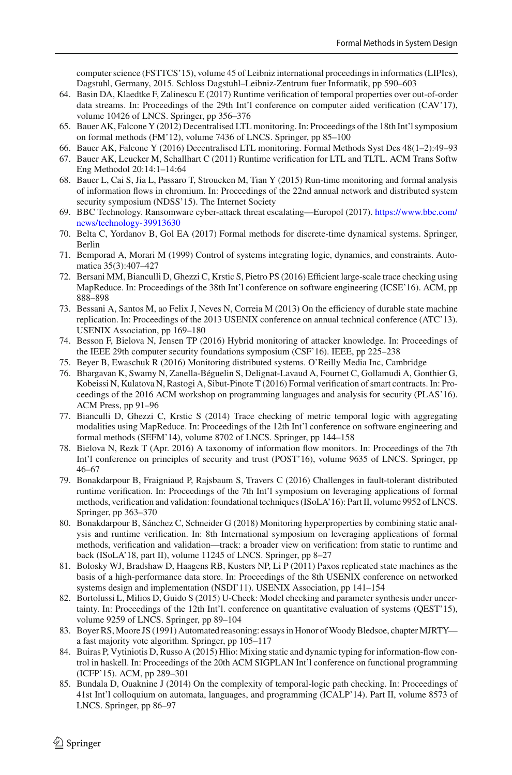computer science (FSTTCS'15), volume 45 of Leibniz international proceedings in informatics (LIPIcs), Dagstuhl, Germany, 2015. Schloss Dagstuhl–Leibniz-Zentrum fuer Informatik, pp 590–603

- <span id="page-45-20"></span>64. Basin DA, Klaedtke F, Zalinescu E (2017) Runtime verification of temporal properties over out-of-order data streams. In: Proceedings of the 29th Int'l conference on computer aided verification (CAV'17), volume 10426 of LNCS. Springer, pp 356–376
- <span id="page-45-2"></span>65. Bauer AK, Falcone Y (2012) Decentralised LTL monitoring. In: Proceedings of the 18th Int'l symposium on formal methods (FM'12), volume 7436 of LNCS. Springer, pp 85–100
- <span id="page-45-3"></span>66. Bauer AK, Falcone Y (2016) Decentralised LTL monitoring. Formal Methods Syst Des 48(1–2):49–93
- <span id="page-45-4"></span>67. Bauer AK, Leucker M, Schallhart C (2011) Runtime verification for LTL and TLTL. ACM Trans Softw Eng Methodol 20:14:1–14:64
- <span id="page-45-11"></span>68. Bauer L, Cai S, Jia L, Passaro T, Stroucken M, Tian Y (2015) Run-time monitoring and formal analysis of information flows in chromium. In: Proceedings of the 22nd annual network and distributed system security symposium (NDSS'15). The Internet Society
- <span id="page-45-8"></span>69. BBC Technology. Ransomware cyber-attack threat escalating—Europol (2017). [https://www.bbc.com/](https://www.bbc.com/news/technology-39913630) [news/technology-39913630](https://www.bbc.com/news/technology-39913630)
- <span id="page-45-6"></span>70. Belta C, Yordanov B, Gol EA (2017) Formal methods for discrete-time dynamical systems. Springer, Berlin
- <span id="page-45-7"></span>71. Bemporad A, Morari M (1999) Control of systems integrating logic, dynamics, and constraints. Automatica 35(3):407–427
- <span id="page-45-19"></span>72. Bersani MM, Bianculli D, Ghezzi C, Krstic S, Pietro PS (2016) Efficient large-scale trace checking using MapReduce. In: Proceedings of the 38th Int'l conference on software engineering (ICSE'16). ACM, pp 888–898
- <span id="page-45-14"></span>73. Bessani A, Santos M, ao Felix J, Neves N, Correia M (2013) On the efficiency of durable state machine replication. In: Proceedings of the 2013 USENIX conference on annual technical conference (ATC'13). USENIX Association, pp 169–180
- <span id="page-45-13"></span>74. Besson F, Bielova N, Jensen TP (2016) Hybrid monitoring of attacker knowledge. In: Proceedings of the IEEE 29th computer security foundations symposium (CSF'16). IEEE, pp 225–238
- <span id="page-45-16"></span>75. Beyer B, Ewaschuk R (2016) Monitoring distributed systems. O'Reilly Media Inc, Cambridge
- <span id="page-45-17"></span>76. Bhargavan K, Swamy N, Zanella-Béguelin S, Delignat-Lavaud A, Fournet C, Gollamudi A, Gonthier G, Kobeissi N, Kulatova N, Rastogi A, Sibut-Pinote T (2016) Formal verification of smart contracts. In: Proceedings of the 2016 ACM workshop on programming languages and analysis for security (PLAS'16). ACM Press, pp 91–96
- <span id="page-45-18"></span>77. Bianculli D, Ghezzi C, Krstic S (2014) Trace checking of metric temporal logic with aggregating modalities using MapReduce. In: Proceedings of the 12th Int'l conference on software engineering and formal methods (SEFM'14), volume 8702 of LNCS. Springer, pp 144–158
- <span id="page-45-10"></span>78. Bielova N, Rezk T (Apr. 2016) A taxonomy of information flow monitors. In: Proceedings of the 7th Int'l conference on principles of security and trust (POST'16), volume 9635 of LNCS. Springer, pp 46–67
- <span id="page-45-1"></span>79. Bonakdarpour B, Fraigniaud P, Rajsbaum S, Travers C (2016) Challenges in fault-tolerant distributed runtime verification. In: Proceedings of the 7th Int'l symposium on leveraging applications of formal methods, verification and validation: foundational techniques (ISoLA'16): Part II, volume 9952 of LNCS. Springer, pp 363–370
- <span id="page-45-12"></span>80. Bonakdarpour B, Sánchez C, Schneider G (2018) Monitoring hyperproperties by combining static analysis and runtime verification. In: 8th International symposium on leveraging applications of formal methods, verification and validation—track: a broader view on verification: from static to runtime and back (ISoLA'18, part II), volume 11245 of LNCS. Springer, pp 8–27
- <span id="page-45-15"></span>81. Bolosky WJ, Bradshaw D, Haagens RB, Kusters NP, Li P (2011) Paxos replicated state machines as the basis of a high-performance data store. In: Proceedings of the 8th USENIX conference on networked systems design and implementation (NSDI'11). USENIX Association, pp 141–154
- <span id="page-45-5"></span>82. Bortolussi L, Milios D, Guido S (2015) U-Check: Model checking and parameter synthesis under uncertainty. In: Proceedings of the 12th Int'l. conference on quantitative evaluation of systems (QEST'15), volume 9259 of LNCS. Springer, pp 89–104
- <span id="page-45-21"></span>83. Boyer RS, Moore JS (1991) Automated reasoning: essays in Honor of Woody Bledsoe, chapter MJRTYa fast majority vote algorithm. Springer, pp 105–117
- <span id="page-45-9"></span>84. Buiras P, Vytiniotis D, Russo A (2015) Hlio: Mixing static and dynamic typing for information-flow control in haskell. In: Proceedings of the 20th ACM SIGPLAN Int'l conference on functional programming (ICFP'15). ACM, pp 289–301
- <span id="page-45-0"></span>85. Bundala D, Ouaknine J (2014) On the complexity of temporal-logic path checking. In: Proceedings of 41st Int'l colloquium on automata, languages, and programming (ICALP'14). Part II, volume 8573 of LNCS. Springer, pp 86–97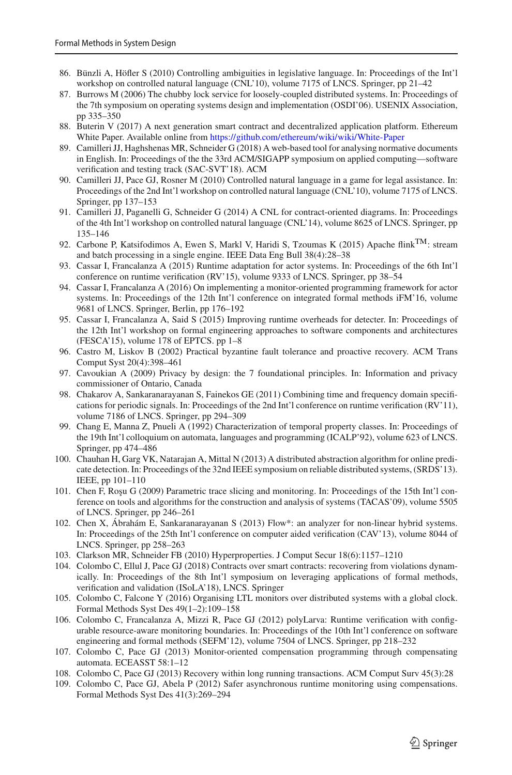- <span id="page-46-19"></span>86. Bünzli A, Höfler S (2010) Controlling ambiguities in legislative language. In: Proceedings of the Int'l workshop on controlled natural language (CNL'10), volume 7175 of LNCS. Springer, pp 21–42
- <span id="page-46-13"></span>87. Burrows M (2006) The chubby lock service for loosely-coupled distributed systems. In: Proceedings of the 7th symposium on operating systems design and implementation (OSDI'06). USENIX Association, pp 335–350
- <span id="page-46-16"></span>88. Buterin V (2017) A next generation smart contract and decentralized application platform. Ethereum White Paper. Available online from <https://github.com/ethereum/wiki/wiki/White-Paper>
- <span id="page-46-17"></span>89. Camilleri JJ, Haghshenas MR, Schneider G (2018) A web-based tool for analysing normative documents in English. In: Proceedings of the the 33rd ACM/SIGAPP symposium on applied computing—software verification and testing track (SAC-SVT'18). ACM
- <span id="page-46-20"></span>90. Camilleri JJ, Pace GJ, Rosner M (2010) Controlled natural language in a game for legal assistance. In: Proceedings of the 2nd Int'l workshop on controlled natural language (CNL'10), volume 7175 of LNCS. Springer, pp 137–153
- <span id="page-46-18"></span>91. Camilleri JJ, Paganelli G, Schneider G (2014) A CNL for contract-oriented diagrams. In: Proceedings of the 4th Int'l workshop on controlled natural language (CNL'14), volume 8625 of LNCS. Springer, pp 135–146
- <span id="page-46-23"></span>92. Carbone P, Katsifodimos A, Ewen S, Markl V, Haridi S, Tzoumas K (2015) Apache flink<sup>TM</sup>: stream and batch processing in a single engine. IEEE Data Eng Bull 38(4):28–38
- <span id="page-46-3"></span>93. Cassar I, Francalanza A (2015) Runtime adaptation for actor systems. In: Proceedings of the 6th Int'l conference on runtime verification (RV'15), volume 9333 of LNCS. Springer, pp 38–54
- <span id="page-46-0"></span>94. Cassar I, Francalanza A (2016) On implementing a monitor-oriented programming framework for actor systems. In: Proceedings of the 12th Int'l conference on integrated formal methods iFM'16, volume 9681 of LNCS. Springer, Berlin, pp 176–192
- <span id="page-46-4"></span>95. Cassar I, Francalanza A, Said S (2015) Improving runtime overheads for detecter. In: Proceedings of the 12th Int'l workshop on formal engineering approaches to software components and architectures (FESCA'15), volume 178 of EPTCS. pp 1–8
- <span id="page-46-12"></span>96. Castro M, Liskov B (2002) Practical byzantine fault tolerance and proactive recovery. ACM Trans Comput Syst 20(4):398–461
- <span id="page-46-9"></span>97. Cavoukian A (2009) Privacy by design: the 7 foundational principles. In: Information and privacy commissioner of Ontario, Canada
- <span id="page-46-8"></span>98. Chakarov A, Sankaranarayanan S, Fainekos GE (2011) Combining time and frequency domain specifications for periodic signals. In: Proceedings of the 2nd Int'l conference on runtime verification (RV'11), volume 7186 of LNCS. Springer, pp 294–309
- <span id="page-46-6"></span>99. Chang E, Manna Z, Pnueli A (1992) Characterization of temporal property classes. In: Proceedings of the 19th Int'l colloquium on automata, languages and programming (ICALP'92), volume 623 of LNCS. Springer, pp 474–486
- <span id="page-46-2"></span>100. Chauhan H, Garg VK, Natarajan A, Mittal N (2013) A distributed abstraction algorithm for online predicate detection. In: Proceedings of the 32nd IEEE symposium on reliable distributed systems, (SRDS'13). IEEE, pp 101–110
- <span id="page-46-22"></span>101. Chen F, Roşu G (2009) Parametric trace slicing and monitoring. In: Proceedings of the 15th Int'l conference on tools and algorithms for the construction and analysis of systems (TACAS'09), volume 5505 of LNCS. Springer, pp 246–261
- <span id="page-46-7"></span>102. Chen X, Ábrahám E, Sankaranarayanan S (2013) Flow\*: an analyzer for non-linear hybrid systems. In: Proceedings of the 25th Int'l conference on computer aided verification (CAV'13), volume 8044 of LNCS. Springer, pp 258–263
- <span id="page-46-10"></span>103. Clarkson MR, Schneider FB (2010) Hyperproperties. J Comput Secur 18(6):1157–1210
- <span id="page-46-21"></span>104. Colombo C, Ellul J, Pace GJ (2018) Contracts over smart contracts: recovering from violations dynamically. In: Proceedings of the 8th Int'l symposium on leveraging applications of formal methods, verification and validation (ISoLA'18), LNCS. Springer
- <span id="page-46-5"></span>105. Colombo C, Falcone Y (2016) Organising LTL monitors over distributed systems with a global clock. Formal Methods Syst Des 49(1–2):109–158
- <span id="page-46-1"></span>106. Colombo C, Francalanza A, Mizzi R, Pace GJ (2012) polyLarva: Runtime verification with configurable resource-aware monitoring boundaries. In: Proceedings of the 10th Int'l conference on software engineering and formal methods (SEFM'12), volume 7504 of LNCS. Springer, pp 218–232
- <span id="page-46-14"></span>107. Colombo C, Pace GJ (2013) Monitor-oriented compensation programming through compensating automata. ECEASST 58:1–12
- <span id="page-46-11"></span>108. Colombo C, Pace GJ (2013) Recovery within long running transactions. ACM Comput Surv 45(3):28
- <span id="page-46-15"></span>109. Colombo C, Pace GJ, Abela P (2012) Safer asynchronous runtime monitoring using compensations. Formal Methods Syst Des 41(3):269–294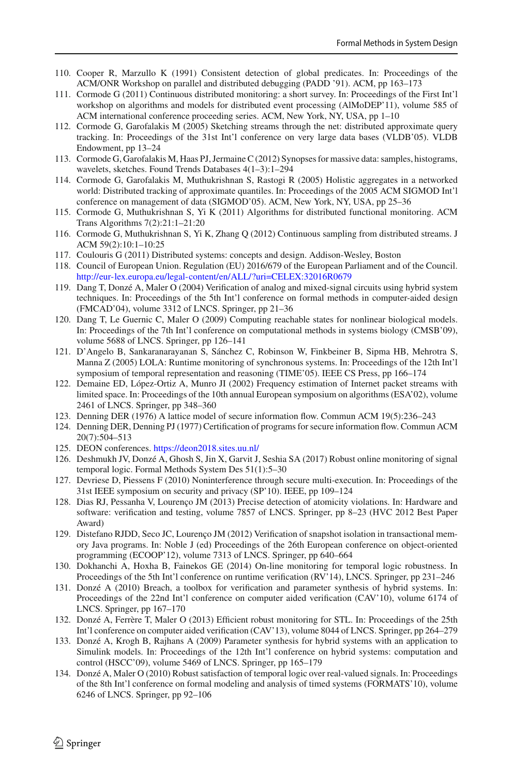- <span id="page-47-1"></span>110. Cooper R, Marzullo K (1991) Consistent detection of global predicates. In: Proceedings of the ACM/ONR Workshop on parallel and distributed debugging (PADD '91). ACM, pp 163–173
- <span id="page-47-22"></span>111. Cormode G (2011) Continuous distributed monitoring: a short survey. In: Proceedings of the First Int'l workshop on algorithms and models for distributed event processing (AlMoDEP'11), volume 585 of ACM international conference proceeding series. ACM, New York, NY, USA, pp 1–10
- <span id="page-47-19"></span>112. Cormode G, Garofalakis M (2005) Sketching streams through the net: distributed approximate query tracking. In: Proceedings of the 31st Int'l conference on very large data bases (VLDB'05). VLDB Endowment, pp 13–24
- <span id="page-47-24"></span>113. Cormode G, Garofalakis M, Haas PJ, Jermaine C (2012) Synopses for massive data: samples, histograms, wavelets, sketches. Found Trends Databases 4(1–3):1–294
- <span id="page-47-18"></span>114. Cormode G, Garofalakis M, Muthukrishnan S, Rastogi R (2005) Holistic aggregates in a networked world: Distributed tracking of approximate quantiles. In: Proceedings of the 2005 ACM SIGMOD Int'l conference on management of data (SIGMOD'05). ACM, New York, NY, USA, pp 25–36
- <span id="page-47-20"></span>115. Cormode G, Muthukrishnan S, Yi K (2011) Algorithms for distributed functional monitoring. ACM Trans Algorithms 7(2):21:1–21:20
- <span id="page-47-23"></span>116. Cormode G, Muthukrishnan S, Yi K, Zhang Q (2012) Continuous sampling from distributed streams. J ACM 59(2):10:1–10:25
- <span id="page-47-0"></span>117. Coulouris G (2011) Distributed systems: concepts and design. Addison-Wesley, Boston
- <span id="page-47-11"></span>118. Council of European Union. Regulation (EU) 2016/679 of the European Parliament and of the Council. <http://eur-lex.europa.eu/legal-content/en/ALL/?uri=CELEX:32016R0679>
- <span id="page-47-3"></span>119. Dang T, Donzé A, Maler O (2004) Verification of analog and mixed-signal circuits using hybrid system techniques. In: Proceedings of the 5th Int'l conference on formal methods in computer-aided design (FMCAD'04), volume 3312 of LNCS. Springer, pp 21–36
- <span id="page-47-4"></span>120. Dang T, Le Guernic C, Maler O (2009) Computing reachable states for nonlinear biological models. In: Proceedings of the 7th Int'l conference on computational methods in systems biology (CMSB'09), volume 5688 of LNCS. Springer, pp 126–141
- <span id="page-47-2"></span>121. D'Angelo B, Sankaranarayanan S, Sánchez C, Robinson W, Finkbeiner B, Sipma HB, Mehrotra S, Manna Z (2005) LOLA: Runtime monitoring of synchronous systems. In: Proceedings of the 12th Int'l symposium of temporal representation and reasoning (TIME'05). IEEE CS Press, pp 166–174
- <span id="page-47-21"></span>122. Demaine ED, López-Ortiz A, Munro JI (2002) Frequency estimation of Internet packet streams with limited space. In: Proceedings of the 10th annual European symposium on algorithms (ESA'02), volume 2461 of LNCS. Springer, pp 348–360
- <span id="page-47-12"></span>123. Denning DER (1976) A lattice model of secure information flow. Commun ACM 19(5):236–243
- <span id="page-47-13"></span>124. Denning DER, Denning PJ (1977) Certification of programs for secure information flow. Commun ACM 20(7):504–513
- <span id="page-47-17"></span>125. DEON conferences. <https://deon2018.sites.uu.nl/>
- <span id="page-47-8"></span>126. Deshmukh JV, Donzé A, Ghosh S, Jin X, Garvit J, Seshia SA (2017) Robust online monitoring of signal temporal logic. Formal Methods System Des 51(1):5–30
- <span id="page-47-14"></span>127. Devriese D, Piessens F (2010) Noninterference through secure multi-execution. In: Proceedings of the 31st IEEE symposium on security and privacy (SP'10). IEEE, pp 109–124
- <span id="page-47-15"></span>128. Dias RJ, Pessanha V, Lourenço JM (2013) Precise detection of atomicity violations. In: Hardware and software: verification and testing, volume 7857 of LNCS. Springer, pp 8–23 (HVC 2012 Best Paper Award)
- <span id="page-47-16"></span>129. Distefano RJDD, Seco JC, Lourenço JM (2012) Verification of snapshot isolation in transactional memory Java programs. In: Noble J (ed) Proceedings of the 26th European conference on object-oriented programming (ECOOP'12), volume 7313 of LNCS. Springer, pp 640–664
- <span id="page-47-6"></span>130. Dokhanchi A, Hoxha B, Fainekos GE (2014) On-line monitoring for temporal logic robustness. In Proceedings of the 5th Int'l conference on runtime verification (RV'14), LNCS. Springer, pp 231–246
- <span id="page-47-9"></span>131. Donzé A (2010) Breach, a toolbox for verification and parameter synthesis of hybrid systems. In: Proceedings of the 22nd Int'l conference on computer aided verification (CAV'10), volume 6174 of LNCS. Springer, pp 167–170
- <span id="page-47-7"></span>132. Donzé A, Ferrère T, Maler O (2013) Efficient robust monitoring for STL. In: Proceedings of the 25th Int'l conference on computer aided verification (CAV'13), volume 8044 of LNCS. Springer, pp 264–279
- <span id="page-47-10"></span>133. Donzé A, Krogh B, Rajhans A (2009) Parameter synthesis for hybrid systems with an application to Simulink models. In: Proceedings of the 12th Int'l conference on hybrid systems: computation and control (HSCC'09), volume 5469 of LNCS. Springer, pp 165–179
- <span id="page-47-5"></span>134. Donzé A, Maler O (2010) Robust satisfaction of temporal logic over real-valued signals. In: Proceedings of the 8th Int'l conference on formal modeling and analysis of timed systems (FORMATS'10), volume 6246 of LNCS. Springer, pp 92–106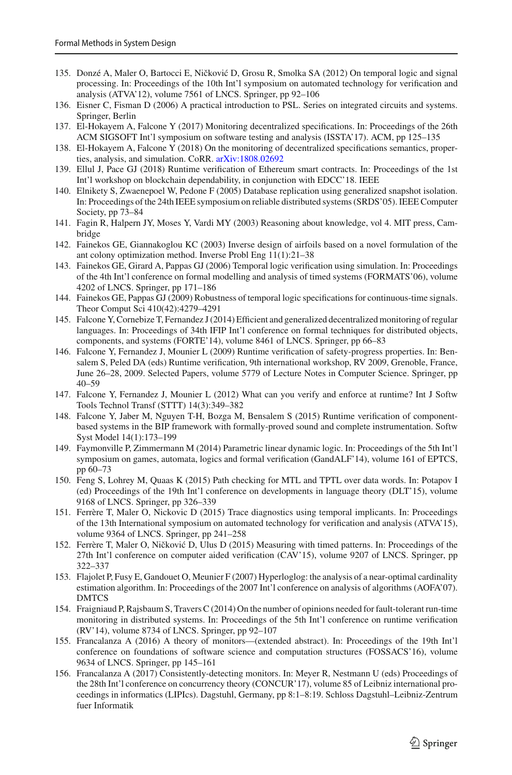- <span id="page-48-15"></span>135. Donzé A, Maler O, Bartocci E, Ničković D, Grosu R, Smolka SA (2012) On temporal logic and signal processing. In: Proceedings of the 10th Int'l symposium on automated technology for verification and analysis (ATVA'12), volume 7561 of LNCS. Springer, pp 92–106
- <span id="page-48-19"></span>136. Eisner C, Fisman D (2006) A practical introduction to PSL. Series on integrated circuits and systems. Springer, Berlin
- <span id="page-48-7"></span>137. El-Hokayem A, Falcone Y (2017) Monitoring decentralized specifications. In: Proceedings of the 26th ACM SIGSOFT Int'l symposium on software testing and analysis (ISSTA'17). ACM, pp 125–135
- <span id="page-48-9"></span>138. El-Hokayem A, Falcone Y (2018) On the monitoring of decentralized specifications semantics, properties, analysis, and simulation. CoRR. [arXiv:1808.02692](http://arxiv.org/abs/1808.02692)
- <span id="page-48-18"></span>139. Ellul J, Pace GJ (2018) Runtime verification of Ethereum smart contracts. In: Proceedings of the 1st Int'l workshop on blockchain dependability, in conjunction with EDCC'18. IEEE
- <span id="page-48-16"></span>140. Elnikety S, Zwaenepoel W, Pedone F (2005) Database replication using generalized snapshot isolation. In: Proceedings of the 24th IEEE symposium on reliable distributed systems (SRDS'05). IEEE Computer Society, pp 73–84
- <span id="page-48-17"></span>141. Fagin R, Halpern JY, Moses Y, Vardi MY (2003) Reasoning about knowledge, vol 4. MIT press, Cambridge
- <span id="page-48-14"></span>142. Fainekos GE, Giannakoglou KC (2003) Inverse design of airfoils based on a novel formulation of the ant colony optimization method. Inverse Probl Eng 11(1):21–38
- <span id="page-48-13"></span>143. Fainekos GE, Girard A, Pappas GJ (2006) Temporal logic verification using simulation. In: Proceedings of the 4th Int'l conference on formal modelling and analysis of timed systems (FORMATS'06), volume 4202 of LNCS. Springer, pp 171–186
- <span id="page-48-10"></span>144. Fainekos GE, Pappas GJ (2009) Robustness of temporal logic specifications for continuous-time signals. Theor Comput Sci 410(42):4279–4291
- <span id="page-48-4"></span>145. Falcone Y, Cornebize T, Fernandez J (2014) Efficient and generalized decentralized monitoring of regular languages. In: Proceedings of 34th IFIP Int'l conference on formal techniques for distributed objects, components, and systems (FORTE'14), volume 8461 of LNCS. Springer, pp 66–83
- <span id="page-48-8"></span>146. Falcone Y, Fernandez J, Mounier L (2009) Runtime verification of safety-progress properties. In: Bensalem S, Peled DA (eds) Runtime verification, 9th international workshop, RV 2009, Grenoble, France, June 26–28, 2009. Selected Papers, volume 5779 of Lecture Notes in Computer Science. Springer, pp 40–59
- <span id="page-48-6"></span>147. Falcone Y, Fernandez J, Mounier L (2012) What can you verify and enforce at runtime? Int J Softw Tools Technol Transf (STTT) 14(3):349–382
- <span id="page-48-0"></span>148. Falcone Y, Jaber M, Nguyen T-H, Bozga M, Bensalem S (2015) Runtime verification of componentbased systems in the BIP framework with formally-proved sound and complete instrumentation. Softw Syst Model 14(1):173–199
- <span id="page-48-20"></span>149. Faymonville P, Zimmermann M (2014) Parametric linear dynamic logic. In: Proceedings of the 5th Int'l symposium on games, automata, logics and formal verification (GandALF'14), volume 161 of EPTCS, pp 60–73
- <span id="page-48-1"></span>150. Feng S, Lohrey M, Quaas K (2015) Path checking for MTL and TPTL over data words. In: Potapov I (ed) Proceedings of the 19th Int'l conference on developments in language theory (DLT'15), volume 9168 of LNCS. Springer, pp 326–339
- <span id="page-48-12"></span>151. Ferrère T, Maler O, Nickovic D (2015) Trace diagnostics using temporal implicants. In: Proceedings of the 13th International symposium on automated technology for verification and analysis (ATVA'15), volume 9364 of LNCS. Springer, pp 241–258
- <span id="page-48-11"></span>152. Ferrère T, Maler O, Ničković D, Ulus D (2015) Measuring with timed patterns. In: Proceedings of the 27th Int'l conference on computer aided verification (CAV'15), volume 9207 of LNCS. Springer, pp 322–337
- <span id="page-48-21"></span>153. Flajolet P, Fusy E, Gandouet O, Meunier F (2007) Hyperloglog: the analysis of a near-optimal cardinality estimation algorithm. In: Proceedings of the 2007 Int'l conference on analysis of algorithms (AOFA'07). DMTCS
- <span id="page-48-5"></span>154. Fraigniaud P, Rajsbaum S, Travers C (2014) On the number of opinions needed for fault-tolerant run-time monitoring in distributed systems. In: Proceedings of the 5th Int'l conference on runtime verification (RV'14), volume 8734 of LNCS. Springer, pp 92–107
- <span id="page-48-2"></span>155. Francalanza A (2016) A theory of monitors—(extended abstract). In: Proceedings of the 19th Int'l conference on foundations of software science and computation structures (FOSSACS'16), volume 9634 of LNCS. Springer, pp 145–161
- <span id="page-48-3"></span>156. Francalanza A (2017) Consistently-detecting monitors. In: Meyer R, Nestmann U (eds) Proceedings of the 28th Int'l conference on concurrency theory (CONCUR'17), volume 85 of Leibniz international proceedings in informatics (LIPIcs). Dagstuhl, Germany, pp 8:1–8:19. Schloss Dagstuhl–Leibniz-Zentrum fuer Informatik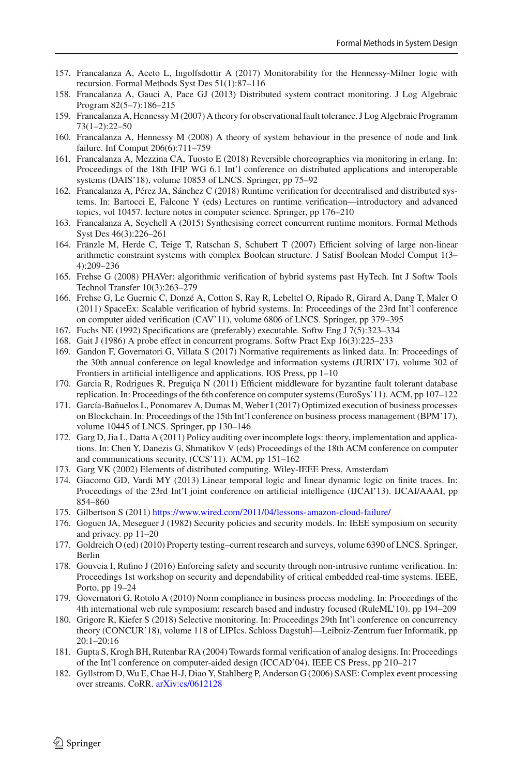- <span id="page-49-8"></span>157. Francalanza A, Aceto L, Ingolfsdottir A (2017) Monitorability for the Hennessy-Milner logic with recursion. Formal Methods Syst Des 51(1):87–116
- <span id="page-49-3"></span>158. Francalanza A, Gauci A, Pace GJ (2013) Distributed system contract monitoring. J Log Algebraic Program 82(5–7):186–215
- <span id="page-49-7"></span>159. Francalanza A, Hennessy M (2007) A theory for observational fault tolerance. J Log Algebraic Programm 73(1–2):22–50
- <span id="page-49-6"></span>160. Francalanza A, Hennessy M (2008) A theory of system behaviour in the presence of node and link failure. Inf Comput 206(6):711–759
- <span id="page-49-4"></span>161. Francalanza A, Mezzina CA, Tuosto E (2018) Reversible choreographies via monitoring in erlang. In: Proceedings of the 18th IFIP WG 6.1 Int'l conference on distributed applications and interoperable systems (DAIS'18), volume 10853 of LNCS. Springer, pp 75–92
- <span id="page-49-2"></span>162. Francalanza A, Pérez JA, Sánchez C (2018) Runtime verification for decentralised and distributed systems. In: Bartocci E, Falcone Y (eds) Lectures on runtime verification—introductory and advanced topics, vol 10457. lecture notes in computer science. Springer, pp 176–210
- <span id="page-49-1"></span>163. Francalanza A, Seychell A (2015) Synthesising correct concurrent runtime monitors. Formal Methods Syst Des 46(3):226–261
- <span id="page-49-10"></span>164. Fränzle M, Herde C, Teige T, Ratschan S, Schubert T (2007) Efficient solving of large non-linear arithmetic constraint systems with complex Boolean structure. J Satisf Boolean Model Comput 1(3– 4):209–236
- 165. Frehse G (2008) PHAVer: algorithmic verification of hybrid systems past HyTech. Int J Softw Tools Technol Transfer 10(3):263–279
- <span id="page-49-11"></span>166. Frehse G, Le Guernic C, Donzé A, Cotton S, Ray R, Lebeltel O, Ripado R, Girard A, Dang T, Maler O (2011) SpaceEx: Scalable verification of hybrid systems. In: Proceedings of the 23rd Int'l conference on computer aided verification (CAV'11), volume 6806 of LNCS. Springer, pp 379–395
- <span id="page-49-19"></span>167. Fuchs NE (1992) Specifications are (preferably) executable. Softw Eng J 7(5):323–334
- <span id="page-49-13"></span>168. Gait J (1986) A probe effect in concurrent programs. Softw Pract Exp 16(3):225–233
- <span id="page-49-18"></span>169. Gandon F, Governatori G, Villata S (2017) Normative requirements as linked data. In: Proceedings of the 30th annual conference on legal knowledge and information systems (JURIX'17), volume 302 of Frontiers in artificial intelligence and applications. IOS Press, pp 1–10
- <span id="page-49-17"></span>170. Garcia R, Rodrigues R, Preguiça N (2011) Efficient middleware for byzantine fault tolerant database replication. In: Proceedings of the 6th conference on computer systems (EuroSys'11). ACM, pp 107–122
- <span id="page-49-20"></span>171. García-Bañuelos L, Ponomarev A, Dumas M, Weber I (2017) Optimized execution of business processes on Blockchain. In: Proceedings of the 15th Int'l conference on business process management (BPM'17), volume 10445 of LNCS. Springer, pp 130–146
- <span id="page-49-5"></span>172. Garg D, Jia L, Datta A (2011) Policy auditing over incomplete logs: theory, implementation and applications. In: Chen Y, Danezis G, Shmatikov V (eds) Proceedings of the 18th ACM conference on computer and communications security, (CCS'11). ACM, pp 151–162
- <span id="page-49-0"></span>173. Garg VK (2002) Elements of distributed computing. Wiley-IEEE Press, Amsterdam
- <span id="page-49-23"></span>174. Giacomo GD, Vardi MY (2013) Linear temporal logic and linear dynamic logic on finite traces. In: Proceedings of the 23rd Int'l joint conference on artificial intelligence (IJCAI'13). IJCAI/AAAI, pp 854–860
- <span id="page-49-16"></span>175. Gilbertson S (2011) <https://www.wired.com/2011/04/lessons-amazon-cloud-failure/>
- <span id="page-49-15"></span>176. Goguen JA, Meseguer J (1982) Security policies and security models. In: IEEE symposium on security and privacy. pp 11–20
- <span id="page-49-24"></span>177. Goldreich O (ed) (2010) Property testing–current research and surveys, volume 6390 of LNCS. Springer, Berlin
- <span id="page-49-14"></span>178. Gouveia I, Rufino J (2016) Enforcing safety and security through non-intrusive runtime verification. In: Proceedings 1st workshop on security and dependability of critical embedded real-time systems. IEEE, Porto, pp 19–24
- <span id="page-49-21"></span>179. Governatori G, Rotolo A (2010) Norm compliance in business process modeling. In: Proceedings of the 4th international web rule symposium: research based and industry focused (RuleML'10). pp 194–209
- <span id="page-49-9"></span>180. Grigore R, Kiefer S (2018) Selective monitoring. In: Proceedings 29th Int'l conference on concurrency theory (CONCUR'18), volume 118 of LIPIcs. Schloss Dagstuhl—Leibniz-Zentrum fuer Informatik, pp 20:1–20:16
- <span id="page-49-12"></span>181. Gupta S, Krogh BH, Rutenbar RA (2004) Towards formal verification of analog designs. In: Proceedings of the Int'l conference on computer-aided design (ICCAD'04). IEEE CS Press, pp 210–217
- <span id="page-49-22"></span>182. Gyllstrom D, Wu E, Chae H-J, Diao Y, Stahlberg P, Anderson G (2006) SASE: Complex event processing over streams. CoRR. [arXiv:cs/0612128](http://arxiv.org/abs/cs/0612128)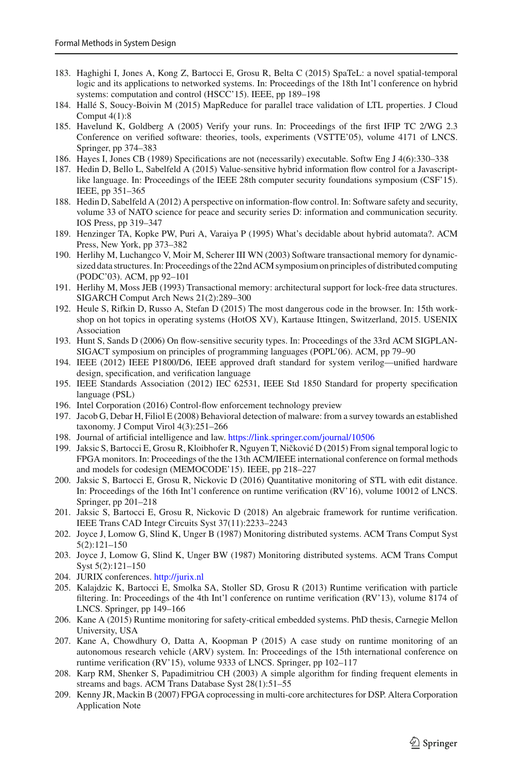- <span id="page-50-3"></span>183. Haghighi I, Jones A, Kong Z, Bartocci E, Grosu R, Belta C (2015) SpaTeL: a novel spatial-temporal logic and its applications to networked systems. In: Proceedings of the 18th Int'l conference on hybrid systems: computation and control (HSCC'15). IEEE, pp 189–198
- <span id="page-50-24"></span>184. Hallé S, Soucy-Boivin M (2015) MapReduce for parallel trace validation of LTL properties. J Cloud Comput 4(1):8
- <span id="page-50-0"></span>185. Havelund K, Goldberg A (2005) Verify your runs. In: Proceedings of the first IFIP TC 2/WG 2.3 Conference on verified software: theories, tools, experiments (VSTTE'05), volume 4171 of LNCS. Springer, pp 374–383
- <span id="page-50-23"></span>186. Hayes I, Jones CB (1989) Specifications are not (necessarily) executable. Softw Eng J 4(6):330–338
- <span id="page-50-14"></span>187. Hedin D, Bello L, Sabelfeld A (2015) Value-sensitive hybrid information flow control for a Javascriptlike language. In: Proceedings of the IEEE 28th computer security foundations symposium (CSF'15). IEEE, pp 351–365
- <span id="page-50-15"></span>188. Hedin D, Sabelfeld A (2012) A perspective on information-flow control. In: Software safety and security, volume 33 of NATO science for peace and security series D: information and communication security. IOS Press, pp 319–347
- <span id="page-50-2"></span>189. Henzinger TA, Kopke PW, Puri A, Varaiya P (1995) What's decidable about hybrid automata?. ACM Press, New York, pp 373–382
- <span id="page-50-20"></span>190. Herlihy M, Luchangco V, Moir M, Scherer III WN (2003) Software transactional memory for dynamicsized data structures. In: Proceedings of the 22nd ACM symposium on principles of distributed computing (PODC'03). ACM, pp 92–101
- <span id="page-50-19"></span>191. Herlihy M, Moss JEB (1993) Transactional memory: architectural support for lock-free data structures. SIGARCH Comput Arch News 21(2):289–300
- <span id="page-50-17"></span>192. Heule S, Rifkin D, Russo A, Stefan D (2015) The most dangerous code in the browser. In: 15th workshop on hot topics in operating systems (HotOS XV), Kartause Ittingen, Switzerland, 2015. USENIX Association
- <span id="page-50-13"></span>193. Hunt S, Sands D (2006) On flow-sensitive security types. In: Proceedings of the 33rd ACM SIGPLAN-SIGACT symposium on principles of programming languages (POPL'06). ACM, pp 79–90
- <span id="page-50-11"></span>194. IEEE (2012) IEEE P1800/D6, IEEE approved draft standard for system verilog—unified hardware design, specification, and verification language
- <span id="page-50-10"></span>195. IEEE Standards Association (2012) IEC 62531, IEEE Std 1850 Standard for property specification language (PSL)
- <span id="page-50-8"></span>196. Intel Corporation (2016) Control-flow enforcement technology preview
- <span id="page-50-16"></span>197. Jacob G, Debar H, Filiol E (2008) Behavioral detection of malware: from a survey towards an established taxonomy. J Comput Virol 4(3):251–266
- <span id="page-50-22"></span>198. Journal of artificial intelligence and law. <https://link.springer.com/journal/10506>
- <span id="page-50-6"></span>199. Jaksic S, Bartocci E, Grosu R, Kloibhofer R, Nguyen T, Ničković D (2015) From signal temporal logic to FPGA monitors. In: Proceedings of the the 13th ACM/IEEE international conference on formal methods and models for codesign (MEMOCODE'15). IEEE, pp 218–227
- <span id="page-50-4"></span>200. Jaksic S, Bartocci E, Grosu R, Nickovic D (2016) Quantitative monitoring of STL with edit distance. In: Proceedings of the 16th Int'l conference on runtime verification (RV'16), volume 10012 of LNCS. Springer, pp 201–218
- <span id="page-50-5"></span>201. Jaksic S, Bartocci E, Grosu R, Nickovic D (2018) An algebraic framework for runtime verification. IEEE Trans CAD Integr Circuits Syst 37(11):2233–2243
- <span id="page-50-18"></span>202. Joyce J, Lomow G, Slind K, Unger B (1987) Monitoring distributed systems. ACM Trans Comput Syst 5(2):121–150
- <span id="page-50-1"></span>203. Joyce J, Lomow G, Slind K, Unger BW (1987) Monitoring distributed systems. ACM Trans Comput Syst 5(2):121–150
- <span id="page-50-21"></span>204. JURIX conferences. <http://jurix.nl>
- <span id="page-50-26"></span>205. Kalajdzic K, Bartocci E, Smolka SA, Stoller SD, Grosu R (2013) Runtime verification with particle filtering. In: Proceedings of the 4th Int'l conference on runtime verification (RV'13), volume 8174 of LNCS. Springer, pp 149–166
- <span id="page-50-12"></span>206. Kane A (2015) Runtime monitoring for safety-critical embedded systems. PhD thesis, Carnegie Mellon University, USA
- <span id="page-50-7"></span>207. Kane A, Chowdhury O, Datta A, Koopman P (2015) A case study on runtime monitoring of an autonomous research vehicle (ARV) system. In: Proceedings of the 15th international conference on runtime verification (RV'15), volume 9333 of LNCS. Springer, pp 102–117
- <span id="page-50-25"></span>208. Karp RM, Shenker S, Papadimitriou CH (2003) A simple algorithm for finding frequent elements in streams and bags. ACM Trans Database Syst 28(1):51–55
- <span id="page-50-9"></span>209. Kenny JR, Mackin B (2007) FPGA coprocessing in multi-core architectures for DSP. Altera Corporation Application Note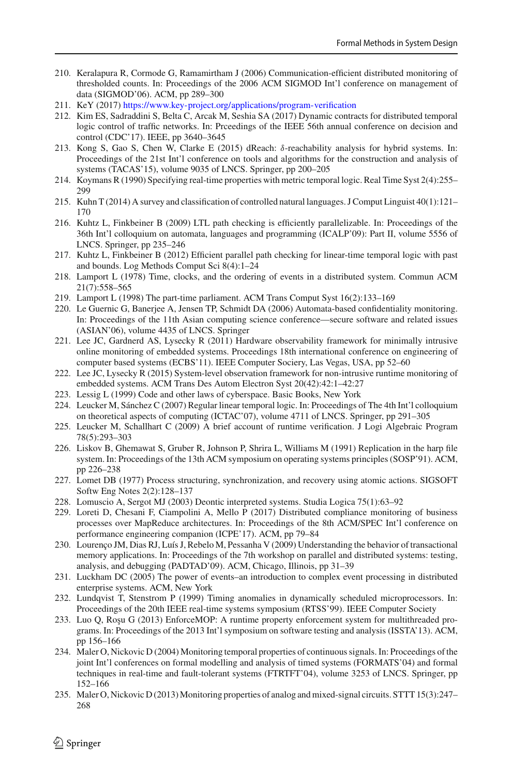- <span id="page-51-25"></span>210. Keralapura R, Cormode G, Ramamirtham J (2006) Communication-efficient distributed monitoring of thresholded counts. In: Proceedings of the 2006 ACM SIGMOD Int'l conference on management of data (SIGMOD'06). ACM, pp 289–300
- <span id="page-51-18"></span>211. KeY (2017) <https://www.key-project.org/applications/program-verification>
- <span id="page-51-8"></span>212. Kim ES, Sadraddini S, Belta C, Arcak M, Seshia SA (2017) Dynamic contracts for distributed temporal logic control of traffic networks. In: Prceedings of the IEEE 56th annual conference on decision and control (CDC'17). IEEE, pp 3640–3645
- <span id="page-51-4"></span>213. Kong S, Gao S, Chen W, Clarke E (2015) dReach: δ-reachability analysis for hybrid systems. In: Proceedings of the 21st Int'l conference on tools and algorithms for the construction and analysis of systems (TACAS'15), volume 9035 of LNCS. Springer, pp 200–205
- <span id="page-51-7"></span>214. Koymans R (1990) Specifying real-time properties with metric temporal logic. Real Time Syst 2(4):255– 299
- <span id="page-51-20"></span>215. Kuhn T (2014) A survey and classification of controlled natural languages. J Comput Linguist 40(1):121– 170
- <span id="page-51-1"></span>216. Kuhtz L, Finkbeiner B (2009) LTL path checking is efficiently parallelizable. In: Proceedings of the 36th Int'l colloquium on automata, languages and programming (ICALP'09): Part II, volume 5556 of LNCS. Springer, pp 235–246
- <span id="page-51-2"></span>217. Kuhtz L, Finkbeiner B (2012) Efficient parallel path checking for linear-time temporal logic with past and bounds. Log Methods Comput Sci 8(4):1–24
- <span id="page-51-13"></span>218. Lamport L (1978) Time, clocks, and the ordering of events in a distributed system. Commun ACM 21(7):558–565
- <span id="page-51-14"></span>219. Lamport L (1998) The part-time parliament. ACM Trans Comput Syst 16(2):133–169
- <span id="page-51-12"></span>220. Le Guernic G, Banerjee A, Jensen TP, Schmidt DA (2006) Automata-based confidentiality monitoring. In: Proceedings of the 11th Asian computing science conference—secure software and related issues (ASIAN'06), volume 4435 of LNCS. Springer
- <span id="page-51-11"></span>221. Lee JC, Gardnerd AS, Lysecky R (2011) Hardware observability framework for minimally intrusive online monitoring of embedded systems. Proceedings 18th international conference on engineering of computer based systems (ECBS'11). IEEE Computer Sociery, Las Vegas, USA, pp 52–60
- <span id="page-51-10"></span>222. Lee JC, Lysecky R (2015) System-level observation framework for non-intrusive runtime monitoring of embedded systems. ACM Trans Des Autom Electron Syst 20(42):42:1–42:27
- <span id="page-51-21"></span>223. Lessig L (1999) Code and other laws of cyberspace. Basic Books, New York
- <span id="page-51-24"></span>224. Leucker M, Sánchez C (2007) Regular linear temporal logic. In: Proceedings of The 4th Int'l colloquium on theoretical aspects of computing (ICTAC'07), volume 4711 of LNCS. Springer, pp 291–305
- <span id="page-51-0"></span>225. Leucker M, Schallhart C (2009) A brief account of runtime verification. J Logi Algebraic Program 78(5):293–303
- <span id="page-51-15"></span>226. Liskov B, Ghemawat S, Gruber R, Johnson P, Shrira L, Williams M (1991) Replication in the harp file system. In: Proceedings of the 13th ACM symposium on operating systems principles (SOSP'91). ACM, pp 226–238
- <span id="page-51-16"></span>227. Lomet DB (1977) Process structuring, synchronization, and recovery using atomic actions. SIGSOFT Softw Eng Notes 2(2):128–137
- <span id="page-51-19"></span>228. Lomuscio A, Sergot MJ (2003) Deontic interpreted systems. Studia Logica 75(1):63–92
- <span id="page-51-22"></span>229. Loreti D, Chesani F, Ciampolini A, Mello P (2017) Distributed compliance monitoring of business processes over MapReduce architectures. In: Proceedings of the 8th ACM/SPEC Int'l conference on performance engineering companion (ICPE'17). ACM, pp 79–84
- <span id="page-51-17"></span>230. Lourenço JM, Dias RJ, Luís J, Rebelo M, Pessanha V (2009) Understanding the behavior of transactional memory applications. In: Proceedings of the 7th workshop on parallel and distributed systems: testing, analysis, and debugging (PADTAD'09). ACM, Chicago, Illinois, pp 31–39
- <span id="page-51-23"></span>231. Luckham DC (2005) The power of events–an introduction to complex event processing in distributed enterprise systems. ACM, New York
- <span id="page-51-9"></span>232. Lundqvist T, Stenstrom P (1999) Timing anomalies in dynamically scheduled microprocessors. In: Proceedings of the 20th IEEE real-time systems symposium (RTSS'99). IEEE Computer Society
- <span id="page-51-3"></span>233. Luo Q, Roşu G (2013) EnforceMOP: A runtime property enforcement system for multithreaded programs. In: Proceedings of the 2013 Int'l symposium on software testing and analysis (ISSTA'13). ACM, pp 156–166
- <span id="page-51-5"></span>234. Maler O, Nickovic D (2004) Monitoring temporal properties of continuous signals. In: Proceedings of the joint Int'l conferences on formal modelling and analysis of timed systems (FORMATS'04) and formal techniques in real-time and fault-tolerant systems (FTRTFT'04), volume 3253 of LNCS. Springer, pp 152–166
- <span id="page-51-6"></span>235. Maler O, Nickovic D (2013) Monitoring properties of analog and mixed-signal circuits. STTT 15(3):247– 268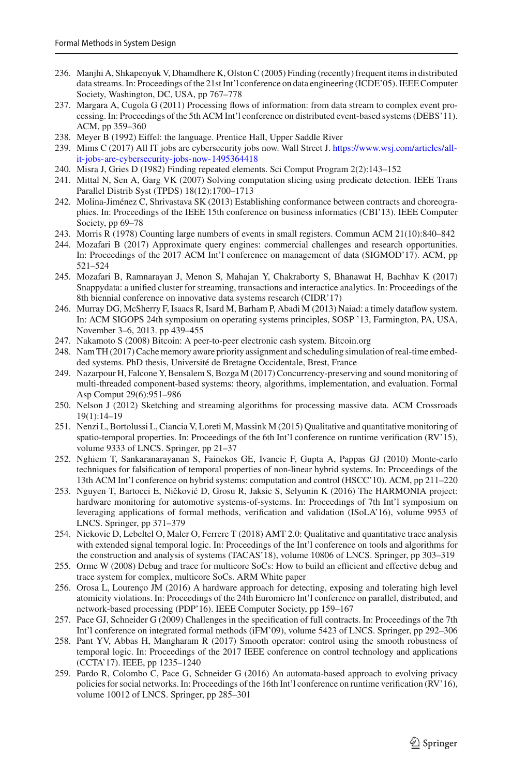- <span id="page-52-18"></span>236. Manjhi A, Shkapenyuk V, Dhamdhere K, Olston C (2005) Finding (recently) frequent items in distributed data streams. In: Proceedings of the 21st Int'l conference on data engineering (ICDE'05). IEEE Computer Society, Washington, DC, USA, pp 767–778
- <span id="page-52-16"></span>237. Margara A, Cugola G (2011) Processing flows of information: from data stream to complex event processing. In: Proceedings of the 5th ACM Int'l conference on distributed event-based systems (DEBS'11). ACM, pp 359–360
- <span id="page-52-12"></span>238. Meyer B (1992) Eiffel: the language. Prentice Hall, Upper Saddle River
- <span id="page-52-10"></span>239. Mims C (2017) All IT jobs are cybersecurity jobs now. Wall Street J. [https://www.wsj.com/articles/all](https://www.wsj.com/articles/all-it-jobs-are-cybersecurity-jobs-now-1495364418)[it-jobs-are-cybersecurity-jobs-now-1495364418](https://www.wsj.com/articles/all-it-jobs-are-cybersecurity-jobs-now-1495364418)
- <span id="page-52-20"></span>240. Misra J, Gries D (1982) Finding repeated elements. Sci Comput Program 2(2):143–152
- <span id="page-52-1"></span>241. Mittal N, Sen A, Garg VK (2007) Solving computation slicing using predicate detection. IEEE Trans Parallel Distrib Syst (TPDS) 18(12):1700–1713
- <span id="page-52-14"></span>242. Molina-Jiménez C, Shrivastava SK (2013) Establishing conformance between contracts and choreographies. In: Proceedings of the IEEE 15th conference on business informatics (CBI'13). IEEE Computer Society, pp 69–78
- <span id="page-52-19"></span>243. Morris R (1978) Counting large numbers of events in small registers. Commun ACM 21(10):840–842
- <span id="page-52-21"></span>244. Mozafari B (2017) Approximate query engines: commercial challenges and research opportunities. In: Proceedings of the 2017 ACM Int'l conference on management of data (SIGMOD'17). ACM, pp 521–524
- <span id="page-52-22"></span>245. Mozafari B, Ramnarayan J, Menon S, Mahajan Y, Chakraborty S, Bhanawat H, Bachhav K (2017) Snappydata: a unified cluster for streaming, transactions and interactice analytics. In: Proceedings of the 8th biennial conference on innovative data systems research (CIDR'17)
- <span id="page-52-23"></span>246. Murray DG, McSherry F, Isaacs R, Isard M, Barham P, Abadi M (2013) Naiad: a timely dataflow system. In: ACM SIGOPS 24th symposium on operating systems principles, SOSP '13, Farmington, PA, USA, November 3–6, 2013. pp 439–455
- <span id="page-52-0"></span>247. Nakamoto S (2008) Bitcoin: A peer-to-peer electronic cash system. Bitcoin.org
- <span id="page-52-8"></span>248. Nam TH (2017) Cache memory aware priority assignment and scheduling simulation of real-time embedded systems. PhD thesis, Université de Bretagne Occidentale, Brest, France
- <span id="page-52-2"></span>249. Nazarpour H, Falcone Y, Bensalem S, Bozga M (2017) Concurrency-preserving and sound monitoring of multi-threaded component-based systems: theory, algorithms, implementation, and evaluation. Formal Asp Comput 29(6):951–986
- <span id="page-52-17"></span>250. Nelson J (2012) Sketching and streaming algorithms for processing massive data. ACM Crossroads 19(1):14–19
- <span id="page-52-3"></span>251. Nenzi L, Bortolussi L, Ciancia V, Loreti M, Massink M (2015) Qualitative and quantitative monitoring of spatio-temporal properties. In: Proceedings of the 6th Int'l conference on runtime verification (RV'15), volume 9333 of LNCS. Springer, pp 21–37
- <span id="page-52-6"></span>252. Nghiem T, Sankaranarayanan S, Fainekos GE, Ivancic F, Gupta A, Pappas GJ (2010) Monte-carlo techniques for falsification of temporal properties of non-linear hybrid systems. In: Proceedings of the 13th ACM Int'l conference on hybrid systems: computation and control (HSCC'10). ACM, pp 211–220
- <span id="page-52-5"></span>253. Nguyen T, Bartocci E, Ničković D, Grosu R, Jaksic S, Selyunin K (2016) The HARMONIA project: hardware monitoring for automotive systems-of-systems. In: Proceedings of 7th Int'l symposium on leveraging applications of formal methods, verification and validation (ISoLA'16), volume 9953 of LNCS. Springer, pp 371–379
- <span id="page-52-4"></span>254. Nickovic D, Lebeltel O, Maler O, Ferrere T (2018) AMT 2.0: Qualitative and quantitative trace analysis with extended signal temporal logic. In: Proceedings of the Int'l conference on tools and algorithms for the construction and analysis of systems (TACAS'18), volume 10806 of LNCS. Springer, pp 303–319
- <span id="page-52-9"></span>255. Orme W (2008) Debug and trace for multicore SoCs: How to build an efficient and effective debug and trace system for complex, multicore SoCs. ARM White paper
- <span id="page-52-11"></span>256. Orosa L, Lourenço JM (2016) A hardware approach for detecting, exposing and tolerating high level atomicity violations. In: Proceedings of the 24th Euromicro Int'l conference on parallel, distributed, and network-based processing (PDP'16). IEEE Computer Society, pp 159–167
- <span id="page-52-13"></span>257. Pace GJ, Schneider G (2009) Challenges in the specification of full contracts. In: Proceedings of the 7th Int'l conference on integrated formal methods (iFM'09), volume 5423 of LNCS. Springer, pp 292–306
- <span id="page-52-7"></span>258. Pant YV, Abbas H, Mangharam R (2017) Smooth operator: control using the smooth robustness of temporal logic. In: Proceedings of the 2017 IEEE conference on control technology and applications (CCTA'17). IEEE, pp 1235–1240
- <span id="page-52-15"></span>259. Pardo R, Colombo C, Pace G, Schneider G (2016) An automata-based approach to evolving privacy policies for social networks. In: Proceedings of the 16th Int'l conference on runtime verification (RV'16), volume 10012 of LNCS. Springer, pp 285–301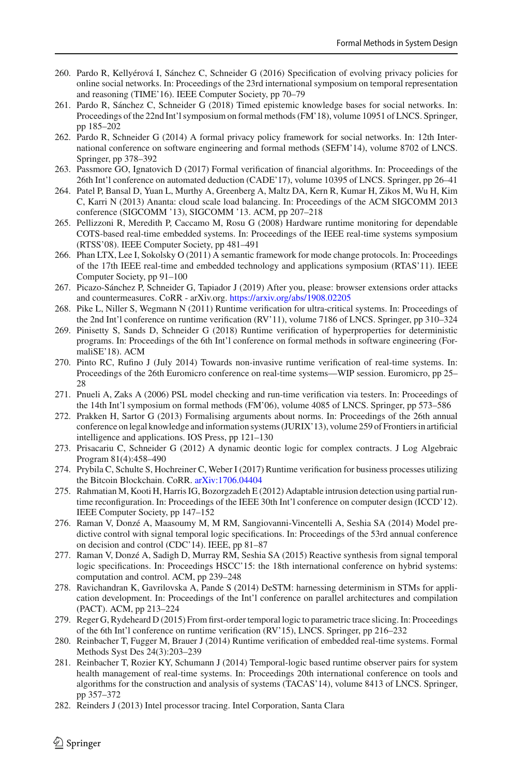- <span id="page-53-15"></span>260. Pardo R, Kellyérová I, Sánchez C, Schneider G (2016) Specification of evolving privacy policies for online social networks. In: Proceedings of the 23rd international symposium on temporal representation and reasoning (TIME'16). IEEE Computer Society, pp 70–79
- <span id="page-53-21"></span>261. Pardo R, Sánchez C, Schneider G (2018) Timed epistemic knowledge bases for social networks. In: Proceedings of the 22nd Int'l symposium on formal methods (FM'18), volume 10951 of LNCS. Springer, pp 185–202
- <span id="page-53-16"></span>262. Pardo R, Schneider G (2014) A formal privacy policy framework for social networks. In: 12th International conference on software engineering and formal methods (SEFM'14), volume 8702 of LNCS. Springer, pp 378–392
- <span id="page-53-20"></span>263. Passmore GO, Ignatovich D (2017) Formal verification of financial algorithms. In: Proceedings of the 26th Int'l conference on automated deduction (CADE'17), volume 10395 of LNCS. Springer, pp 26–41
- <span id="page-53-13"></span>264. Patel P, Bansal D, Yuan L, Murthy A, Greenberg A, Maltz DA, Kern R, Kumar H, Zikos M, Wu H, Kim C, Karri N (2013) Ananta: cloud scale load balancing. In: Proceedings of the ACM SIGCOMM 2013 conference (SIGCOMM '13), SIGCOMM '13. ACM, pp 207–218
- <span id="page-53-4"></span>265. Pellizzoni R, Meredith P, Caccamo M, Rosu G (2008) Hardware runtime monitoring for dependable COTS-based real-time embedded systems. In: Proceedings of the IEEE real-time systems symposium (RTSS'08). IEEE Computer Society, pp 481–491
- <span id="page-53-8"></span>266. Phan LTX, Lee I, Sokolsky O (2011) A semantic framework for mode change protocols. In: Proceedings of the 17th IEEE real-time and embedded technology and applications symposium (RTAS'11). IEEE Computer Society, pp 91–100
- <span id="page-53-11"></span>267. Picazo-Sánchez P, Schneider G, Tapiador J (2019) After you, please: browser extensions order attacks and countermeasures. CoRR - arXiv.org. <https://arxiv.org/abs/1908.02205>
- <span id="page-53-3"></span>268. Pike L, Niller S, Wegmann N (2011) Runtime verification for ultra-critical systems. In: Proceedings of the 2nd Int'l conference on runtime verification (RV'11), volume 7186 of LNCS. Springer, pp 310–324
- <span id="page-53-12"></span>269. Pinisetty S, Sands D, Schneider G (2018) Runtime verification of hyperproperties for deterministic programs. In: Proceedings of the 6th Int'l conference on formal methods in software engineering (FormaliSE'18). ACM
- <span id="page-53-5"></span>270. Pinto RC, Rufino J (July 2014) Towards non-invasive runtime verification of real-time systems. In: Proceedings of the 26th Euromicro conference on real-time systems—WIP session. Euromicro, pp 25– 28
- <span id="page-53-0"></span>271. Pnueli A, Zaks A (2006) PSL model checking and run-time verification via testers. In: Proceedings of the 14th Int'l symposium on formal methods (FM'06), volume 4085 of LNCS. Springer, pp 573–586
- <span id="page-53-17"></span>272. Prakken H, Sartor G (2013) Formalising arguments about norms. In: Proceedings of the 26th annual conference on legal knowledge and information systems (JURIX'13), volume 259 of Frontiers in artificial intelligence and applications. IOS Press, pp 121–130
- <span id="page-53-18"></span>273. Prisacariu C, Schneider G (2012) A dynamic deontic logic for complex contracts. J Log Algebraic Program 81(4):458–490
- <span id="page-53-19"></span>274. Prybila C, Schulte S, Hochreiner C, Weber I (2017) Runtime verification for business processes utilizing the Bitcoin Blockchain. CoRR. [arXiv:1706.04404](http://arxiv.org/abs/1706.04404)
- <span id="page-53-9"></span>275. Rahmatian M, Kooti H, Harris IG, Bozorgzadeh E (2012) Adaptable intrusion detection using partial runtime reconfiguration. In: Proceedings of the IEEE 30th Int'l conference on computer design (ICCD'12). IEEE Computer Society, pp 147–152
- <span id="page-53-2"></span>276. Raman V, Donzé A, Maasoumy M, M RM, Sangiovanni-Vincentelli A, Seshia SA (2014) Model predictive control with signal temporal logic specifications. In: Proceedings of the 53rd annual conference on decision and control (CDC'14). IEEE, pp 81–87
- <span id="page-53-1"></span>277. Raman V, Donzé A, Sadigh D, Murray RM, Seshia SA (2015) Reactive synthesis from signal temporal logic specifications. In: Proceedings HSCC'15: the 18th international conference on hybrid systems: computation and control. ACM, pp 239–248
- <span id="page-53-14"></span>278. Ravichandran K, Gavrilovska A, Pande S (2014) DeSTM: harnessing determinism in STMs for application development. In: Proceedings of the Int'l conference on parallel architectures and compilation (PACT). ACM, pp 213–224
- <span id="page-53-22"></span>279. Reger G, Rydeheard D (2015) From first-order temporal logic to parametric trace slicing. In: Proceedings of the 6th Int'l conference on runtime verification (RV'15), LNCS. Springer, pp 216–232
- <span id="page-53-6"></span>280. Reinbacher T, Fugger M, Brauer J (2014) Runtime verification of embedded real-time systems. Formal Methods Syst Des 24(3):203–239
- <span id="page-53-10"></span>281. Reinbacher T, Rozier KY, Schumann J (2014) Temporal-logic based runtime observer pairs for system health management of real-time systems. In: Proceedings 20th international conference on tools and algorithms for the construction and analysis of systems (TACAS'14), volume 8413 of LNCS. Springer, pp 357–372
- <span id="page-53-7"></span>282. Reinders J (2013) Intel processor tracing. Intel Corporation, Santa Clara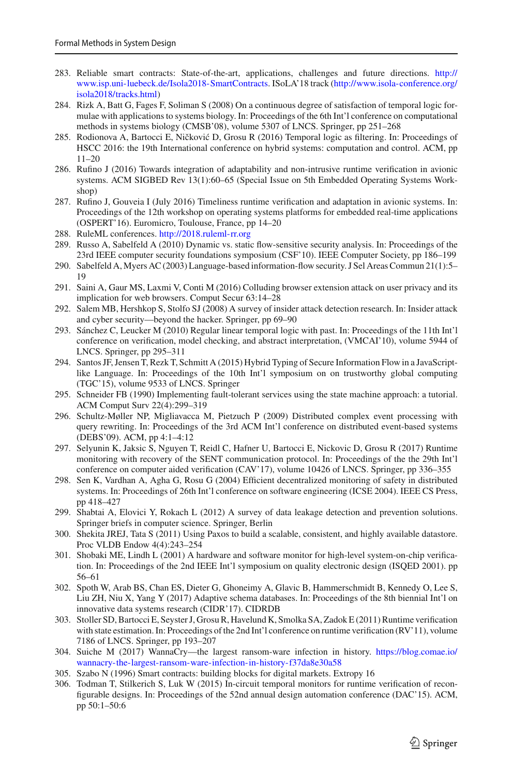- <span id="page-54-19"></span>283. Reliable smart contracts: State-of-the-art, applications, challenges and future directions. [http://](http://www.isp.uni-luebeck.de/Isola2018-SmartContracts) [www.isp.uni-luebeck.de/Isola2018-SmartContracts.](http://www.isp.uni-luebeck.de/Isola2018-SmartContracts) ISoLA'18 track [\(http://www.isola-conference.org/](http://www.isola-conference.org/isola2018/tracks.html) [isola2018/tracks.html\)](http://www.isola-conference.org/isola2018/tracks.html)
- <span id="page-54-3"></span>284. Rizk A, Batt G, Fages F, Soliman S (2008) On a continuous degree of satisfaction of temporal logic formulae with applications to systems biology. In: Proceedings of the 6th Int'l conference on computational methods in systems biology (CMSB'08), volume 5307 of LNCS. Springer, pp 251–268
- <span id="page-54-1"></span>285. Rodionova A, Bartocci E, Ničković D, Grosu R (2016) Temporal logic as filtering. In: Proceedings of HSCC 2016: the 19th International conference on hybrid systems: computation and control. ACM, pp 11–20
- <span id="page-54-6"></span>286. Rufino J (2016) Towards integration of adaptability and non-intrusive runtime verification in avionic systems. ACM SIGBED Rev 13(1):60–65 (Special Issue on 5th Embedded Operating Systems Workshop)
- <span id="page-54-7"></span>287. Rufino J, Gouveia I (July 2016) Timeliness runtime verification and adaptation in avionic systems. In: Proceedings of the 12th workshop on operating systems platforms for embedded real-time applications (OSPERT'16). Euromicro, Toulouse, France, pp 14–20
- <span id="page-54-18"></span>288. RuleML conferences. <http://2018.ruleml-rr.org>
- <span id="page-54-11"></span>289. Russo A, Sabelfeld A (2010) Dynamic vs. static flow-sensitive security analysis. In: Proceedings of the 23rd IEEE computer security foundations symposium (CSF'10). IEEE Computer Society, pp 186–199
- <span id="page-54-10"></span>290. Sabelfeld A, Myers AC (2003) Language-based information-flow security. J Sel Areas Commun 21(1):5– 19
- <span id="page-54-14"></span>291. Saini A, Gaur MS, Laxmi V, Conti M (2016) Colluding browser extension attack on user privacy and its implication for web browsers. Comput Secur 63:14–28
- <span id="page-54-13"></span>292. Salem MB, Hershkop S, Stolfo SJ (2008) A survey of insider attack detection research. In: Insider attack and cyber security—beyond the hacker. Springer, pp 69–90
- <span id="page-54-21"></span>293. Sánchez C, Leucker M (2010) Regular linear temporal logic with past. In: Proceedings of the 11th Int'l conference on verification, model checking, and abstract interpretation, (VMCAI'10), volume 5944 of LNCS. Springer, pp 295–311
- <span id="page-54-12"></span>294. Santos JF, Jensen T, Rezk T, Schmitt A (2015) Hybrid Typing of Secure Information Flow in a JavaScriptlike Language. In: Proceedings of the 10th Int'l symposium on on trustworthy global computing (TGC'15), volume 9533 of LNCS. Springer
- <span id="page-54-15"></span>295. Schneider FB (1990) Implementing fault-tolerant services using the state machine approach: a tutorial. ACM Comput Surv 22(4):299–319
- <span id="page-54-20"></span>296. Schultz-Møller NP, Migliavacca M, Pietzuch P (2009) Distributed complex event processing with query rewriting. In: Proceedings of the 3rd ACM Int'l conference on distributed event-based systems (DEBS'09). ACM, pp 4:1–4:12
- <span id="page-54-2"></span>297. Selyunin K, Jaksic S, Nguyen T, Reidl C, Hafner U, Bartocci E, Nickovic D, Grosu R (2017) Runtime monitoring with recovery of the SENT communication protocol. In: Proceedings of the the 29th Int'l conference on computer aided verification (CAV'17), volume 10426 of LNCS. Springer, pp 336–355
- <span id="page-54-0"></span>298. Sen K, Vardhan A, Agha G, Rosu G (2004) Efficient decentralized monitoring of safety in distributed systems. In: Proceedings of 26th Int'l conference on software engineering (ICSE 2004). IEEE CS Press, pp 418–427
- <span id="page-54-9"></span>299. Shabtai A, Elovici Y, Rokach L (2012) A survey of data leakage detection and prevention solutions. Springer briefs in computer science. Springer, Berlin
- <span id="page-54-16"></span>300. Shekita JREJ, Tata S (2011) Using Paxos to build a scalable, consistent, and highly available datastore. Proc VLDB Endow 4(4):243–254
- <span id="page-54-4"></span>301. Shobaki ME, Lindh L (2001) A hardware and software monitor for high-level system-on-chip verification. In: Proceedings of the 2nd IEEE Int'l symposium on quality electronic design (ISQED 2001). pp 56–61
- <span id="page-54-22"></span>302. Spoth W, Arab BS, Chan ES, Dieter G, Ghoneimy A, Glavic B, Hammerschmidt B, Kennedy O, Lee S, Liu ZH, Niu X, Yang Y (2017) Adaptive schema databases. In: Proceedings of the 8th biennial Int'l on innovative data systems research (CIDR'17). CIDRDB
- <span id="page-54-23"></span>303. Stoller SD, Bartocci E, Seyster J, Grosu R, Havelund K, Smolka SA, Zadok E (2011) Runtime verification with state estimation. In: Proceedings of the 2nd Int'l conference on runtime verification (RV'11), volume 7186 of LNCS. Springer, pp 193–207
- <span id="page-54-8"></span>304. Suiche M (2017) WannaCry—the largest ransom-ware infection in history. [https://blog.comae.io/](https://blog.comae.io/wannacry-the-largest-ransom-ware-infection-in-history-f37da8e30a58) [wannacry-the-largest-ransom-ware-infection-in-history-f37da8e30a58](https://blog.comae.io/wannacry-the-largest-ransom-ware-infection-in-history-f37da8e30a58)
- <span id="page-54-17"></span>305. Szabo N (1996) Smart contracts: building blocks for digital markets. Extropy 16
- <span id="page-54-5"></span>306. Todman T, Stilkerich S, Luk W (2015) In-circuit temporal monitors for runtime verification of reconfigurable designs. In: Proceedings of the 52nd annual design automation conference (DAC'15). ACM, pp 50:1–50:6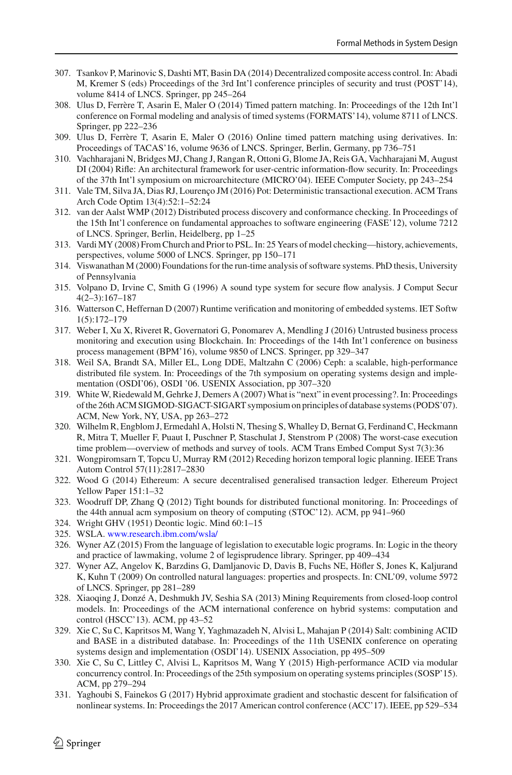- <span id="page-55-0"></span>307. Tsankov P, Marinovic S, Dashti MT, Basin DA (2014) Decentralized composite access control. In: Abadi M, Kremer S (eds) Proceedings of the 3rd Int'l conference principles of security and trust (POST'14), volume 8414 of LNCS. Springer, pp 245–264
- <span id="page-55-2"></span>308. Ulus D, Ferrère T, Asarin E, Maler O (2014) Timed pattern matching. In: Proceedings of the 12th Int'l conference on Formal modeling and analysis of timed systems (FORMATS'14), volume 8711 of LNCS. Springer, pp 222–236
- <span id="page-55-3"></span>309. Ulus D, Ferrère T, Asarin E, Maler O (2016) Online timed pattern matching using derivatives. In: Proceedings of TACAS'16, volume 9636 of LNCS. Springer, Berlin, Germany, pp 736–751
- <span id="page-55-10"></span>310. Vachharajani N, Bridges MJ, Chang J, Rangan R, Ottoni G, Blome JA, Reis GA, Vachharajani M, August DI (2004) Rifle: An architectural framework for user-centric information-flow security. In: Proceedings of the 37th Int'l symposium on microarchitecture (MICRO'04). IEEE Computer Society, pp 243–254
- <span id="page-55-12"></span>311. Vale TM, Silva JA, Dias RJ, Lourenço JM (2016) Pot: Deterministic transactional execution. ACM Trans Arch Code Optim 13(4):52:1–52:24
- <span id="page-55-21"></span>312. van der Aalst WMP (2012) Distributed process discovery and conformance checking. In Proceedings of the 15th Int'l conference on fundamental approaches to software engineering (FASE'12), volume 7212 of LNCS. Springer, Berlin, Heidelberg, pp 1–25
- <span id="page-55-23"></span>313. Vardi MY (2008) From Church and Prior to PSL. In: 25 Years of model checking—history, achievements, perspectives, volume 5000 of LNCS. Springer, pp 150–171
- <span id="page-55-1"></span>314. Viswanathan M (2000) Foundations for the run-time analysis of software systems. PhD thesis, University of Pennsylvania
- <span id="page-55-9"></span>315. Volpano D, Irvine C, Smith G (1996) A sound type system for secure flow analysis. J Comput Secur 4(2–3):167–187
- <span id="page-55-8"></span>316. Watterson C, Heffernan D (2007) Runtime verification and monitoring of embedded systems. IET Softw 1(5):172–179
- <span id="page-55-20"></span>317. Weber I, Xu X, Riveret R, Governatori G, Ponomarev A, Mendling J (2016) Untrusted business process monitoring and execution using Blockchain. In: Proceedings of the 14th Int'l conference on business process management (BPM'16), volume 9850 of LNCS. Springer, pp 329–347
- <span id="page-55-11"></span>318. Weil SA, Brandt SA, Miller EL, Long DDE, Maltzahn C (2006) Ceph: a scalable, high-performance distributed file system. In: Proceedings of the 7th symposium on operating systems design and implementation (OSDI'06), OSDI '06. USENIX Association, pp 307–320
- <span id="page-55-22"></span>319. White W, Riedewald M, Gehrke J, Demers A (2007) What is "next" in event processing?. In: Proceedings of the 26th ACM SIGMOD-SIGACT-SIGART symposium on principles of database systems (PODS'07). ACM, New York, NY, USA, pp 263–272
- <span id="page-55-7"></span>320. Wilhelm R, Engblom J, Ermedahl A, Holsti N, Thesing S, Whalley D, Bernat G, Ferdinand C, Heckmann R, Mitra T, Mueller F, Puaut I, Puschner P, Staschulat J, Stenstrom P (2008) The worst-case execution time problem—overview of methods and survey of tools. ACM Trans Embed Comput Syst 7(3):36
- <span id="page-55-6"></span>321. Wongpiromsarn T, Topcu U, Murray RM (2012) Receding horizon temporal logic planning. IEEE Trans Autom Control 57(11):2817–2830
- <span id="page-55-19"></span>322. Wood G (2014) Ethereum: A secure decentralised generalised transaction ledger. Ethereum Project Yellow Paper 151:1–32
- <span id="page-55-24"></span>323. Woodruff DP, Zhang Q (2012) Tight bounds for distributed functional monitoring. In: Proceedings of the 44th annual acm symposium on theory of computing (STOC'12). ACM, pp 941–960
- <span id="page-55-16"></span>324. Wright GHV (1951) Deontic logic. Mind 60:1–15
- <span id="page-55-15"></span>325. WSLA. <www.research.ibm.com/wsla/>
- <span id="page-55-17"></span>326. Wyner AZ (2015) From the language of legislation to executable logic programs. In: Logic in the theory and practice of lawmaking, volume 2 of legisprudence library. Springer, pp 409–434
- <span id="page-55-18"></span>327. Wyner AZ, Angelov K, Barzdins G, Damljanovic D, Davis B, Fuchs NE, Höfler S, Jones K, Kaljurand K, Kuhn T (2009) On controlled natural languages: properties and prospects. In: CNL'09, volume 5972 of LNCS. Springer, pp 281–289
- <span id="page-55-4"></span>328. Xiaoqing J, Donzé A, Deshmukh JV, Seshia SA (2013) Mining Requirements from closed-loop control models. In: Proceedings of the ACM international conference on hybrid systems: computation and control (HSCC'13). ACM, pp 43–52
- <span id="page-55-14"></span>329. Xie C, Su C, Kapritsos M, Wang Y, Yaghmazadeh N, Alvisi L, Mahajan P (2014) Salt: combining ACID and BASE in a distributed database. In: Proceedings of the 11th USENIX conference on operating systems design and implementation (OSDI'14). USENIX Association, pp 495–509
- <span id="page-55-13"></span>330. Xie C, Su C, Littley C, Alvisi L, Kapritsos M, Wang Y (2015) High-performance ACID via modular concurrency control. In: Proceedings of the 25th symposium on operating systems principles (SOSP'15). ACM, pp 279–294
- <span id="page-55-5"></span>331. Yaghoubi S, Fainekos G (2017) Hybrid approximate gradient and stochastic descent for falsification of nonlinear systems. In: Proceedings the 2017 American control conference (ACC'17). IEEE, pp 529–534